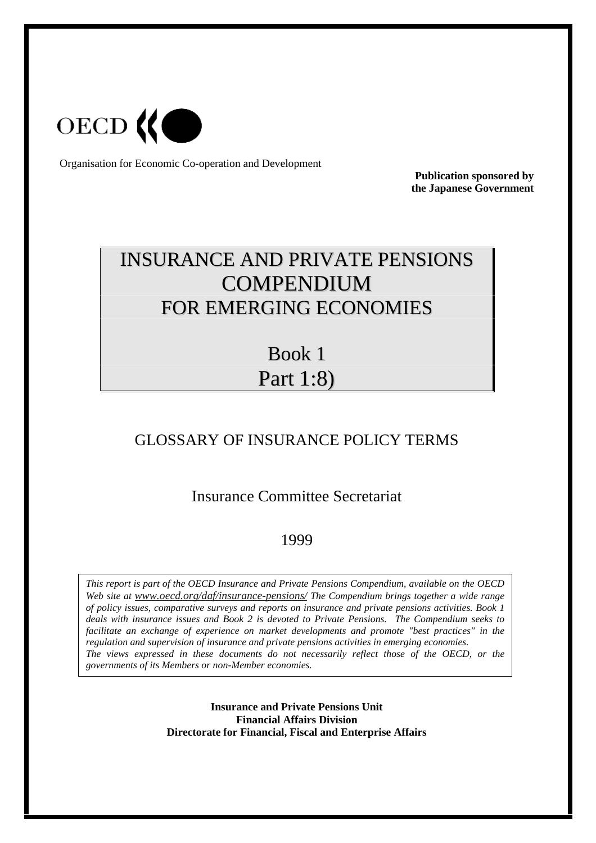

Organisation for Economic Co-operation and Development

**Publication sponsored by the Japanese Government**

# INSURANCE AND PRIVATE PENSIONS COMPENDIUM FOR EMERGING ECONOMIES

Book 1

# Part 1:8)

# GLOSSARY OF INSURANCE POLICY TERMS

Insurance Committee Secretariat

# 1999

*This report is part of the OECD Insurance and Private Pensions Compendium, available on the OECD Web site at www.oecd.org/daf/insurance-pensions/ The Compendium brings together a wide range of policy issues, comparative surveys and reports on insurance and private pensions activities. Book 1 deals with insurance issues and Book 2 is devoted to Private Pensions. The Compendium seeks to facilitate an exchange of experience on market developments and promote "best practices" in the regulation and supervision of insurance and private pensions activities in emerging economies. The views expressed in these documents do not necessarily reflect those of the OECD, or the governments of its Members or non-Member economies.*

> **Insurance and Private Pensions Unit Financial Affairs Division Directorate for Financial, Fiscal and Enterprise Affairs**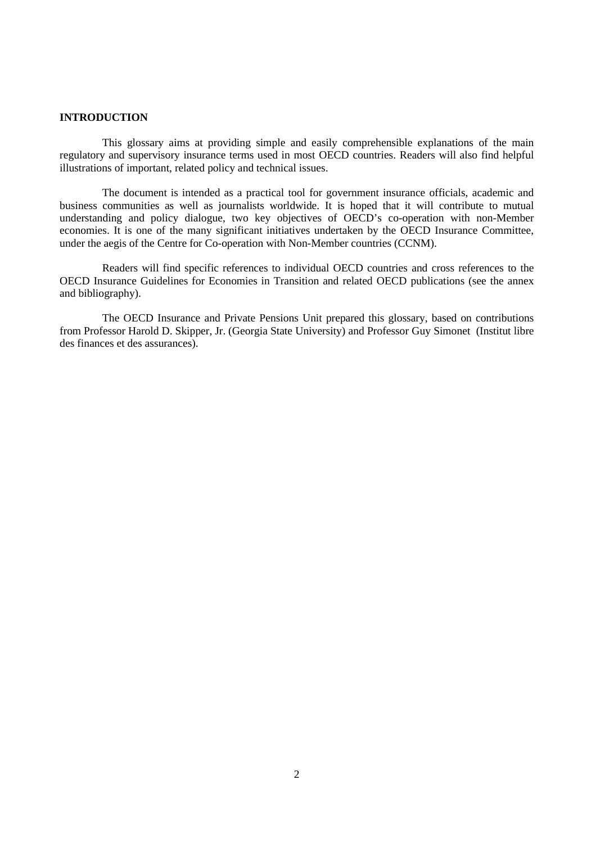# **INTRODUCTION**

This glossary aims at providing simple and easily comprehensible explanations of the main regulatory and supervisory insurance terms used in most OECD countries. Readers will also find helpful illustrations of important, related policy and technical issues.

The document is intended as a practical tool for government insurance officials, academic and business communities as well as journalists worldwide. It is hoped that it will contribute to mutual understanding and policy dialogue, two key objectives of OECD's co-operation with non-Member economies. It is one of the many significant initiatives undertaken by the OECD Insurance Committee, under the aegis of the Centre for Co-operation with Non-Member countries (CCNM).

Readers will find specific references to individual OECD countries and cross references to the OECD Insurance Guidelines for Economies in Transition and related OECD publications (see the annex and bibliography).

The OECD Insurance and Private Pensions Unit prepared this glossary, based on contributions from Professor Harold D. Skipper, Jr. (Georgia State University) and Professor Guy Simonet (Institut libre des finances et des assurances).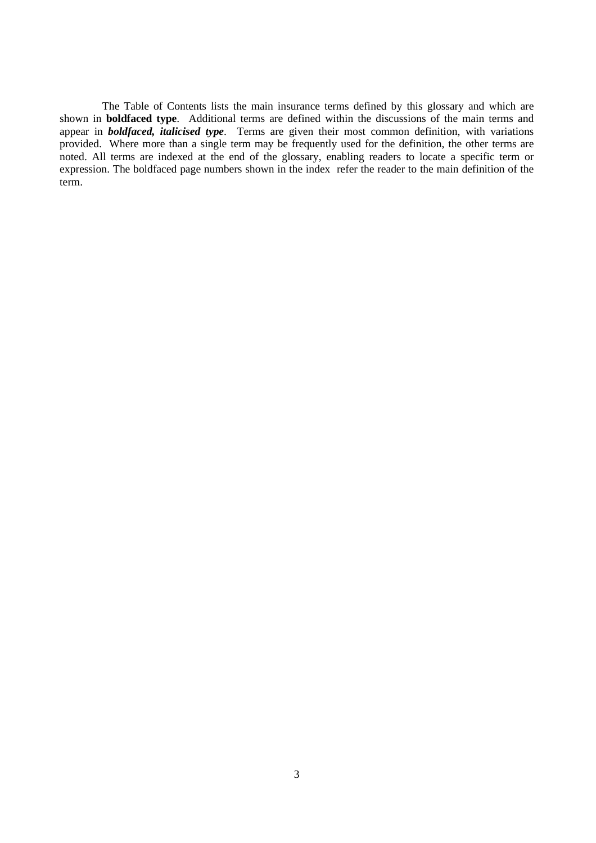The Table of Contents lists the main insurance terms defined by this glossary and which are shown in **boldfaced type**. Additional terms are defined within the discussions of the main terms and appear in *boldfaced, italicised type*. Terms are given their most common definition, with variations provided. Where more than a single term may be frequently used for the definition, the other terms are noted. All terms are indexed at the end of the glossary, enabling readers to locate a specific term or expression. The boldfaced page numbers shown in the index refer the reader to the main definition of the term.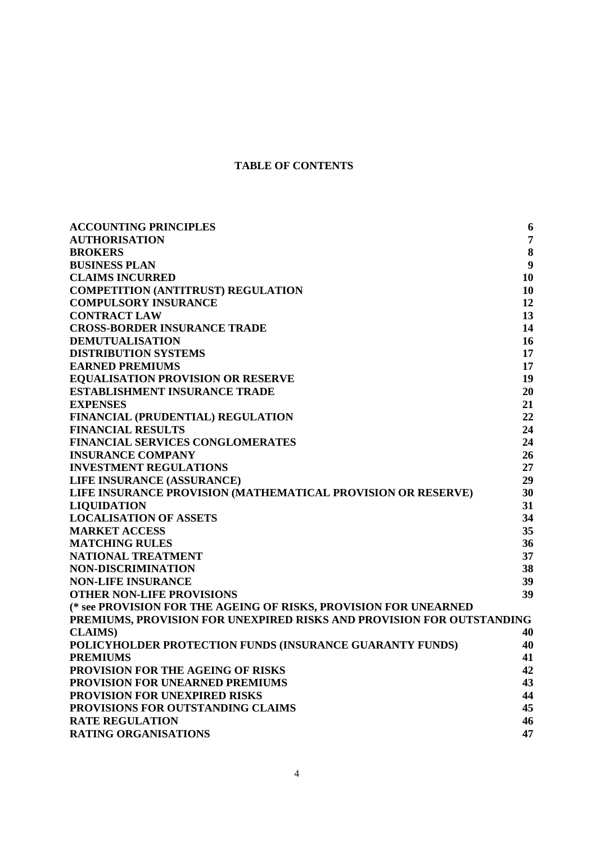# **TABLE OF CONTENTS**

| <b>ACCOUNTING PRINCIPLES</b>                                          | 6              |
|-----------------------------------------------------------------------|----------------|
| <b>AUTHORISATION</b>                                                  | $\overline{7}$ |
| <b>BROKERS</b>                                                        | 8              |
| <b>BUSINESS PLAN</b>                                                  | 9              |
| <b>CLAIMS INCURRED</b>                                                | 10             |
| <b>COMPETITION (ANTITRUST) REGULATION</b>                             | 10             |
| <b>COMPULSORY INSURANCE</b>                                           | 12             |
| <b>CONTRACT LAW</b>                                                   | 13             |
| <b>CROSS-BORDER INSURANCE TRADE</b>                                   | 14             |
| <b>DEMUTUALISATION</b>                                                | 16             |
| <b>DISTRIBUTION SYSTEMS</b>                                           | 17             |
| <b>EARNED PREMIUMS</b>                                                | 17             |
| <b>EQUALISATION PROVISION OR RESERVE</b>                              | 19             |
| <b>ESTABLISHMENT INSURANCE TRADE</b>                                  | 20             |
| <b>EXPENSES</b>                                                       | 21             |
| <b>FINANCIAL (PRUDENTIAL) REGULATION</b>                              | 22             |
| <b>FINANCIAL RESULTS</b>                                              | 24             |
| FINANCIAL SERVICES CONGLOMERATES                                      | 24             |
| <b>INSURANCE COMPANY</b>                                              | 26             |
| <b>INVESTMENT REGULATIONS</b>                                         | 27             |
| <b>LIFE INSURANCE (ASSURANCE)</b>                                     | 29             |
| LIFE INSURANCE PROVISION (MATHEMATICAL PROVISION OR RESERVE)          | 30             |
| <b>LIQUIDATION</b>                                                    | 31             |
| <b>LOCALISATION OF ASSETS</b>                                         | 34             |
| <b>MARKET ACCESS</b>                                                  | 35             |
| <b>MATCHING RULES</b>                                                 | 36             |
| <b>NATIONAL TREATMENT</b>                                             | 37             |
| <b>NON-DISCRIMINATION</b>                                             | 38             |
| <b>NON-LIFE INSURANCE</b>                                             | 39             |
| <b>OTHER NON-LIFE PROVISIONS</b>                                      | 39             |
| (* see PROVISION FOR THE AGEING OF RISKS, PROVISION FOR UNEARNED      |                |
| PREMIUMS, PROVISION FOR UNEXPIRED RISKS AND PROVISION FOR OUTSTANDING |                |
| <b>CLAIMS</b> )                                                       | 40             |
| POLICYHOLDER PROTECTION FUNDS (INSURANCE GUARANTY FUNDS)              | 40             |
| <b>PREMIUMS</b>                                                       | 41             |
| PROVISION FOR THE AGEING OF RISKS                                     | 42             |
| PROVISION FOR UNEARNED PREMIUMS                                       | 43             |
| PROVISION FOR UNEXPIRED RISKS                                         | 44             |
| PROVISIONS FOR OUTSTANDING CLAIMS                                     | 45             |
| <b>RATE REGULATION</b>                                                | 46             |
| <b>RATING ORGANISATIONS</b>                                           | 47             |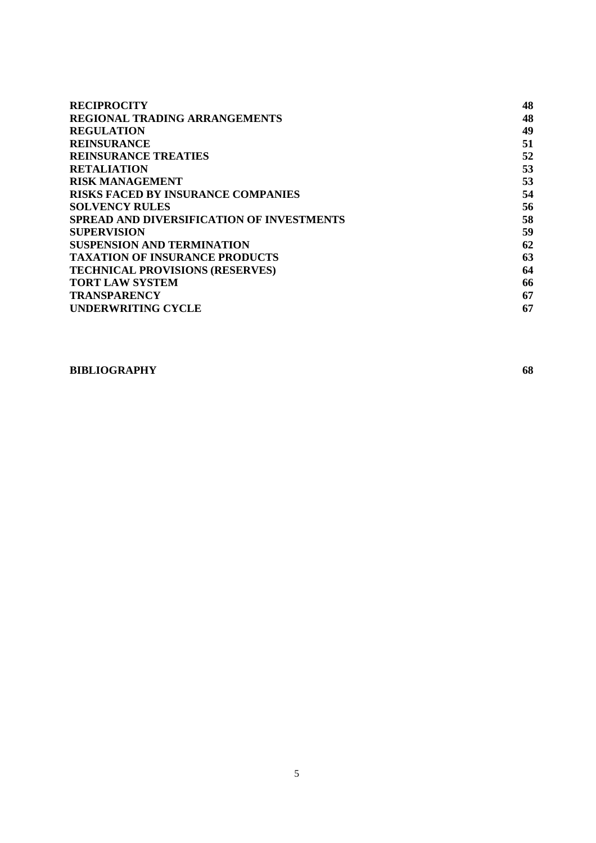| <b>RECIPROCITY</b>                        | 48 |
|-------------------------------------------|----|
| <b>REGIONAL TRADING ARRANGEMENTS</b>      | 48 |
| <b>REGULATION</b>                         | 49 |
| <b>REINSURANCE</b>                        | 51 |
| <b>REINSURANCE TREATIES</b>               | 52 |
| <b>RETALIATION</b>                        | 53 |
| <b>RISK MANAGEMENT</b>                    | 53 |
| <b>RISKS FACED BY INSURANCE COMPANIES</b> | 54 |
| <b>SOLVENCY RULES</b>                     | 56 |
| SPREAD AND DIVERSIFICATION OF INVESTMENTS | 58 |
| <b>SUPERVISION</b>                        | 59 |
| <b>SUSPENSION AND TERMINATION</b>         | 62 |
| <b>TAXATION OF INSURANCE PRODUCTS</b>     | 63 |
| <b>TECHNICAL PROVISIONS (RESERVES)</b>    | 64 |
| <b>TORT LAW SYSTEM</b>                    | 66 |
| <b>TRANSPARENCY</b>                       | 67 |
| UNDERWRITING CYCLE                        | 67 |
|                                           |    |

# **BIBLIOGRAPHY 68**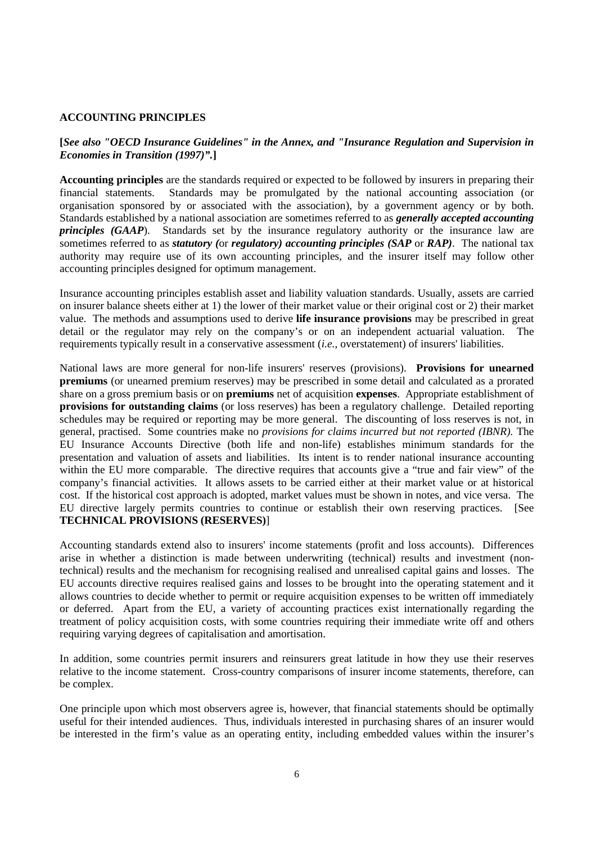#### **ACCOUNTING PRINCIPLES**

# **[***See also "OECD Insurance Guidelines" in the Annex, and "Insurance Regulation and Supervision in Economies in Transition (1997)".***]**

**Accounting principles** are the standards required or expected to be followed by insurers in preparing their financial statements. Standards may be promulgated by the national accounting association (or organisation sponsored by or associated with the association), by a government agency or by both. Standards established by a national association are sometimes referred to as *generally accepted accounting principles* (GAAP). Standards set by the insurance regulatory authority or the insurance law are sometimes referred to as *statutory (*or *regulatory) accounting principles (SAP* or *RAP)*. The national tax authority may require use of its own accounting principles, and the insurer itself may follow other accounting principles designed for optimum management.

Insurance accounting principles establish asset and liability valuation standards. Usually, assets are carried on insurer balance sheets either at 1) the lower of their market value or their original cost or 2) their market value. The methods and assumptions used to derive **life insurance provisions** may be prescribed in great detail or the regulator may rely on the company's or on an independent actuarial valuation. The requirements typically result in a conservative assessment (*i.e.*, overstatement) of insurers' liabilities.

National laws are more general for non-life insurers' reserves (provisions). **Provisions for unearned premiums** (or unearned premium reserves) may be prescribed in some detail and calculated as a prorated share on a gross premium basis or on **premiums** net of acquisition **expenses**. Appropriate establishment of **provisions for outstanding claims** (or loss reserves) has been a regulatory challenge. Detailed reporting schedules may be required or reporting may be more general. The discounting of loss reserves is not, in general, practised. Some countries make no *provisions for claims incurred but not reported (IBNR).* The EU Insurance Accounts Directive (both life and non-life) establishes minimum standards for the presentation and valuation of assets and liabilities. Its intent is to render national insurance accounting within the EU more comparable. The directive requires that accounts give a "true and fair view" of the company's financial activities. It allows assets to be carried either at their market value or at historical cost. If the historical cost approach is adopted, market values must be shown in notes, and vice versa. The EU directive largely permits countries to continue or establish their own reserving practices. [See **TECHNICAL PROVISIONS (RESERVES)**]

Accounting standards extend also to insurers' income statements (profit and loss accounts). Differences arise in whether a distinction is made between underwriting (technical) results and investment (nontechnical) results and the mechanism for recognising realised and unrealised capital gains and losses. The EU accounts directive requires realised gains and losses to be brought into the operating statement and it allows countries to decide whether to permit or require acquisition expenses to be written off immediately or deferred. Apart from the EU, a variety of accounting practices exist internationally regarding the treatment of policy acquisition costs, with some countries requiring their immediate write off and others requiring varying degrees of capitalisation and amortisation.

In addition, some countries permit insurers and reinsurers great latitude in how they use their reserves relative to the income statement. Cross-country comparisons of insurer income statements, therefore, can be complex.

One principle upon which most observers agree is, however, that financial statements should be optimally useful for their intended audiences. Thus, individuals interested in purchasing shares of an insurer would be interested in the firm's value as an operating entity, including embedded values within the insurer's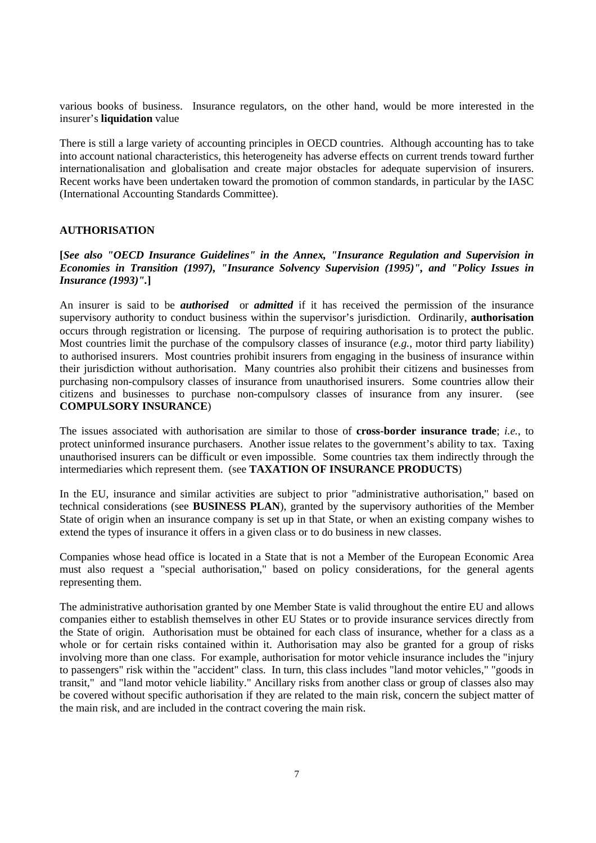various books of business. Insurance regulators, on the other hand, would be more interested in the insurer's **liquidation** value

There is still a large variety of accounting principles in OECD countries. Although accounting has to take into account national characteristics, this heterogeneity has adverse effects on current trends toward further internationalisation and globalisation and create major obstacles for adequate supervision of insurers. Recent works have been undertaken toward the promotion of common standards, in particular by the IASC (International Accounting Standards Committee).

#### **AUTHORISATION**

**[***See also "OECD Insurance Guidelines" in the Annex, "Insurance Regulation and Supervision in Economies in Transition (1997), "Insurance Solvency Supervision (1995)", and "Policy Issues in Insurance (1993)".***]**

An insurer is said to be *authorised* or *admitted* if it has received the permission of the insurance supervisory authority to conduct business within the supervisor's jurisdiction. Ordinarily, **authorisation** occurs through registration or licensing. The purpose of requiring authorisation is to protect the public. Most countries limit the purchase of the compulsory classes of insurance (*e.g.*, motor third party liability) to authorised insurers. Most countries prohibit insurers from engaging in the business of insurance within their jurisdiction without authorisation. Many countries also prohibit their citizens and businesses from purchasing non-compulsory classes of insurance from unauthorised insurers. Some countries allow their citizens and businesses to purchase non-compulsory classes of insurance from any insurer. (see **COMPULSORY INSURANCE**)

The issues associated with authorisation are similar to those of **cross-border insurance trade**; *i.e.*, to protect uninformed insurance purchasers. Another issue relates to the government's ability to tax. Taxing unauthorised insurers can be difficult or even impossible. Some countries tax them indirectly through the intermediaries which represent them. (see **TAXATION OF INSURANCE PRODUCTS**)

In the EU, insurance and similar activities are subject to prior "administrative authorisation," based on technical considerations (see **BUSINESS PLAN**), granted by the supervisory authorities of the Member State of origin when an insurance company is set up in that State, or when an existing company wishes to extend the types of insurance it offers in a given class or to do business in new classes.

Companies whose head office is located in a State that is not a Member of the European Economic Area must also request a "special authorisation," based on policy considerations, for the general agents representing them.

The administrative authorisation granted by one Member State is valid throughout the entire EU and allows companies either to establish themselves in other EU States or to provide insurance services directly from the State of origin. Authorisation must be obtained for each class of insurance, whether for a class as a whole or for certain risks contained within it. Authorisation may also be granted for a group of risks involving more than one class. For example, authorisation for motor vehicle insurance includes the "injury to passengers" risk within the "accident" class. In turn, this class includes "land motor vehicles," "goods in transit," and "land motor vehicle liability." Ancillary risks from another class or group of classes also may be covered without specific authorisation if they are related to the main risk, concern the subject matter of the main risk, and are included in the contract covering the main risk.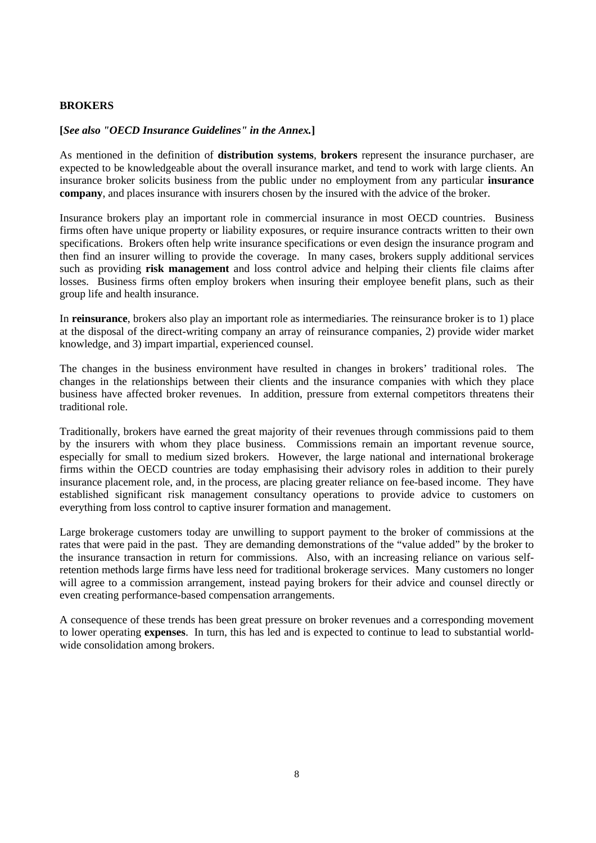# **BROKERS**

#### **[***See also "OECD Insurance Guidelines" in the Annex.***]**

As mentioned in the definition of **distribution systems**, **brokers** represent the insurance purchaser, are expected to be knowledgeable about the overall insurance market, and tend to work with large clients. An insurance broker solicits business from the public under no employment from any particular **insurance company**, and places insurance with insurers chosen by the insured with the advice of the broker.

Insurance brokers play an important role in commercial insurance in most OECD countries. Business firms often have unique property or liability exposures, or require insurance contracts written to their own specifications. Brokers often help write insurance specifications or even design the insurance program and then find an insurer willing to provide the coverage. In many cases, brokers supply additional services such as providing **risk management** and loss control advice and helping their clients file claims after losses. Business firms often employ brokers when insuring their employee benefit plans, such as their group life and health insurance.

In **reinsurance**, brokers also play an important role as intermediaries. The reinsurance broker is to 1) place at the disposal of the direct-writing company an array of reinsurance companies, 2) provide wider market knowledge, and 3) impart impartial, experienced counsel.

The changes in the business environment have resulted in changes in brokers' traditional roles. The changes in the relationships between their clients and the insurance companies with which they place business have affected broker revenues. In addition, pressure from external competitors threatens their traditional role.

Traditionally, brokers have earned the great majority of their revenues through commissions paid to them by the insurers with whom they place business. Commissions remain an important revenue source, especially for small to medium sized brokers. However, the large national and international brokerage firms within the OECD countries are today emphasising their advisory roles in addition to their purely insurance placement role, and, in the process, are placing greater reliance on fee-based income. They have established significant risk management consultancy operations to provide advice to customers on everything from loss control to captive insurer formation and management.

Large brokerage customers today are unwilling to support payment to the broker of commissions at the rates that were paid in the past. They are demanding demonstrations of the "value added" by the broker to the insurance transaction in return for commissions. Also, with an increasing reliance on various selfretention methods large firms have less need for traditional brokerage services. Many customers no longer will agree to a commission arrangement, instead paying brokers for their advice and counsel directly or even creating performance-based compensation arrangements.

A consequence of these trends has been great pressure on broker revenues and a corresponding movement to lower operating **expenses**. In turn, this has led and is expected to continue to lead to substantial worldwide consolidation among brokers.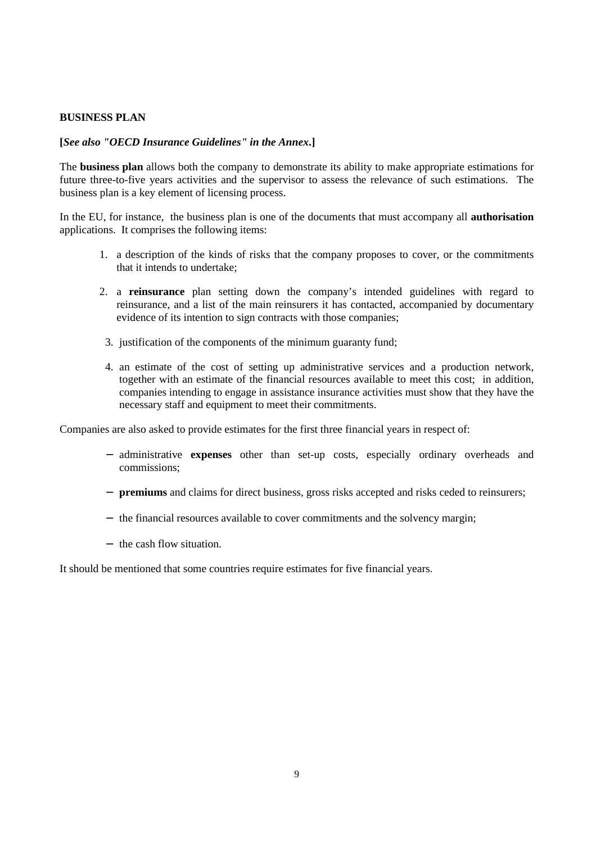#### **BUSINESS PLAN**

#### **[***See also "OECD Insurance Guidelines" in the Annex***.]**

The **business plan** allows both the company to demonstrate its ability to make appropriate estimations for future three-to-five years activities and the supervisor to assess the relevance of such estimations. The business plan is a key element of licensing process.

In the EU, for instance, the business plan is one of the documents that must accompany all **authorisation** applications. It comprises the following items:

- 1. a description of the kinds of risks that the company proposes to cover, or the commitments that it intends to undertake;
- 2. a **reinsurance** plan setting down the company's intended guidelines with regard to reinsurance, and a list of the main reinsurers it has contacted, accompanied by documentary evidence of its intention to sign contracts with those companies;
- 3. justification of the components of the minimum guaranty fund;
- 4. an estimate of the cost of setting up administrative services and a production network, together with an estimate of the financial resources available to meet this cost; in addition, companies intending to engage in assistance insurance activities must show that they have the necessary staff and equipment to meet their commitments.

Companies are also asked to provide estimates for the first three financial years in respect of:

- − administrative **expenses** other than set-up costs, especially ordinary overheads and commissions;
- − **premiums** and claims for direct business, gross risks accepted and risks ceded to reinsurers;
- − the financial resources available to cover commitments and the solvency margin;
- − the cash flow situation.

It should be mentioned that some countries require estimates for five financial years.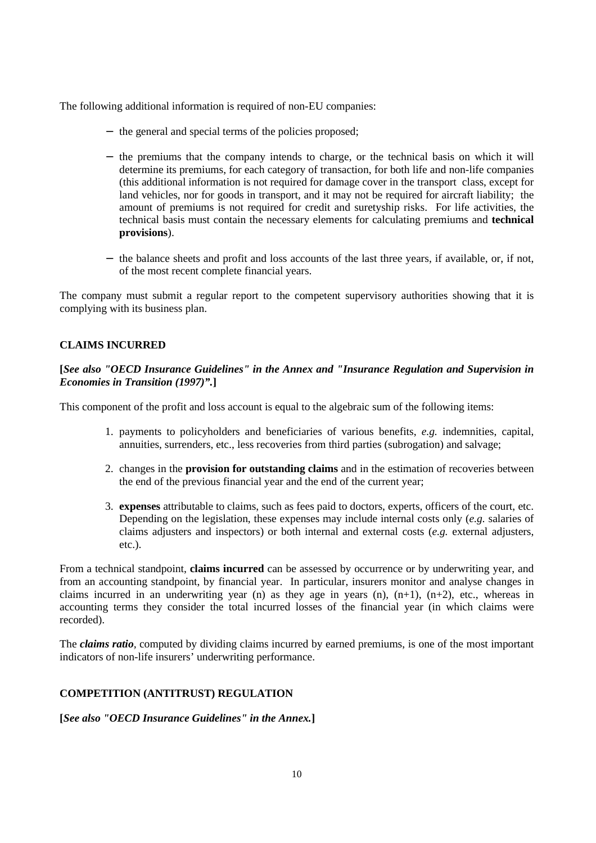The following additional information is required of non-EU companies:

- − the general and special terms of the policies proposed;
- − the premiums that the company intends to charge, or the technical basis on which it will determine its premiums, for each category of transaction, for both life and non-life companies (this additional information is not required for damage cover in the transport class, except for land vehicles, nor for goods in transport, and it may not be required for aircraft liability; the amount of premiums is not required for credit and suretyship risks. For life activities, the technical basis must contain the necessary elements for calculating premiums and **technical provisions**).
- − the balance sheets and profit and loss accounts of the last three years, if available, or, if not, of the most recent complete financial years.

The company must submit a regular report to the competent supervisory authorities showing that it is complying with its business plan.

# **CLAIMS INCURRED**

# **[***See also "OECD Insurance Guidelines" in the Annex and "Insurance Regulation and Supervision in Economies in Transition (1997)".***]**

This component of the profit and loss account is equal to the algebraic sum of the following items:

- 1. payments to policyholders and beneficiaries of various benefits, *e.g.* indemnities, capital, annuities, surrenders, etc., less recoveries from third parties (subrogation) and salvage;
- 2. changes in the **provision for outstanding claims** and in the estimation of recoveries between the end of the previous financial year and the end of the current year;
- 3. **expenses** attributable to claims, such as fees paid to doctors, experts, officers of the court, etc. Depending on the legislation, these expenses may include internal costs only (*e.g.* salaries of claims adjusters and inspectors) or both internal and external costs (*e.g.* external adjusters, etc.).

From a technical standpoint, **claims incurred** can be assessed by occurrence or by underwriting year, and from an accounting standpoint, by financial year. In particular, insurers monitor and analyse changes in claims incurred in an underwriting year (n) as they age in years  $(n)$ ,  $(n+1)$ ,  $(n+2)$ , etc., whereas in accounting terms they consider the total incurred losses of the financial year (in which claims were recorded).

The *claims ratio,* computed by dividing claims incurred by earned premiums, is one of the most important indicators of non-life insurers' underwriting performance.

# **COMPETITION (ANTITRUST) REGULATION**

# **[***See also "OECD Insurance Guidelines" in the Annex.***]**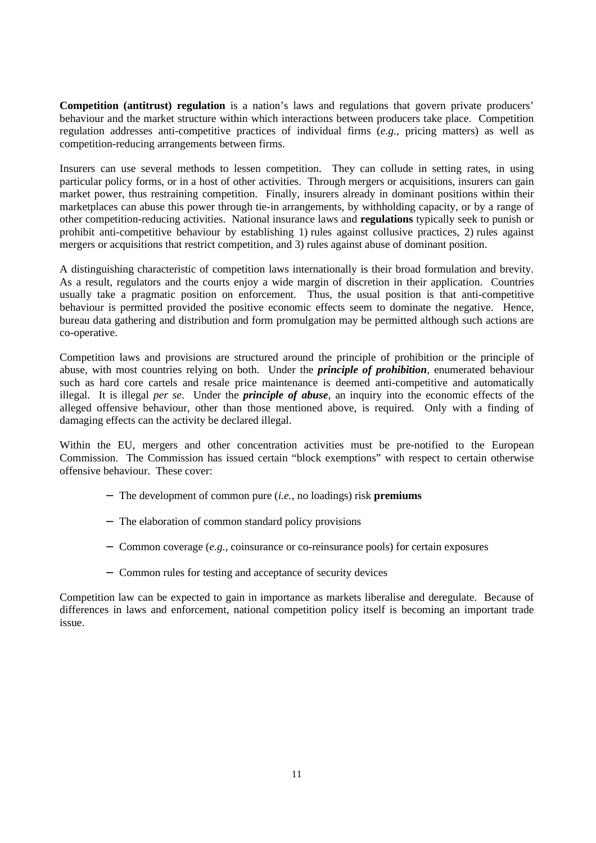**Competition (antitrust) regulation** is a nation's laws and regulations that govern private producers' behaviour and the market structure within which interactions between producers take place. Competition regulation addresses anti-competitive practices of individual firms (*e.g.*, pricing matters) as well as competition-reducing arrangements between firms.

Insurers can use several methods to lessen competition. They can collude in setting rates, in using particular policy forms, or in a host of other activities. Through mergers or acquisitions, insurers can gain market power, thus restraining competition. Finally, insurers already in dominant positions within their marketplaces can abuse this power through tie-in arrangements, by withholding capacity, or by a range of other competition-reducing activities. National insurance laws and **regulations** typically seek to punish or prohibit anti-competitive behaviour by establishing 1) rules against collusive practices, 2) rules against mergers or acquisitions that restrict competition, and 3) rules against abuse of dominant position.

A distinguishing characteristic of competition laws internationally is their broad formulation and brevity. As a result, regulators and the courts enjoy a wide margin of discretion in their application. Countries usually take a pragmatic position on enforcement. Thus, the usual position is that anti-competitive behaviour is permitted provided the positive economic effects seem to dominate the negative. Hence, bureau data gathering and distribution and form promulgation may be permitted although such actions are co-operative.

Competition laws and provisions are structured around the principle of prohibition or the principle of abuse, with most countries relying on both. Under the *principle of prohibition,* enumerated behaviour such as hard core cartels and resale price maintenance is deemed anti-competitive and automatically illegal. It is illegal *per se*. Under the *principle of abuse,* an inquiry into the economic effects of the alleged offensive behaviour, other than those mentioned above, is required. Only with a finding of damaging effects can the activity be declared illegal.

Within the EU, mergers and other concentration activities must be pre-notified to the European Commission. The Commission has issued certain "block exemptions" with respect to certain otherwise offensive behaviour. These cover:

- − The development of common pure (*i.e.*, no loadings) risk **premiums**
- − The elaboration of common standard policy provisions
- − Common coverage (*e.g.*, coinsurance or co-reinsurance pools) for certain exposures
- − Common rules for testing and acceptance of security devices

Competition law can be expected to gain in importance as markets liberalise and deregulate. Because of differences in laws and enforcement, national competition policy itself is becoming an important trade issue.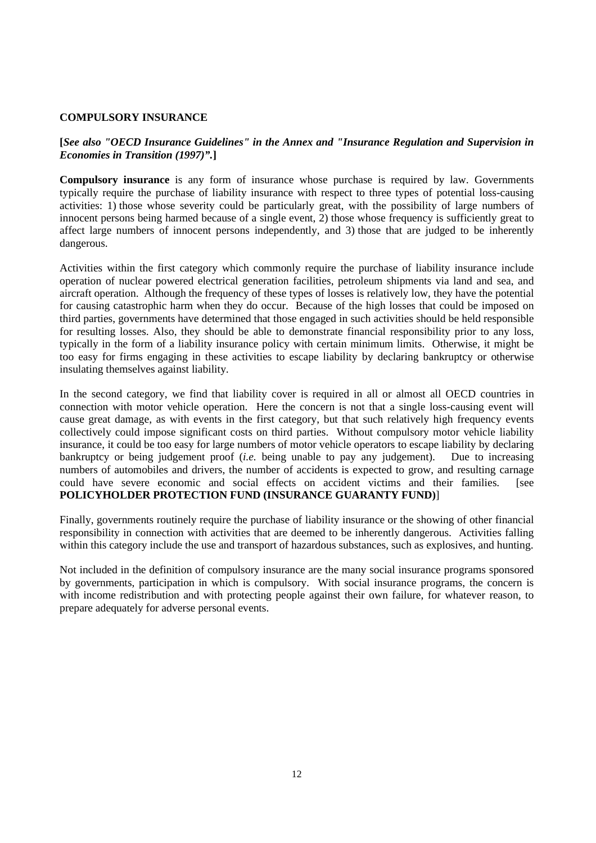#### **COMPULSORY INSURANCE**

# **[***See also "OECD Insurance Guidelines" in the Annex and "Insurance Regulation and Supervision in Economies in Transition (1997)".***]**

**Compulsory insurance** is any form of insurance whose purchase is required by law. Governments typically require the purchase of liability insurance with respect to three types of potential loss-causing activities: 1) those whose severity could be particularly great, with the possibility of large numbers of innocent persons being harmed because of a single event, 2) those whose frequency is sufficiently great to affect large numbers of innocent persons independently, and 3) those that are judged to be inherently dangerous.

Activities within the first category which commonly require the purchase of liability insurance include operation of nuclear powered electrical generation facilities, petroleum shipments via land and sea, and aircraft operation. Although the frequency of these types of losses is relatively low, they have the potential for causing catastrophic harm when they do occur. Because of the high losses that could be imposed on third parties, governments have determined that those engaged in such activities should be held responsible for resulting losses. Also, they should be able to demonstrate financial responsibility prior to any loss, typically in the form of a liability insurance policy with certain minimum limits. Otherwise, it might be too easy for firms engaging in these activities to escape liability by declaring bankruptcy or otherwise insulating themselves against liability.

In the second category, we find that liability cover is required in all or almost all OECD countries in connection with motor vehicle operation. Here the concern is not that a single loss-causing event will cause great damage, as with events in the first category, but that such relatively high frequency events collectively could impose significant costs on third parties. Without compulsory motor vehicle liability insurance, it could be too easy for large numbers of motor vehicle operators to escape liability by declaring bankruptcy or being judgement proof (*i.e.* being unable to pay any judgement). Due to increasing numbers of automobiles and drivers, the number of accidents is expected to grow, and resulting carnage could have severe economic and social effects on accident victims and their families. [see **POLICYHOLDER PROTECTION FUND (INSURANCE GUARANTY FUND)**]

Finally, governments routinely require the purchase of liability insurance or the showing of other financial responsibility in connection with activities that are deemed to be inherently dangerous. Activities falling within this category include the use and transport of hazardous substances, such as explosives, and hunting.

Not included in the definition of compulsory insurance are the many social insurance programs sponsored by governments, participation in which is compulsory. With social insurance programs, the concern is with income redistribution and with protecting people against their own failure, for whatever reason, to prepare adequately for adverse personal events.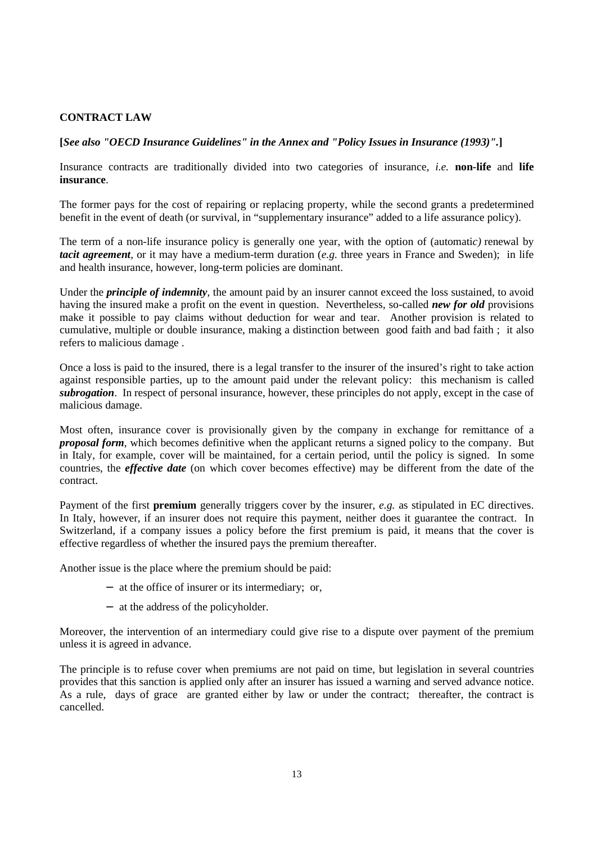# **CONTRACT LAW**

# **[***See also "OECD Insurance Guidelines" in the Annex and "Policy Issues in Insurance (1993)".***]**

Insurance contracts are traditionally divided into two categories of insurance, *i.e.* **non-life** and **life insurance**.

The former pays for the cost of repairing or replacing property, while the second grants a predetermined benefit in the event of death (or survival, in "supplementary insurance" added to a life assurance policy).

The term of a non-life insurance policy is generally one year, with the option of (automati*c)* renewal by *tacit agreement*, or it may have a medium-term duration (*e.g.* three years in France and Sweden); in life and health insurance, however, long-term policies are dominant.

Under the *principle of indemnity*, the amount paid by an insurer cannot exceed the loss sustained, to avoid having the insured make a profit on the event in question. Nevertheless, so-called *new for old* provisions make it possible to pay claims without deduction for wear and tear. Another provision is related to cumulative, multiple or double insurance, making a distinction between good faith and bad faith ; it also refers to malicious damage .

Once a loss is paid to the insured, there is a legal transfer to the insurer of the insured's right to take action against responsible parties, up to the amount paid under the relevant policy: this mechanism is called *subrogation*. In respect of personal insurance, however, these principles do not apply, except in the case of malicious damage.

Most often, insurance cover is provisionally given by the company in exchange for remittance of a *proposal form*, which becomes definitive when the applicant returns a signed policy to the company. But in Italy, for example, cover will be maintained, for a certain period, until the policy is signed. In some countries, the *effective date* (on which cover becomes effective) may be different from the date of the contract.

Payment of the first **premium** generally triggers cover by the insurer, *e.g.* as stipulated in EC directives. In Italy, however, if an insurer does not require this payment, neither does it guarantee the contract. In Switzerland, if a company issues a policy before the first premium is paid, it means that the cover is effective regardless of whether the insured pays the premium thereafter.

Another issue is the place where the premium should be paid:

- − at the office of insurer or its intermediary; or,
- − at the address of the policyholder.

Moreover, the intervention of an intermediary could give rise to a dispute over payment of the premium unless it is agreed in advance.

The principle is to refuse cover when premiums are not paid on time, but legislation in several countries provides that this sanction is applied only after an insurer has issued a warning and served advance notice. As a rule, days of grace are granted either by law or under the contract; thereafter, the contract is cancelled.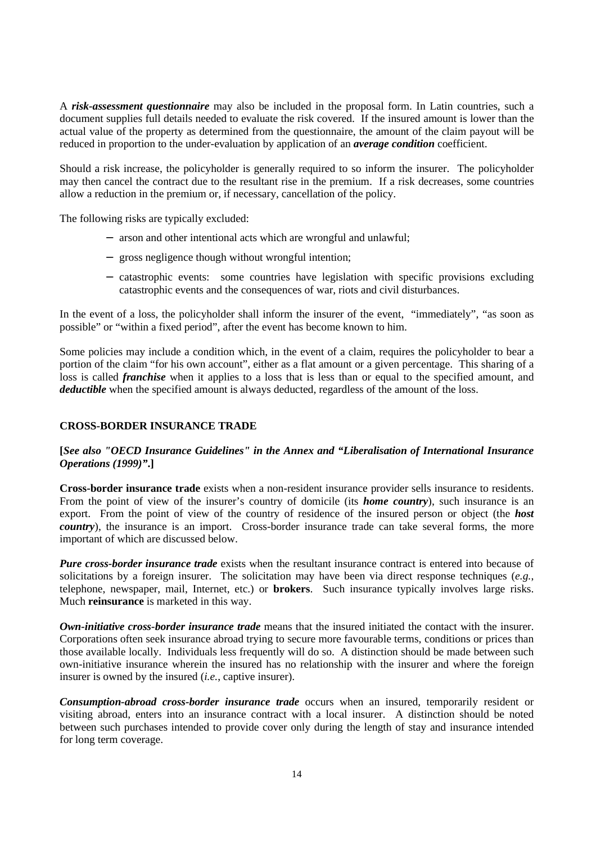A *risk-assessment questionnaire* may also be included in the proposal form. In Latin countries, such a document supplies full details needed to evaluate the risk covered. If the insured amount is lower than the actual value of the property as determined from the questionnaire, the amount of the claim payout will be reduced in proportion to the under-evaluation by application of an *average condition* coefficient.

Should a risk increase, the policyholder is generally required to so inform the insurer. The policyholder may then cancel the contract due to the resultant rise in the premium. If a risk decreases, some countries allow a reduction in the premium or, if necessary, cancellation of the policy.

The following risks are typically excluded:

- − arson and other intentional acts which are wrongful and unlawful;
- − gross negligence though without wrongful intention;
- − catastrophic events: some countries have legislation with specific provisions excluding catastrophic events and the consequences of war, riots and civil disturbances.

In the event of a loss, the policyholder shall inform the insurer of the event, "immediately", "as soon as possible" or "within a fixed period", after the event has become known to him.

Some policies may include a condition which, in the event of a claim, requires the policyholder to bear a portion of the claim "for his own account", either as a flat amount or a given percentage. This sharing of a loss is called *franchise* when it applies to a loss that is less than or equal to the specified amount, and *deductible* when the specified amount is always deducted, regardless of the amount of the loss.

# **CROSS-BORDER INSURANCE TRADE**

# **[***See also "OECD Insurance Guidelines" in the Annex and "Liberalisation of International Insurance Operations (1999)"***.]**

**Cross-border insurance trade** exists when a non-resident insurance provider sells insurance to residents. From the point of view of the insurer's country of domicile (its *home country*), such insurance is an export. From the point of view of the country of residence of the insured person or object (the *host country*), the insurance is an import. Cross-border insurance trade can take several forms, the more important of which are discussed below.

*Pure cross-border insurance trade* exists when the resultant insurance contract is entered into because of solicitations by a foreign insurer. The solicitation may have been via direct response techniques (*e.g.*, telephone, newspaper, mail, Internet, etc.) or **brokers**. Such insurance typically involves large risks. Much **reinsurance** is marketed in this way.

*Own-initiative cross-border insurance trade* means that the insured initiated the contact with the insurer. Corporations often seek insurance abroad trying to secure more favourable terms, conditions or prices than those available locally. Individuals less frequently will do so. A distinction should be made between such own-initiative insurance wherein the insured has no relationship with the insurer and where the foreign insurer is owned by the insured (*i.e.*, captive insurer).

*Consumption-abroad cross-border insurance trade* occurs when an insured, temporarily resident or visiting abroad, enters into an insurance contract with a local insurer. A distinction should be noted between such purchases intended to provide cover only during the length of stay and insurance intended for long term coverage.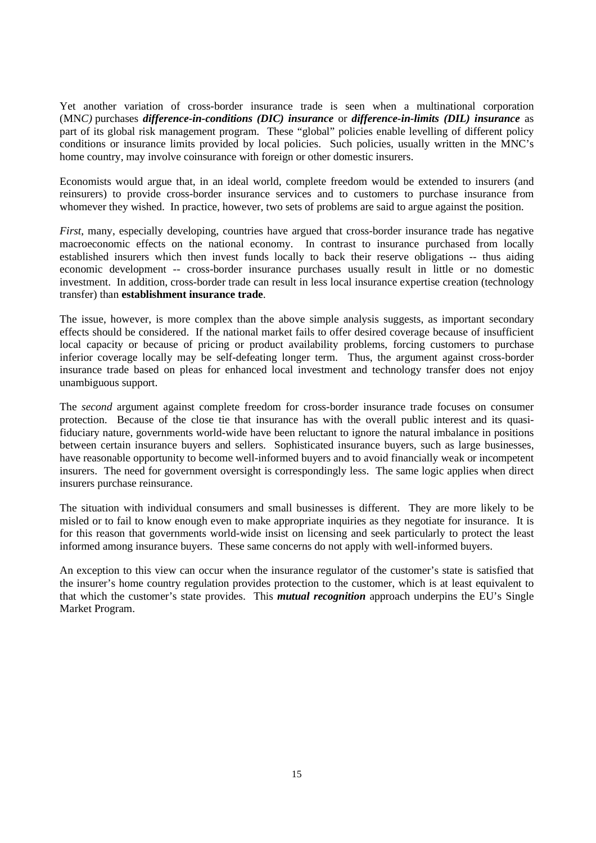Yet another variation of cross-border insurance trade is seen when a multinational corporation (MN*C)* purchases *difference-in-conditions (DIC) insurance* or *difference-in-limits (DIL) insurance* as part of its global risk management program. These "global" policies enable levelling of different policy conditions or insurance limits provided by local policies. Such policies, usually written in the MNC's home country, may involve coinsurance with foreign or other domestic insurers.

Economists would argue that, in an ideal world, complete freedom would be extended to insurers (and reinsurers) to provide cross-border insurance services and to customers to purchase insurance from whomever they wished. In practice, however, two sets of problems are said to argue against the position.

*First*, many, especially developing, countries have argued that cross-border insurance trade has negative macroeconomic effects on the national economy. In contrast to insurance purchased from locally established insurers which then invest funds locally to back their reserve obligations -- thus aiding economic development -- cross-border insurance purchases usually result in little or no domestic investment. In addition, cross-border trade can result in less local insurance expertise creation (technology transfer) than **establishment insurance trade**.

The issue, however, is more complex than the above simple analysis suggests, as important secondary effects should be considered. If the national market fails to offer desired coverage because of insufficient local capacity or because of pricing or product availability problems, forcing customers to purchase inferior coverage locally may be self-defeating longer term. Thus, the argument against cross-border insurance trade based on pleas for enhanced local investment and technology transfer does not enjoy unambiguous support.

The *second* argument against complete freedom for cross-border insurance trade focuses on consumer protection. Because of the close tie that insurance has with the overall public interest and its quasifiduciary nature, governments world-wide have been reluctant to ignore the natural imbalance in positions between certain insurance buyers and sellers. Sophisticated insurance buyers, such as large businesses, have reasonable opportunity to become well-informed buyers and to avoid financially weak or incompetent insurers. The need for government oversight is correspondingly less. The same logic applies when direct insurers purchase reinsurance.

The situation with individual consumers and small businesses is different. They are more likely to be misled or to fail to know enough even to make appropriate inquiries as they negotiate for insurance. It is for this reason that governments world-wide insist on licensing and seek particularly to protect the least informed among insurance buyers. These same concerns do not apply with well-informed buyers.

An exception to this view can occur when the insurance regulator of the customer's state is satisfied that the insurer's home country regulation provides protection to the customer, which is at least equivalent to that which the customer's state provides. This *mutual recognition* approach underpins the EU's Single Market Program.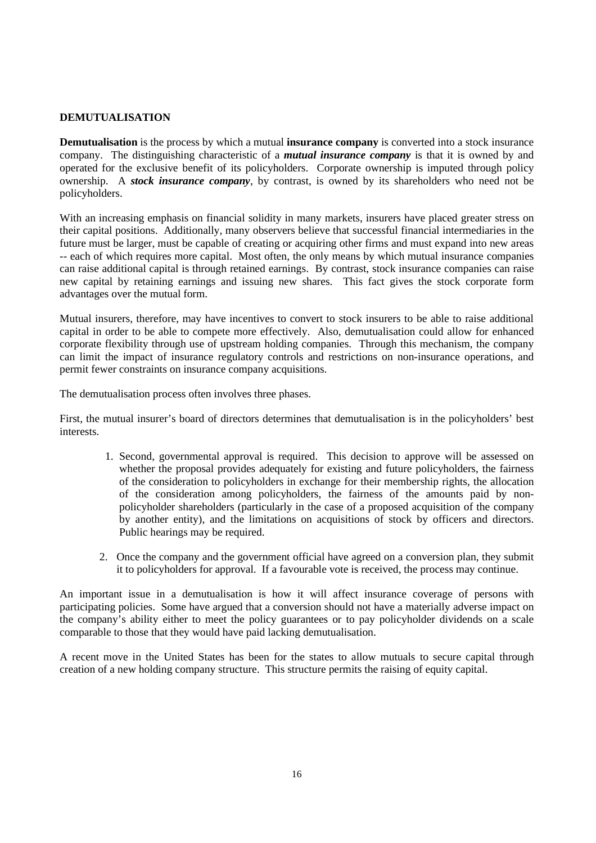# **DEMUTUALISATION**

**Demutualisation** is the process by which a mutual **insurance company** is converted into a stock insurance company. The distinguishing characteristic of a *mutual insurance company* is that it is owned by and operated for the exclusive benefit of its policyholders. Corporate ownership is imputed through policy ownership. A *stock insurance company*, by contrast, is owned by its shareholders who need not be policyholders.

With an increasing emphasis on financial solidity in many markets, insurers have placed greater stress on their capital positions. Additionally, many observers believe that successful financial intermediaries in the future must be larger, must be capable of creating or acquiring other firms and must expand into new areas -- each of which requires more capital. Most often, the only means by which mutual insurance companies can raise additional capital is through retained earnings. By contrast, stock insurance companies can raise new capital by retaining earnings and issuing new shares. This fact gives the stock corporate form advantages over the mutual form.

Mutual insurers, therefore, may have incentives to convert to stock insurers to be able to raise additional capital in order to be able to compete more effectively. Also, demutualisation could allow for enhanced corporate flexibility through use of upstream holding companies. Through this mechanism, the company can limit the impact of insurance regulatory controls and restrictions on non-insurance operations, and permit fewer constraints on insurance company acquisitions.

The demutualisation process often involves three phases.

First, the mutual insurer's board of directors determines that demutualisation is in the policyholders' best interests.

- 1. Second, governmental approval is required. This decision to approve will be assessed on whether the proposal provides adequately for existing and future policyholders, the fairness of the consideration to policyholders in exchange for their membership rights, the allocation of the consideration among policyholders, the fairness of the amounts paid by nonpolicyholder shareholders (particularly in the case of a proposed acquisition of the company by another entity), and the limitations on acquisitions of stock by officers and directors. Public hearings may be required.
- 2. Once the company and the government official have agreed on a conversion plan, they submit it to policyholders for approval. If a favourable vote is received, the process may continue.

An important issue in a demutualisation is how it will affect insurance coverage of persons with participating policies. Some have argued that a conversion should not have a materially adverse impact on the company's ability either to meet the policy guarantees or to pay policyholder dividends on a scale comparable to those that they would have paid lacking demutualisation.

A recent move in the United States has been for the states to allow mutuals to secure capital through creation of a new holding company structure. This structure permits the raising of equity capital.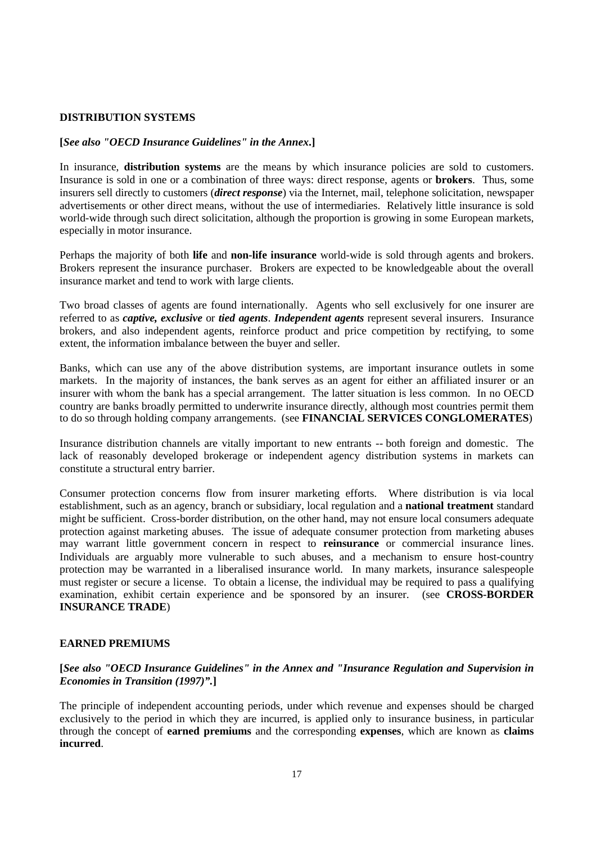#### **DISTRIBUTION SYSTEMS**

#### **[***See also "OECD Insurance Guidelines" in the Annex***.]**

In insurance, **distribution systems** are the means by which insurance policies are sold to customers. Insurance is sold in one or a combination of three ways: direct response, agents or **brokers**. Thus, some insurers sell directly to customers (*direct response*) via the Internet, mail, telephone solicitation, newspaper advertisements or other direct means, without the use of intermediaries. Relatively little insurance is sold world-wide through such direct solicitation, although the proportion is growing in some European markets, especially in motor insurance.

Perhaps the majority of both **life** and **non-life insurance** world-wide is sold through agents and brokers. Brokers represent the insurance purchaser. Brokers are expected to be knowledgeable about the overall insurance market and tend to work with large clients.

Two broad classes of agents are found internationally. Agents who sell exclusively for one insurer are referred to as *captive, exclusive* or *tied agents*. *Independent agents* represent several insurers. Insurance brokers, and also independent agents, reinforce product and price competition by rectifying, to some extent, the information imbalance between the buyer and seller.

Banks, which can use any of the above distribution systems, are important insurance outlets in some markets. In the majority of instances, the bank serves as an agent for either an affiliated insurer or an insurer with whom the bank has a special arrangement. The latter situation is less common. In no OECD country are banks broadly permitted to underwrite insurance directly, although most countries permit them to do so through holding company arrangements. (see **FINANCIAL SERVICES CONGLOMERATES**)

Insurance distribution channels are vitally important to new entrants -- both foreign and domestic. The lack of reasonably developed brokerage or independent agency distribution systems in markets can constitute a structural entry barrier.

Consumer protection concerns flow from insurer marketing efforts. Where distribution is via local establishment, such as an agency, branch or subsidiary, local regulation and a **national treatment** standard might be sufficient. Cross-border distribution, on the other hand, may not ensure local consumers adequate protection against marketing abuses. The issue of adequate consumer protection from marketing abuses may warrant little government concern in respect to **reinsurance** or commercial insurance lines. Individuals are arguably more vulnerable to such abuses, and a mechanism to ensure host-country protection may be warranted in a liberalised insurance world. In many markets, insurance salespeople must register or secure a license. To obtain a license, the individual may be required to pass a qualifying examination, exhibit certain experience and be sponsored by an insurer. (see **CROSS-BORDER INSURANCE TRADE**)

#### **EARNED PREMIUMS**

# **[***See also "OECD Insurance Guidelines" in the Annex and "Insurance Regulation and Supervision in Economies in Transition (1997)".***]**

The principle of independent accounting periods, under which revenue and expenses should be charged  $\alpha$  exclusively to the period in which they are incurred, is applied only to insurance business, in particular through the concept of **earned premiums** and the corresponding **expenses**, which are known as **claims incurred**.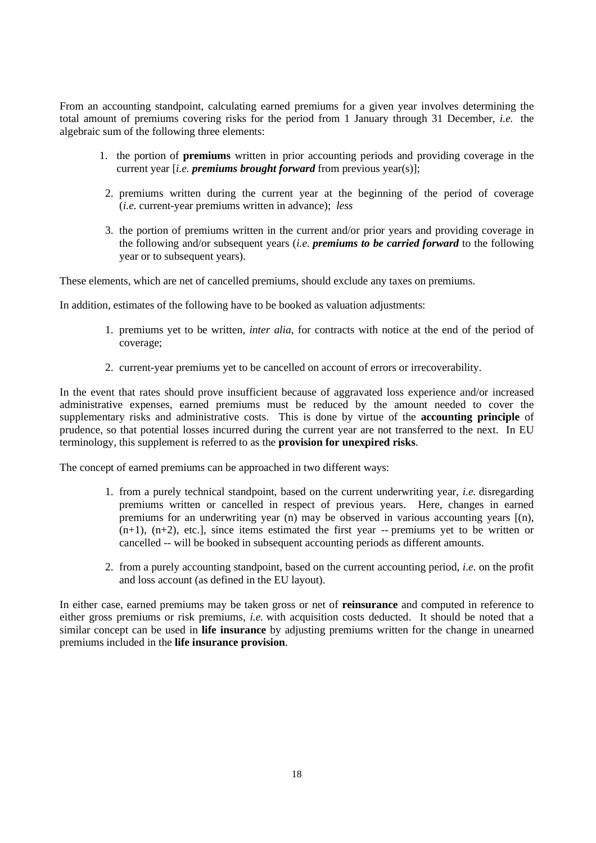From an accounting standpoint, calculating earned premiums for a given year involves determining the total amount of premiums covering risks for the period from 1 January through 31 December, *i.e.* the algebraic sum of the following three elements:

- 1. the portion of **premiums** written in prior accounting periods and providing coverage in the current year [*i.e. premiums brought forward* from previous year(s)];
- 2. premiums written during the current year at the beginning of the period of coverage (*i.e.* current-year premiums written in advance); *less*
- 3. the portion of premiums written in the current and/or prior years and providing coverage in the following and/or subsequent years (*i.e. premiums to be carried forward* to the following year or to subsequent years).

These elements, which are net of cancelled premiums, should exclude any taxes on premiums.

In addition, estimates of the following have to be booked as valuation adjustments:

- 1. premiums yet to be written, *inter alia*, for contracts with notice at the end of the period of coverage;
- 2. current-year premiums yet to be cancelled on account of errors or irrecoverability.

In the event that rates should prove insufficient because of aggravated loss experience and/or increased administrative expenses, earned premiums must be reduced by the amount needed to cover the supplementary risks and administrative costs. This is done by virtue of the **accounting principle** of prudence, so that potential losses incurred during the current year are not transferred to the next. In EU terminology, this supplement is referred to as the **provision for unexpired risks**.

The concept of earned premiums can be approached in two different ways:

- 1. from a purely technical standpoint, based on the current underwriting year, *i.e.* disregarding premiums written or cancelled in respect of previous years. Here, changes in earned premiums for an underwriting year (n) may be observed in various accounting years [(n),  $(n+1)$ ,  $(n+2)$ , etc.], since items estimated the first year -- premiums yet to be written or cancelled -- will be booked in subsequent accounting periods as different amounts.
- 2. from a purely accounting standpoint, based on the current accounting period, *i.e.* on the profit and loss account (as defined in the EU layout).

In either case, earned premiums may be taken gross or net of **reinsurance** and computed in reference to either gross premiums or risk premiums, *i.e.* with acquisition costs deducted. It should be noted that a similar concept can be used in **life insurance** by adjusting premiums written for the change in unearned premiums included in the **life insurance provision**.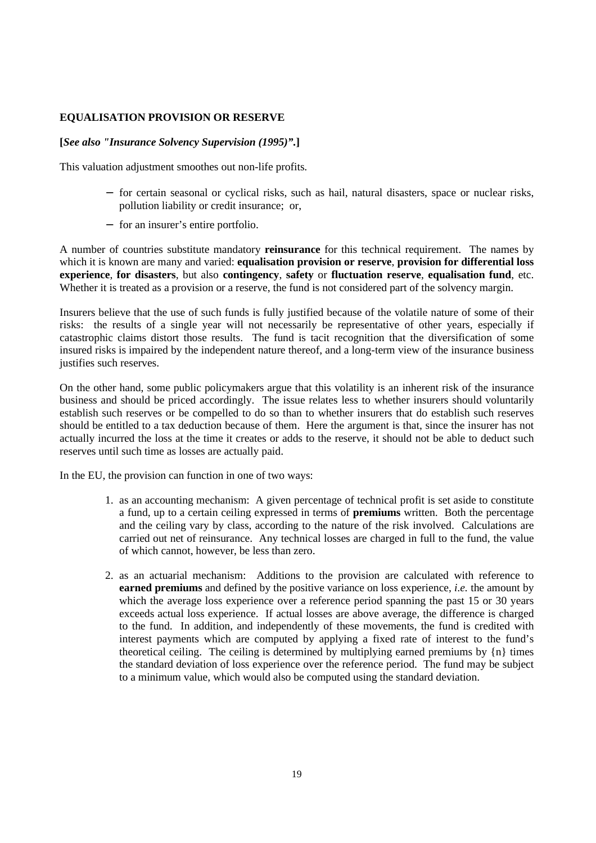# **EQUALISATION PROVISION OR RESERVE**

#### **[***See also "Insurance Solvency Supervision (1995)".***]**

This valuation adjustment smoothes out non-life profits*.*

- − for certain seasonal or cyclical risks, such as hail, natural disasters, space or nuclear risks, pollution liability or credit insurance; or,
- − for an insurer's entire portfolio.

A number of countries substitute mandatory **reinsurance** for this technical requirement. The names by which it is known are many and varied: **equalisation provision or reserve**, **provision for differential loss experience**, **for disasters**, but also **contingency**, **safety** or **fluctuation reserve**, **equalisation fund**, etc. Whether it is treated as a provision or a reserve, the fund is not considered part of the solvency margin.

Insurers believe that the use of such funds is fully justified because of the volatile nature of some of their risks: the results of a single year will not necessarily be representative of other years, especially if catastrophic claims distort those results. The fund is tacit recognition that the diversification of some insured risks is impaired by the independent nature thereof, and a long-term view of the insurance business justifies such reserves.

On the other hand, some public policymakers argue that this volatility is an inherent risk of the insurance business and should be priced accordingly. The issue relates less to whether insurers should voluntarily establish such reserves or be compelled to do so than to whether insurers that do establish such reserves should be entitled to a tax deduction because of them. Here the argument is that, since the insurer has not actually incurred the loss at the time it creates or adds to the reserve, it should not be able to deduct such reserves until such time as losses are actually paid.

In the EU, the provision can function in one of two ways:

- 1. as an accounting mechanism: A given percentage of technical profit is set aside to constitute a fund, up to a certain ceiling expressed in terms of **premiums** written. Both the percentage and the ceiling vary by class, according to the nature of the risk involved. Calculations are carried out net of reinsurance. Any technical losses are charged in full to the fund, the value of which cannot, however, be less than zero.
- 2. as an actuarial mechanism: Additions to the provision are calculated with reference to **earned premiums** and defined by the positive variance on loss experience, *i.e.* the amount by which the average loss experience over a reference period spanning the past 15 or 30 years exceeds actual loss experience. If actual losses are above average, the difference is charged to the fund. In addition, and independently of these movements, the fund is credited with interest payments which are computed by applying a fixed rate of interest to the fund's theoretical ceiling. The ceiling is determined by multiplying earned premiums by  $\{n\}$  times the standard deviation of loss experience over the reference period. The fund may be subject to a minimum value, which would also be computed using the standard deviation.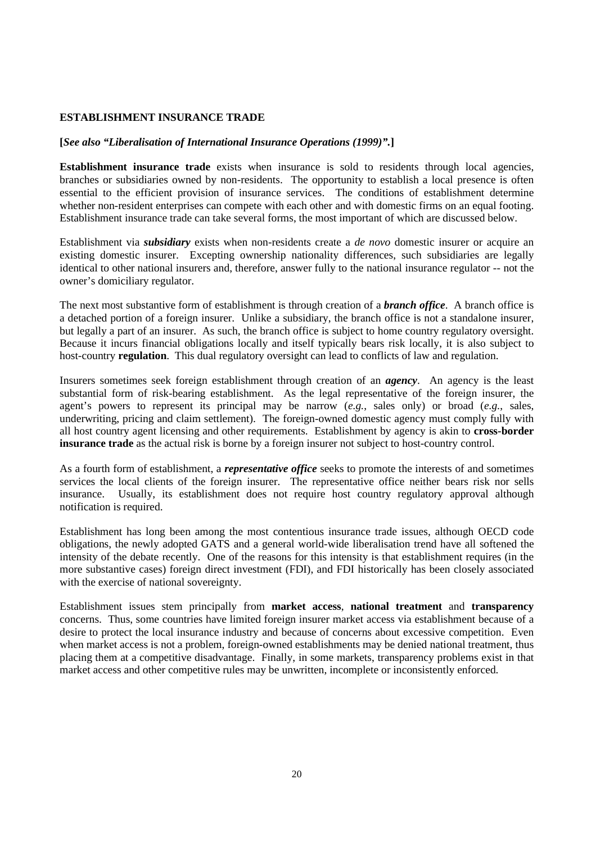#### **ESTABLISHMENT INSURANCE TRADE**

#### **[***See also "Liberalisation of International Insurance Operations (1999)".***]**

**Establishment insurance trade** exists when insurance is sold to residents through local agencies, branches or subsidiaries owned by non-residents. The opportunity to establish a local presence is often essential to the efficient provision of insurance services. The conditions of establishment determine whether non-resident enterprises can compete with each other and with domestic firms on an equal footing. Establishment insurance trade can take several forms, the most important of which are discussed below.

Establishment via *subsidiary* exists when non-residents create a *de novo* domestic insurer or acquire an existing domestic insurer. Excepting ownership nationality differences, such subsidiaries are legally identical to other national insurers and, therefore, answer fully to the national insurance regulator -- not the owner's domiciliary regulator.

The next most substantive form of establishment is through creation of a *branch office*. A branch office is a detached portion of a foreign insurer. Unlike a subsidiary, the branch office is not a standalone insurer, but legally a part of an insurer. As such, the branch office is subject to home country regulatory oversight. Because it incurs financial obligations locally and itself typically bears risk locally, it is also subject to host-country **regulation**. This dual regulatory oversight can lead to conflicts of law and regulation.

Insurers sometimes seek foreign establishment through creation of an *agency*. An agency is the least substantial form of risk-bearing establishment. As the legal representative of the foreign insurer, the agent's powers to represent its principal may be narrow (*e.g.*, sales only) or broad (*e.g.*, sales, underwriting, pricing and claim settlement). The foreign-owned domestic agency must comply fully with all host country agent licensing and other requirements. Establishment by agency is akin to **cross-border insurance trade** as the actual risk is borne by a foreign insurer not subject to host-country control.

As a fourth form of establishment, a *representative office* seeks to promote the interests of and sometimes services the local clients of the foreign insurer. The representative office neither bears risk nor sells insurance. Usually, its establishment does not require host country regulatory approval although notification is required.

Establishment has long been among the most contentious insurance trade issues, although OECD code obligations, the newly adopted GATS and a general world-wide liberalisation trend have all softened the intensity of the debate recently. One of the reasons for this intensity is that establishment requires (in the more substantive cases) foreign direct investment (FDI), and FDI historically has been closely associated with the exercise of national sovereignty.

Establishment issues stem principally from **market access**, **national treatment** and **transparency** concerns. Thus, some countries have limited foreign insurer market access via establishment because of a desire to protect the local insurance industry and because of concerns about excessive competition. Even when market access is not a problem, foreign-owned establishments may be denied national treatment, thus placing them at a competitive disadvantage. Finally, in some markets, transparency problems exist in that market access and other competitive rules may be unwritten, incomplete or inconsistently enforced.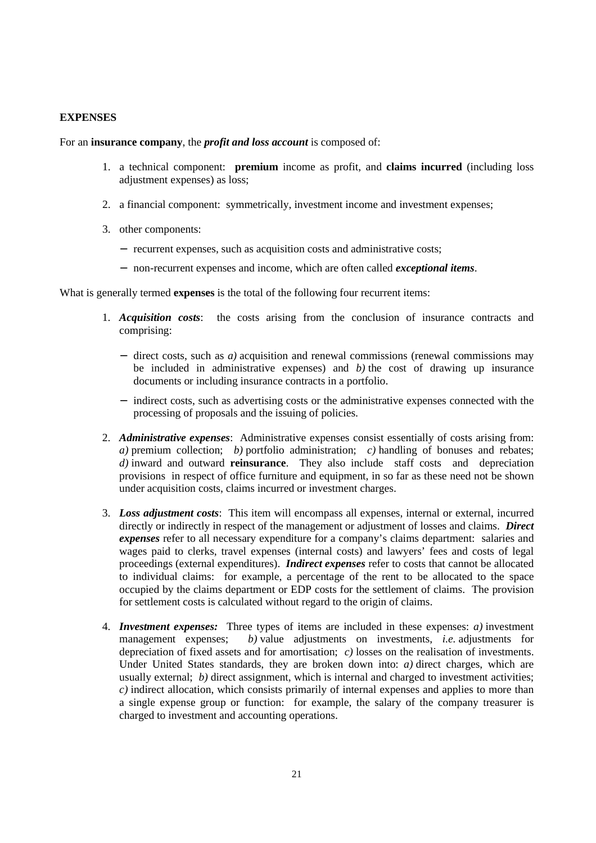#### **EXPENSES**

For an **insurance company**, the *profit and loss account* is composed of:

- 1. a technical component: **premium** income as profit, and **claims incurred** (including loss adjustment expenses) as loss;
- 2. a financial component: symmetrically, investment income and investment expenses;
- 3. other components:
	- − recurrent expenses, such as acquisition costs and administrative costs;
	- − non-recurrent expenses and income, which are often called *exceptional items*.

What is generally termed **expenses** is the total of the following four recurrent items:

- 1. *Acquisition costs*: the costs arising from the conclusion of insurance contracts and comprising:
	- − direct costs, such as *a)* acquisition and renewal commissions (renewal commissions may be included in administrative expenses) and *b)* the cost of drawing up insurance documents or including insurance contracts in a portfolio.
	- − indirect costs, such as advertising costs or the administrative expenses connected with the processing of proposals and the issuing of policies.
- 2. *Administrative expenses*: Administrative expenses consist essentially of costs arising from: *a)* premium collection; *b)* portfolio administration; *c)* handling of bonuses and rebates; *d)* inward and outward **reinsurance**. They also include staff costs and depreciation provisions in respect of office furniture and equipment, in so far as these need not be shown under acquisition costs, claims incurred or investment charges.
- 3. *Loss adjustment costs*: This item will encompass all expenses, internal or external, incurred directly or indirectly in respect of the management or adjustment of losses and claims. *Direct expenses* refer to all necessary expenditure for a company's claims department: salaries and wages paid to clerks, travel expenses (internal costs) and lawyers' fees and costs of legal proceedings (external expenditures). *Indirect expenses* refer to costs that cannot be allocated to individual claims: for example, a percentage of the rent to be allocated to the space occupied by the claims department or EDP costs for the settlement of claims. The provision for settlement costs is calculated without regard to the origin of claims.
- 4. *Investment expenses:* Three types of items are included in these expenses: *a)* investment management expenses; *b)* value adjustments on investments, *i.e.* adjustments for depreciation of fixed assets and for amortisation; *c)* losses on the realisation of investments. Under United States standards, they are broken down into: *a)* direct charges, which are usually external; *b)* direct assignment, which is internal and charged to investment activities; *c)* indirect allocation, which consists primarily of internal expenses and applies to more than a single expense group or function: for example, the salary of the company treasurer is charged to investment and accounting operations.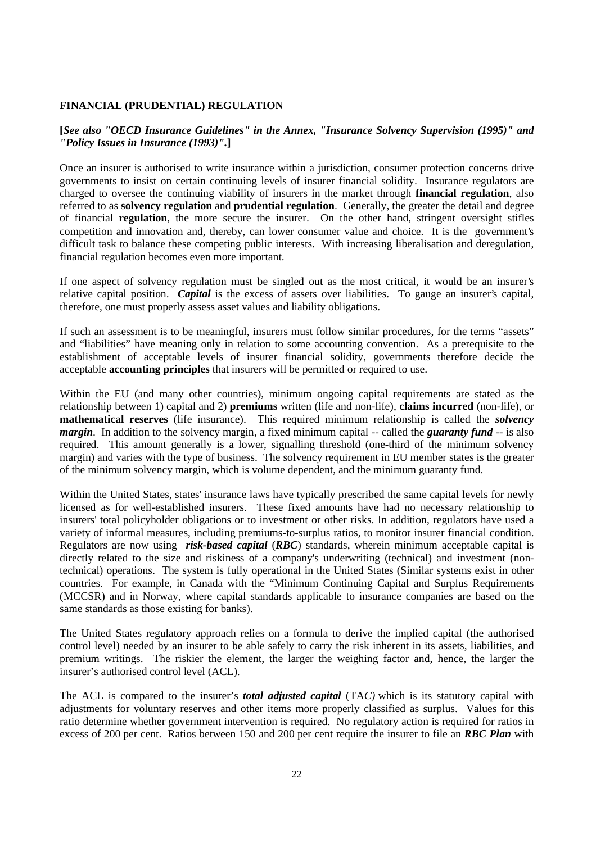#### **FINANCIAL (PRUDENTIAL) REGULATION**

# **[***See also "OECD Insurance Guidelines" in the Annex, "Insurance Solvency Supervision (1995)" and "Policy Issues in Insurance (1993)".***]**

Once an insurer is authorised to write insurance within a jurisdiction, consumer protection concerns drive governments to insist on certain continuing levels of insurer financial solidity. Insurance regulators are charged to oversee the continuing viability of insurers in the market through **financial regulation**, also referred to as **solvency regulation** and **prudential regulation**. Generally, the greater the detail and degree of financial **regulation**, the more secure the insurer. On the other hand, stringent oversight stifles competition and innovation and, thereby, can lower consumer value and choice. It is the government's difficult task to balance these competing public interests. With increasing liberalisation and deregulation, financial regulation becomes even more important.

If one aspect of solvency regulation must be singled out as the most critical, it would be an insurer's relative capital position. *Capital* is the excess of assets over liabilities. To gauge an insurer's capital, therefore, one must properly assess asset values and liability obligations.

If such an assessment is to be meaningful, insurers must follow similar procedures, for the terms "assets" and "liabilities" have meaning only in relation to some accounting convention. As a prerequisite to the establishment of acceptable levels of insurer financial solidity, governments therefore decide the acceptable **accounting principles** that insurers will be permitted or required to use.

Within the EU (and many other countries), minimum ongoing capital requirements are stated as the relationship between 1) capital and 2) **premiums** written (life and non-life), **claims incurred** (non-life), or **mathematical reserves** (life insurance). This required minimum relationship is called the *solvency margin*. In addition to the solvency margin, a fixed minimum capital -- called the *guaranty fund* -- is also required. This amount generally is a lower, signalling threshold (one-third of the minimum solvency margin) and varies with the type of business. The solvency requirement in EU member states is the greater of the minimum solvency margin, which is volume dependent, and the minimum guaranty fund.

Within the United States, states' insurance laws have typically prescribed the same capital levels for newly licensed as for well-established insurers. These fixed amounts have had no necessary relationship to insurers' total policyholder obligations or to investment or other risks. In addition, regulators have used a variety of informal measures, including premiums-to-surplus ratios, to monitor insurer financial condition. Regulators are now using *risk-based capital* (*RBC*) standards, wherein minimum acceptable capital is directly related to the size and riskiness of a company's underwriting (technical) and investment (nontechnical) operations. The system is fully operational in the United States (Similar systems exist in other countries. For example, in Canada with the "Minimum Continuing Capital and Surplus Requirements (MCCSR) and in Norway, where capital standards applicable to insurance companies are based on the same standards as those existing for banks).

The United States regulatory approach relies on a formula to derive the implied capital (the authorised control level) needed by an insurer to be able safely to carry the risk inherent in its assets, liabilities, and premium writings. The riskier the element, the larger the weighing factor and, hence, the larger the insurer's authorised control level (ACL).

The ACL is compared to the insurer's *total adjusted capital* (TA*C)* which is its statutory capital with adjustments for voluntary reserves and other items more properly classified as surplus. Values for this ratio determine whether government intervention is required. No regulatory action is required for ratios in excess of 200 per cent. Ratios between 150 and 200 per cent require the insurer to file an *RBC Plan* with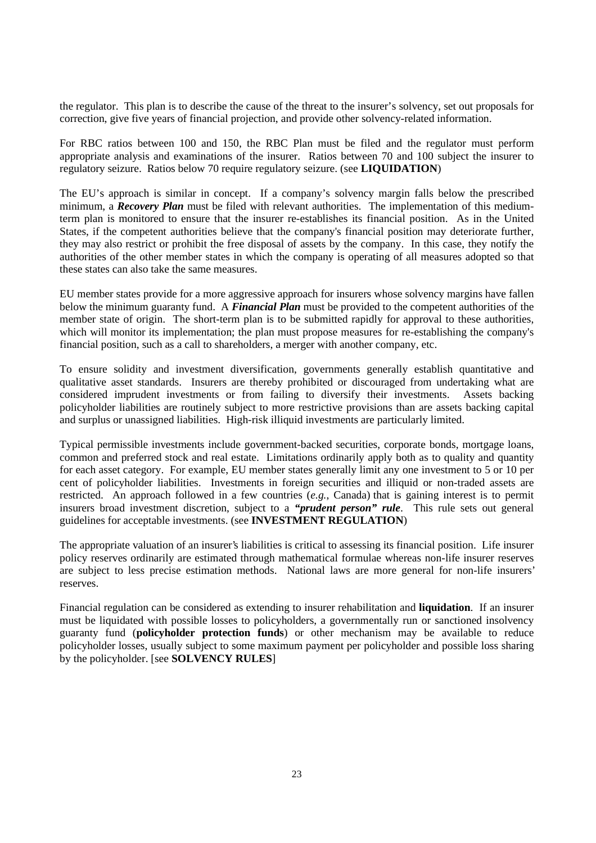the regulator. This plan is to describe the cause of the threat to the insurer's solvency, set out proposals for correction, give five years of financial projection, and provide other solvency-related information.

For RBC ratios between 100 and 150, the RBC Plan must be filed and the regulator must perform appropriate analysis and examinations of the insurer. Ratios between 70 and 100 subject the insurer to regulatory seizure. Ratios below 70 require regulatory seizure. (see **LIQUIDATION**)

The EU's approach is similar in concept. If a company's solvency margin falls below the prescribed minimum, a *Recovery Plan* must be filed with relevant authorities. The implementation of this mediumterm plan is monitored to ensure that the insurer re-establishes its financial position. As in the United States, if the competent authorities believe that the company's financial position may deteriorate further, they may also restrict or prohibit the free disposal of assets by the company. In this case, they notify the authorities of the other member states in which the company is operating of all measures adopted so that these states can also take the same measures.

EU member states provide for a more aggressive approach for insurers whose solvency margins have fallen below the minimum guaranty fund. A *Financial Plan* must be provided to the competent authorities of the member state of origin. The short-term plan is to be submitted rapidly for approval to these authorities, which will monitor its implementation; the plan must propose measures for re-establishing the company's financial position, such as a call to shareholders, a merger with another company, etc.

To ensure solidity and investment diversification, governments generally establish quantitative and qualitative asset standards. Insurers are thereby prohibited or discouraged from undertaking what are considered imprudent investments or from failing to diversify their investments. Assets backing policyholder liabilities are routinely subject to more restrictive provisions than are assets backing capital and surplus or unassigned liabilities. High-risk illiquid investments are particularly limited.

Typical permissible investments include government-backed securities, corporate bonds, mortgage loans, common and preferred stock and real estate. Limitations ordinarily apply both as to quality and quantity for each asset category. For example, EU member states generally limit any one investment to 5 or 10 per cent of policyholder liabilities. Investments in foreign securities and illiquid or non-traded assets are restricted. An approach followed in a few countries (*e.g.*, Canada) that is gaining interest is to permit insurers broad investment discretion, subject to a *"prudent person" rule*. This rule sets out general guidelines for acceptable investments. (see **INVESTMENT REGULATION**)

The appropriate valuation of an insurer's liabilities is critical to assessing its financial position. Life insurer policy reserves ordinarily are estimated through mathematical formulae whereas non-life insurer reserves are subject to less precise estimation methods. National laws are more general for non-life insurers' reserves.

Financial regulation can be considered as extending to insurer rehabilitation and **liquidation**. If an insurer must be liquidated with possible losses to policyholders, a governmentally run or sanctioned insolvency guaranty fund (**policyholder protection funds**) or other mechanism may be available to reduce policyholder losses, usually subject to some maximum payment per policyholder and possible loss sharing by the policyholder. [see **SOLVENCY RULES**]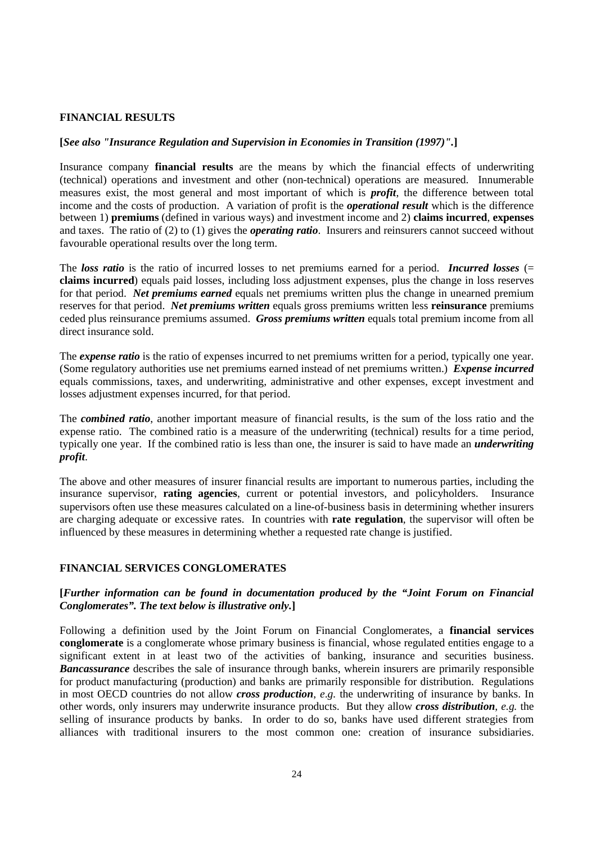#### **FINANCIAL RESULTS**

#### **[***See also "Insurance Regulation and Supervision in Economies in Transition (1997)".***]**

Insurance company **financial results** are the means by which the financial effects of underwriting (technical) operations and investment and other (non-technical) operations are measured. Innumerable measures exist, the most general and most important of which is *profit*, the difference between total income and the costs of production. A variation of profit is the *operational result* which is the difference between 1) **premiums** (defined in various ways) and investment income and 2) **claims incurred**, **expenses** and taxes. The ratio of (2) to (1) gives the *operating ratio*. Insurers and reinsurers cannot succeed without favourable operational results over the long term.

The *loss ratio* is the ratio of incurred losses to net premiums earned for a period. *Incurred losses* (= **claims incurred**) equals paid losses, including loss adjustment expenses, plus the change in loss reserves for that period. *Net premiums earned* equals net premiums written plus the change in unearned premium reserves for that period. *Net premiums written* equals gross premiums written less **reinsurance** premiums ceded plus reinsurance premiums assumed. *Gross premiums written* equals total premium income from all direct insurance sold.

The *expense ratio* is the ratio of expenses incurred to net premiums written for a period, typically one year. (Some regulatory authorities use net premiums earned instead of net premiums written.) *Expense incurred* equals commissions, taxes, and underwriting, administrative and other expenses, except investment and losses adjustment expenses incurred, for that period.

The *combined ratio*, another important measure of financial results, is the sum of the loss ratio and the expense ratio. The combined ratio is a measure of the underwriting (technical) results for a time period, typically one year. If the combined ratio is less than one, the insurer is said to have made an *underwriting profit*.

The above and other measures of insurer financial results are important to numerous parties, including the insurance supervisor, **rating agencies**, current or potential investors, and policyholders. Insurance supervisors often use these measures calculated on a line-of-business basis in determining whether insurers are charging adequate or excessive rates. In countries with **rate regulation**, the supervisor will often be influenced by these measures in determining whether a requested rate change is justified.

# **FINANCIAL SERVICES CONGLOMERATES**

# **[***Further information can be found in documentation produced by the "Joint Forum on Financial Conglomerates". The text below is illustrative only.***]**

Following a definition used by the Joint Forum on Financial Conglomerates, a **financial services conglomerate** is a conglomerate whose primary business is financial, whose regulated entities engage to a significant extent in at least two of the activities of banking, insurance and securities business. *Bancassurance* describes the sale of insurance through banks, wherein insurers are primarily responsible for product manufacturing (production) and banks are primarily responsible for distribution. Regulations in most OECD countries do not allow *cross production*, *e*.*g.* the underwriting of insurance by banks. In other words, only insurers may underwrite insurance products. But they allow *cross distribution*, *e.g.* the selling of insurance products by banks. In order to do so, banks have used different strategies from alliances with traditional insurers to the most common one: creation of insurance subsidiaries.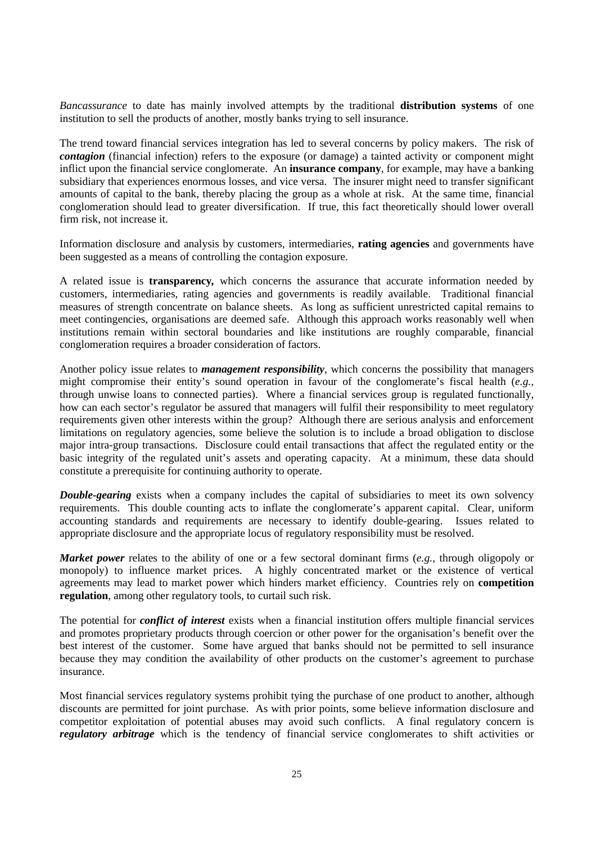*Bancassurance* to date has mainly involved attempts by the traditional **distribution systems** of one institution to sell the products of another, mostly banks trying to sell insurance.

The trend toward financial services integration has led to several concerns by policy makers. The risk of *contagion* (financial infection) refers to the exposure (or damage) a tainted activity or component might inflict upon the financial service conglomerate. An **insurance company**, for example, may have a banking subsidiary that experiences enormous losses, and vice versa. The insurer might need to transfer significant amounts of capital to the bank, thereby placing the group as a whole at risk. At the same time, financial conglomeration should lead to greater diversification. If true, this fact theoretically should lower overall firm risk, not increase it.

Information disclosure and analysis by customers, intermediaries, **rating agencies** and governments have been suggested as a means of controlling the contagion exposure.

A related issue is **transparency***,* which concerns the assurance that accurate information needed by customers, intermediaries, rating agencies and governments is readily available. Traditional financial measures of strength concentrate on balance sheets. As long as sufficient unrestricted capital remains to meet contingencies, organisations are deemed safe. Although this approach works reasonably well when institutions remain within sectoral boundaries and like institutions are roughly comparable, financial conglomeration requires a broader consideration of factors.

Another policy issue relates to *management responsibility*, which concerns the possibility that managers might compromise their entity's sound operation in favour of the conglomerate's fiscal health (*e.g.*, through unwise loans to connected parties). Where a financial services group is regulated functionally, how can each sector's regulator be assured that managers will fulfil their responsibility to meet regulatory requirements given other interests within the group? Although there are serious analysis and enforcement limitations on regulatory agencies, some believe the solution is to include a broad obligation to disclose major intra-group transactions. Disclosure could entail transactions that affect the regulated entity or the basic integrity of the regulated unit's assets and operating capacity. At a minimum, these data should constitute a prerequisite for continuing authority to operate.

**Double-gearing** exists when a company includes the capital of subsidiaries to meet its own solvency requirements. This double counting acts to inflate the conglomerate's apparent capital. Clear, uniform accounting standards and requirements are necessary to identify double-gearing. Issues related to appropriate disclosure and the appropriate locus of regulatory responsibility must be resolved.

*Market power* relates to the ability of one or a few sectoral dominant firms (*e.g.*, through oligopoly or monopoly) to influence market prices. A highly concentrated market or the existence of vertical agreements may lead to market power which hinders market efficiency. Countries rely on **competition regulation**, among other regulatory tools, to curtail such risk.

The potential for *conflict of interest* exists when a financial institution offers multiple financial services and promotes proprietary products through coercion or other power for the organisation's benefit over the best interest of the customer. Some have argued that banks should not be permitted to sell insurance because they may condition the availability of other products on the customer's agreement to purchase insurance.

Most financial services regulatory systems prohibit tying the purchase of one product to another, although discounts are permitted for joint purchase. As with prior points, some believe information disclosure and competitor exploitation of potential abuses may avoid such conflicts. A final regulatory concern is *regulatory arbitrage* which is the tendency of financial service conglomerates to shift activities or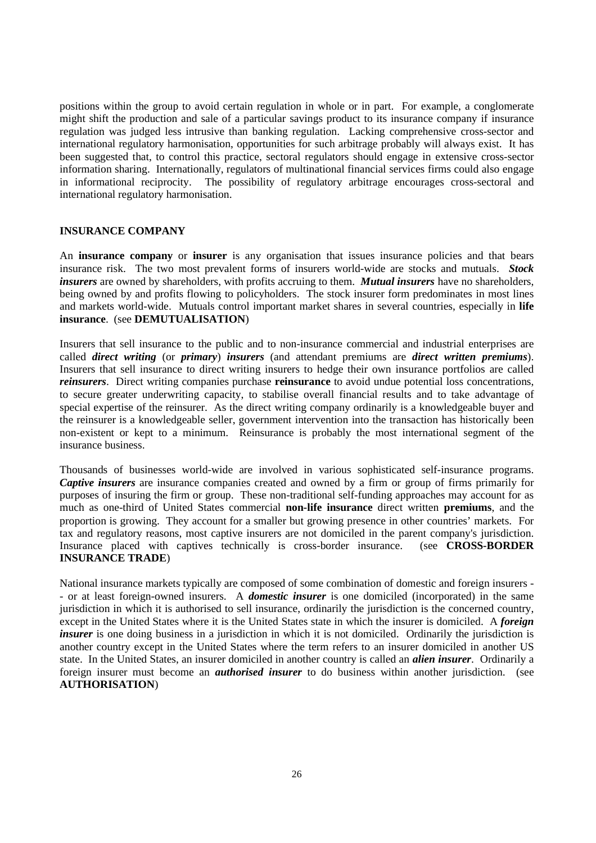positions within the group to avoid certain regulation in whole or in part. For example, a conglomerate might shift the production and sale of a particular savings product to its insurance company if insurance regulation was judged less intrusive than banking regulation. Lacking comprehensive cross-sector and international regulatory harmonisation, opportunities for such arbitrage probably will always exist. It has been suggested that, to control this practice, sectoral regulators should engage in extensive cross-sector information sharing. Internationally, regulators of multinational financial services firms could also engage in informational reciprocity. The possibility of regulatory arbitrage encourages cross-sectoral and international regulatory harmonisation.

#### **INSURANCE COMPANY**

An **insurance company** or **insurer** is any organisation that issues insurance policies and that bears insurance risk. The two most prevalent forms of insurers world-wide are stocks and mutuals.*Stock insurers* are owned by shareholders, with profits accruing to them. *Mutual insurers* have no shareholders, being owned by and profits flowing to policyholders. The stock insurer form predominates in most lines and markets world-wide. Mutuals control important market shares in several countries, especially in **life insurance**. (see **DEMUTUALISATION**)

Insurers that sell insurance to the public and to non-insurance commercial and industrial enterprises are called *direct writing* (or *primary*) *insurers* (and attendant premiums are *direct written premiums*). Insurers that sell insurance to direct writing insurers to hedge their own insurance portfolios are called *reinsurers*. Direct writing companies purchase **reinsurance** to avoid undue potential loss concentrations, to secure greater underwriting capacity, to stabilise overall financial results and to take advantage of special expertise of the reinsurer. As the direct writing company ordinarily is a knowledgeable buyer and the reinsurer is a knowledgeable seller, government intervention into the transaction has historically been non-existent or kept to a minimum. Reinsurance is probably the most international segment of the insurance business.

Thousands of businesses world-wide are involved in various sophisticated self-insurance programs. *Captive insurers* are insurance companies created and owned by a firm or group of firms primarily for purposes of insuring the firm or group. These non-traditional self-funding approaches may account for as much as one-third of United States commercial **non-life insurance** direct written **premiums**, and the proportion is growing. They account for a smaller but growing presence in other countries' markets. For tax and regulatory reasons, most captive insurers are not domiciled in the parent company's jurisdiction. Insurance placed with captives technically is cross-border insurance. (see **CROSS-BORDER INSURANCE TRADE**)

National insurance markets typically are composed of some combination of domestic and foreign insurers - - or at least foreign-owned insurers. A *domestic insurer* is one domiciled (incorporated) in the same jurisdiction in which it is authorised to sell insurance, ordinarily the jurisdiction is the concerned country, except in the United States where it is the United States state in which the insurer is domiciled. A *foreign insurer* is one doing business in a jurisdiction in which it is not domiciled. Ordinarily the jurisdiction is another country except in the United States where the term refers to an insurer domiciled in another US state. In the United States, an insurer domiciled in another country is called an *alien insurer*. Ordinarily a foreign insurer must become an *authorised insurer* to do business within another jurisdiction. (see **AUTHORISATION**)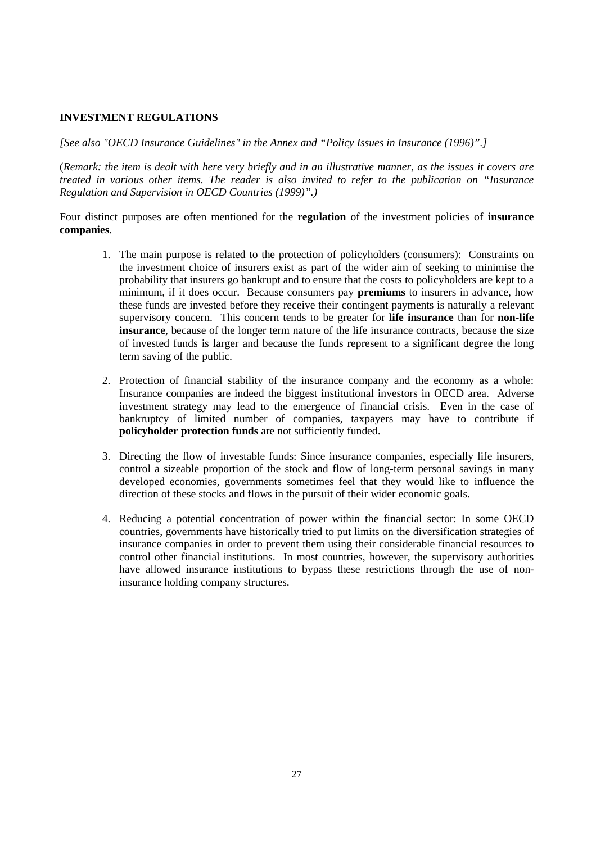# **INVESTMENT REGULATIONS**

*[See also "OECD Insurance Guidelines" in the Annex and "Policy Issues in Insurance (1996)".]*

(*Remark: the item is dealt with here very briefly and in an illustrative manner, as the issues it covers are treated in various other items. The reader is also invited to refer to the publication on "Insurance Regulation and Supervision in OECD Countries (1999)".)*

Four distinct purposes are often mentioned for the **regulation** of the investment policies of **insurance companies**.

- 1. The main purpose is related to the protection of policyholders (consumers): Constraints on the investment choice of insurers exist as part of the wider aim of seeking to minimise the probability that insurers go bankrupt and to ensure that the costs to policyholders are kept to a minimum, if it does occur. Because consumers pay **premiums** to insurers in advance, how these funds are invested before they receive their contingent payments is naturally a relevant supervisory concern. This concern tends to be greater for **life insurance** than for **non-life insurance**, because of the longer term nature of the life insurance contracts, because the size of invested funds is larger and because the funds represent to a significant degree the long term saving of the public.
- 2. Protection of financial stability of the insurance company and the economy as a whole: Insurance companies are indeed the biggest institutional investors in OECD area. Adverse investment strategy may lead to the emergence of financial crisis. Even in the case of bankruptcy of limited number of companies, taxpayers may have to contribute if **policyholder protection funds** are not sufficiently funded.
- 3. Directing the flow of investable funds: Since insurance companies, especially life insurers, control a sizeable proportion of the stock and flow of long-term personal savings in many developed economies, governments sometimes feel that they would like to influence the direction of these stocks and flows in the pursuit of their wider economic goals.
- 4. Reducing a potential concentration of power within the financial sector: In some OECD countries, governments have historically tried to put limits on the diversification strategies of insurance companies in order to prevent them using their considerable financial resources to control other financial institutions. In most countries, however, the supervisory authorities have allowed insurance institutions to bypass these restrictions through the use of noninsurance holding company structures.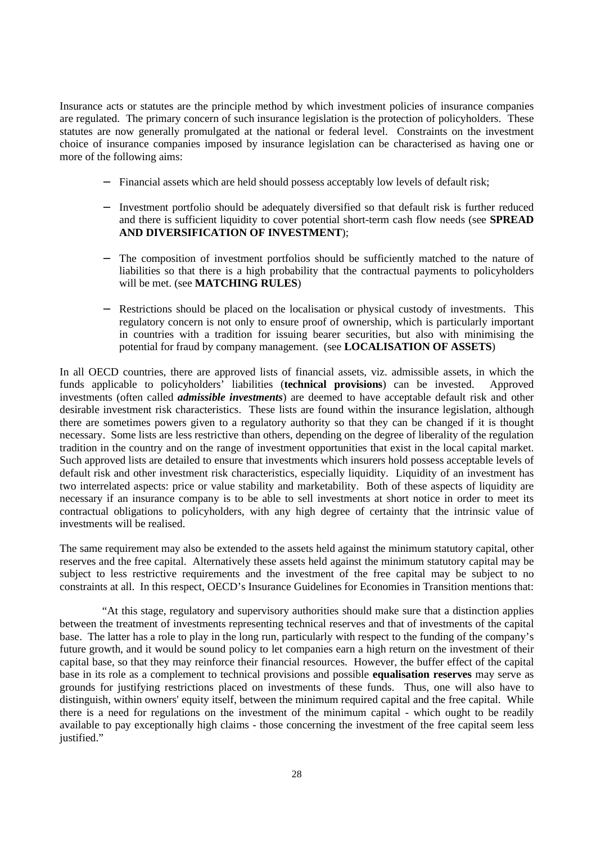Insurance acts or statutes are the principle method by which investment policies of insurance companies are regulated. The primary concern of such insurance legislation is the protection of policyholders. These statutes are now generally promulgated at the national or federal level. Constraints on the investment choice of insurance companies imposed by insurance legislation can be characterised as having one or more of the following aims:

- − Financial assets which are held should possess acceptably low levels of default risk;
- − Investment portfolio should be adequately diversified so that default risk is further reduced and there is sufficient liquidity to cover potential short-term cash flow needs (see **SPREAD AND DIVERSIFICATION OF INVESTMENT**);
- The composition of investment portfolios should be sufficiently matched to the nature of liabilities so that there is a high probability that the contractual payments to policyholders will be met. (see **MATCHING RULES**)
- Restrictions should be placed on the localisation or physical custody of investments. This regulatory concern is not only to ensure proof of ownership, which is particularly important in countries with a tradition for issuing bearer securities, but also with minimising the potential for fraud by company management. (see **LOCALISATION OF ASSETS**)

In all OECD countries, there are approved lists of financial assets, viz. admissible assets, in which the funds applicable to policyholders' liabilities (**technical provisions**) can be invested. Approved investments (often called *admissible investments*) are deemed to have acceptable default risk and other desirable investment risk characteristics. These lists are found within the insurance legislation, although there are sometimes powers given to a regulatory authority so that they can be changed if it is thought necessary. Some lists are less restrictive than others, depending on the degree of liberality of the regulation tradition in the country and on the range of investment opportunities that exist in the local capital market. Such approved lists are detailed to ensure that investments which insurers hold possess acceptable levels of default risk and other investment risk characteristics, especially liquidity. Liquidity of an investment has two interrelated aspects: price or value stability and marketability. Both of these aspects of liquidity are necessary if an insurance company is to be able to sell investments at short notice in order to meet its contractual obligations to policyholders, with any high degree of certainty that the intrinsic value of investments will be realised.

The same requirement may also be extended to the assets held against the minimum statutory capital, other reserves and the free capital. Alternatively these assets held against the minimum statutory capital may be subject to less restrictive requirements and the investment of the free capital may be subject to no constraints at all. In this respect, OECD's Insurance Guidelines for Economies in Transition mentions that:

"At this stage, regulatory and supervisory authorities should make sure that a distinction applies between the treatment of investments representing technical reserves and that of investments of the capital base. The latter has a role to play in the long run, particularly with respect to the funding of the company's future growth, and it would be sound policy to let companies earn a high return on the investment of their capital base, so that they may reinforce their financial resources. However, the buffer effect of the capital base in its role as a complement to technical provisions and possible **equalisation reserves** may serve as grounds for justifying restrictions placed on investments of these funds. Thus, one will also have to distinguish, within owners' equity itself, between the minimum required capital and the free capital. While there is a need for regulations on the investment of the minimum capital - which ought to be readily available to pay exceptionally high claims - those concerning the investment of the free capital seem less justified."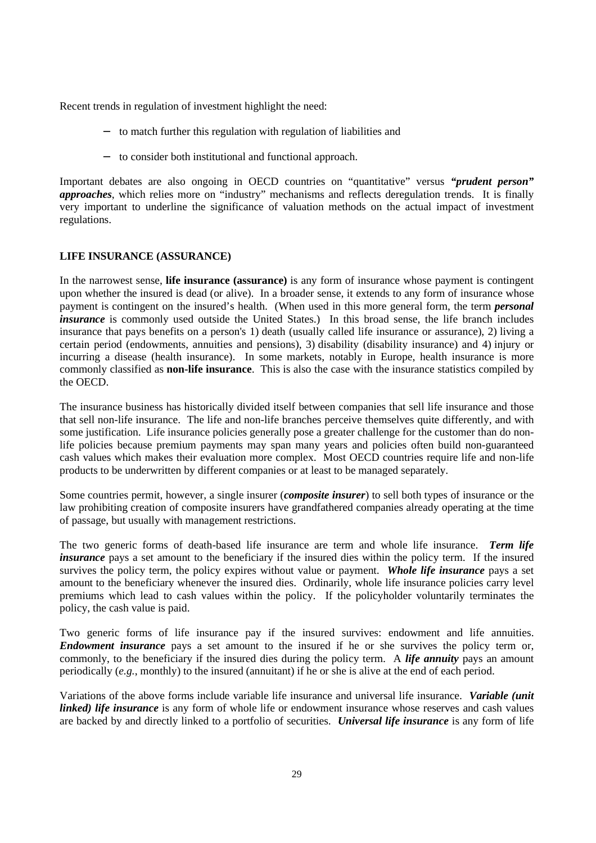Recent trends in regulation of investment highlight the need:

- − to match further this regulation with regulation of liabilities and
- − to consider both institutional and functional approach.

Important debates are also ongoing in OECD countries on "quantitative" versus *"prudent person" approaches*, which relies more on "industry" mechanisms and reflects deregulation trends. It is finally very important to underline the significance of valuation methods on the actual impact of investment regulations.

# **LIFE INSURANCE (ASSURANCE)**

In the narrowest sense, **life insurance (assurance)** is any form of insurance whose payment is contingent upon whether the insured is dead (or alive). In a broader sense, it extends to any form of insurance whose payment is contingent on the insured's health. (When used in this more general form, the term *personal insurance* is commonly used outside the United States.) In this broad sense, the life branch includes insurance that pays benefits on a person's 1) death (usually called life insurance or assurance), 2) living a certain period (endowments, annuities and pensions), 3) disability (disability insurance) and 4) injury or incurring a disease (health insurance). In some markets, notably in Europe, health insurance is more commonly classified as **non-life insurance**. This is also the case with the insurance statistics compiled by the OECD.

The insurance business has historically divided itself between companies that sell life insurance and those that sell non-life insurance. The life and non-life branches perceive themselves quite differently, and with some justification. Life insurance policies generally pose a greater challenge for the customer than do nonlife policies because premium payments may span many years and policies often build non-guaranteed cash values which makes their evaluation more complex. Most OECD countries require life and non-life products to be underwritten by different companies or at least to be managed separately.

Some countries permit, however, a single insurer (*composite insurer*) to sell both types of insurance or the law prohibiting creation of composite insurers have grandfathered companies already operating at the time of passage, but usually with management restrictions.

The two generic forms of death-based life insurance are term and whole life insurance. *Term life insurance* pays a set amount to the beneficiary if the insured dies within the policy term. If the insured survives the policy term, the policy expires without value or payment. *Whole life insurance* pays a set amount to the beneficiary whenever the insured dies. Ordinarily, whole life insurance policies carry level premiums which lead to cash values within the policy. If the policyholder voluntarily terminates the policy, the cash value is paid.

Two generic forms of life insurance pay if the insured survives: endowment and life annuities. *Endowment insurance* pays a set amount to the insured if he or she survives the policy term or, commonly, to the beneficiary if the insured dies during the policy term. A *life annuity* pays an amount periodically (*e.g.*, monthly) to the insured (annuitant) if he or she is alive at the end of each period.

Variations of the above forms include variable life insurance and universal life insurance. *Variable (unit linked) life insurance* is any form of whole life or endowment insurance whose reserves and cash values are backed by and directly linked to a portfolio of securities. *Universal life insurance* is any form of life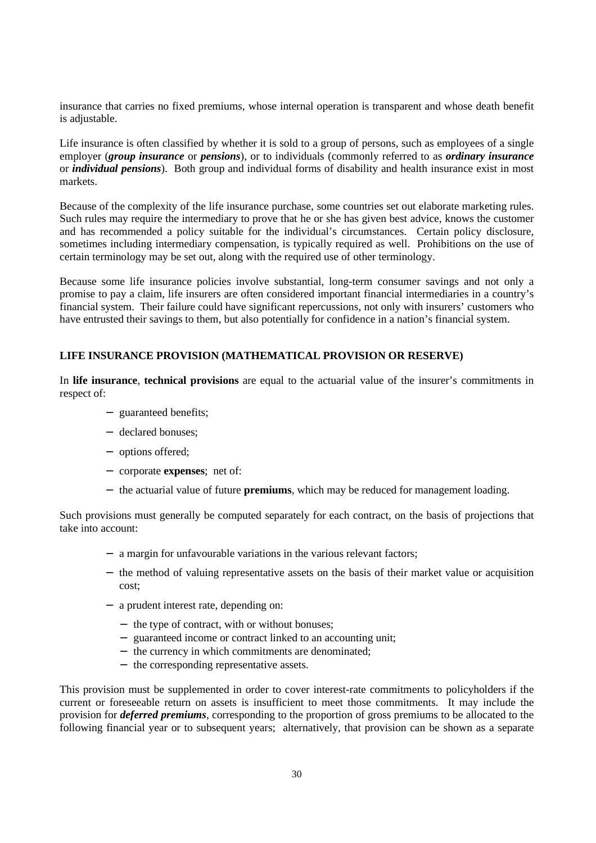insurance that carries no fixed premiums, whose internal operation is transparent and whose death benefit is adjustable.

Life insurance is often classified by whether it is sold to a group of persons, such as employees of a single employer (*group insurance* or *pensions*), or to individuals (commonly referred to as *ordinary insurance* or *individual pensions*). Both group and individual forms of disability and health insurance exist in most markets.

Because of the complexity of the life insurance purchase, some countries set out elaborate marketing rules. Such rules may require the intermediary to prove that he or she has given best advice, knows the customer and has recommended a policy suitable for the individual's circumstances. Certain policy disclosure, sometimes including intermediary compensation, is typically required as well. Prohibitions on the use of certain terminology may be set out, along with the required use of other terminology.

Because some life insurance policies involve substantial, long-term consumer savings and not only a promise to pay a claim, life insurers are often considered important financial intermediaries in a country's financial system. Their failure could have significant repercussions, not only with insurers' customers who have entrusted their savings to them, but also potentially for confidence in a nation's financial system.

# **LIFE INSURANCE PROVISION (MATHEMATICAL PROVISION OR RESERVE)**

In **life insurance**, **technical provisions** are equal to the actuarial value of the insurer's commitments in respect of:

- − guaranteed benefits;
- − declared bonuses;
- − options offered;
- − corporate **expenses**; net of:
- − the actuarial value of future **premiums**, which may be reduced for management loading.

Such provisions must generally be computed separately for each contract, on the basis of projections that take into account:

- − a margin for unfavourable variations in the various relevant factors;
- − the method of valuing representative assets on the basis of their market value or acquisition cost;
- − a prudent interest rate, depending on:
	- − the type of contract, with or without bonuses;
	- − guaranteed income or contract linked to an accounting unit;
	- − the currency in which commitments are denominated;
	- − the corresponding representative assets.

This provision must be supplemented in order to cover interest-rate commitments to policyholders if the current or foreseeable return on assets is insufficient to meet those commitments. It may include the provision for *deferred premiums*, corresponding to the proportion of gross premiums to be allocated to the following financial year or to subsequent years; alternatively, that provision can be shown as a separate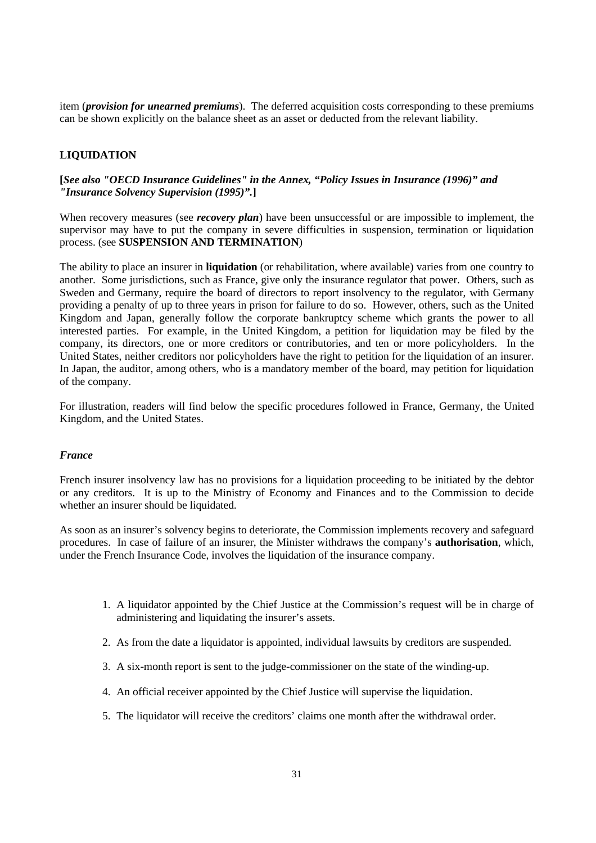item (*provision for unearned premiums*). The deferred acquisition costs corresponding to these premiums can be shown explicitly on the balance sheet as an asset or deducted from the relevant liability.

# **LIQUIDATION**

# **[***See also "OECD Insurance Guidelines" in the Annex, "Policy Issues in Insurance (1996)" and "Insurance Solvency Supervision (1995)".***]**

When recovery measures (see *recovery plan*) have been unsuccessful or are impossible to implement, the supervisor may have to put the company in severe difficulties in suspension, termination or liquidation process. (see **SUSPENSION AND TERMINATION**)

The ability to place an insurer in **liquidation** (or rehabilitation, where available) varies from one country to another. Some jurisdictions, such as France, give only the insurance regulator that power. Others, such as Sweden and Germany, require the board of directors to report insolvency to the regulator, with Germany providing a penalty of up to three years in prison for failure to do so. However, others, such as the United Kingdom and Japan, generally follow the corporate bankruptcy scheme which grants the power to all interested parties. For example, in the United Kingdom, a petition for liquidation may be filed by the company, its directors, one or more creditors or contributories, and ten or more policyholders. In the United States, neither creditors nor policyholders have the right to petition for the liquidation of an insurer. In Japan, the auditor, among others, who is a mandatory member of the board, may petition for liquidation of the company.

For illustration, readers will find below the specific procedures followed in France, Germany, the United Kingdom, and the United States.

#### *France*

French insurer insolvency law has no provisions for a liquidation proceeding to be initiated by the debtor or any creditors. It is up to the Ministry of Economy and Finances and to the Commission to decide whether an insurer should be liquidated.

As soon as an insurer's solvency begins to deteriorate, the Commission implements recovery and safeguard procedures. In case of failure of an insurer, the Minister withdraws the company's **authorisation**, which, under the French Insurance Code, involves the liquidation of the insurance company.

- 1. A liquidator appointed by the Chief Justice at the Commission's request will be in charge of administering and liquidating the insurer's assets.
- 2. As from the date a liquidator is appointed, individual lawsuits by creditors are suspended.
- 3. A six-month report is sent to the judge-commissioner on the state of the winding-up.
- 4. An official receiver appointed by the Chief Justice will supervise the liquidation.
- 5. The liquidator will receive the creditors' claims one month after the withdrawal order.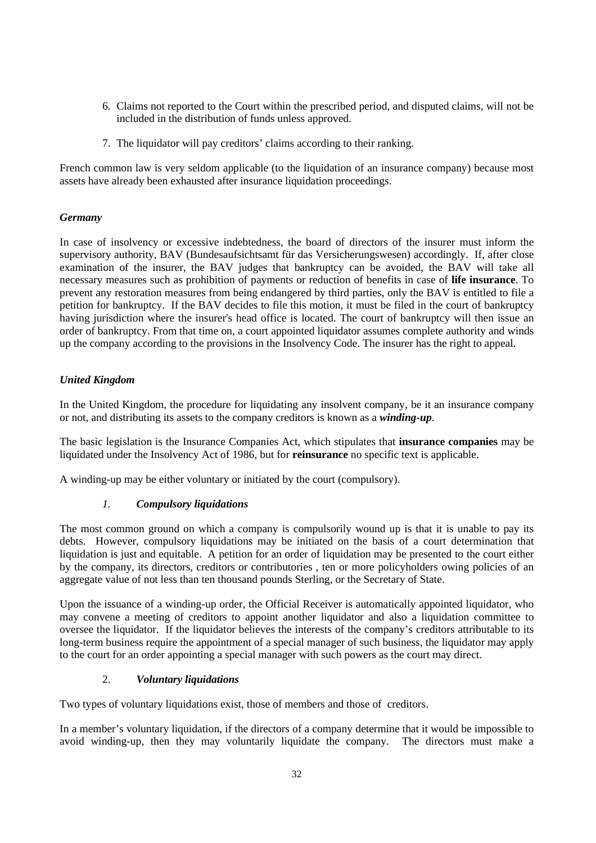- 6. Claims not reported to the Court within the prescribed period, and disputed claims, will not be included in the distribution of funds unless approved.
- 7. The liquidator will pay creditors' claims according to their ranking.

French common law is very seldom applicable (to the liquidation of an insurance company) because most assets have already been exhausted after insurance liquidation proceedings.

# *Germany*

In case of insolvency or excessive indebtedness, the board of directors of the insurer must inform the supervisory authority, BAV (Bundesaufsichtsamt für das Versicherungswesen) accordingly. If, after close examination of the insurer, the BAV judges that bankruptcy can be avoided, the BAV will take all necessary measures such as prohibition of payments or reduction of benefits in case of **life insurance**. To prevent any restoration measures from being endangered by third parties, only the BAV is entitled to file a petition for bankruptcy. If the BAV decides to file this motion, it must be filed in the court of bankruptcy having jurisdiction where the insurer's head office is located. The court of bankruptcy will then issue an order of bankruptcy. From that time on, a court appointed liquidator assumes complete authority and winds up the company according to the provisions in the Insolvency Code. The insurer has the right to appeal.

# *United Kingdom*

In the United Kingdom, the procedure for liquidating any insolvent company, be it an insurance company or not, and distributing its assets to the company creditors is known as a *winding-up*.

The basic legislation is the Insurance Companies Act, which stipulates that **insurance companies** may be liquidated under the Insolvency Act of 1986, but for **reinsurance** no specific text is applicable.

A winding-up may be either voluntary or initiated by the court (compulsory).

# *1. Compulsory liquidations*

The most common ground on which a company is compulsorily wound up is that it is unable to pay its debts. However, compulsory liquidations may be initiated on the basis of a court determination that liquidation is just and equitable. A petition for an order of liquidation may be presented to the court either by the company, its directors, creditors or contributories , ten or more policyholders owing policies of an aggregate value of not less than ten thousand pounds Sterling, or the Secretary of State.

Upon the issuance of a winding-up order, the Official Receiver is automatically appointed liquidator, who may convene a meeting of creditors to appoint another liquidator and also a liquidation committee to oversee the liquidator. If the liquidator believes the interests of the company's creditors attributable to its long-term business require the appointment of a special manager of such business, the liquidator may apply to the court for an order appointing a special manager with such powers as the court may direct.

# 2. *Voluntary liquidations*

Two types of voluntary liquidations exist, those of members and those of creditors.

In a member's voluntary liquidation, if the directors of a company determine that it would be impossible to avoid winding-up, then they may voluntarily liquidate the company. The directors must make a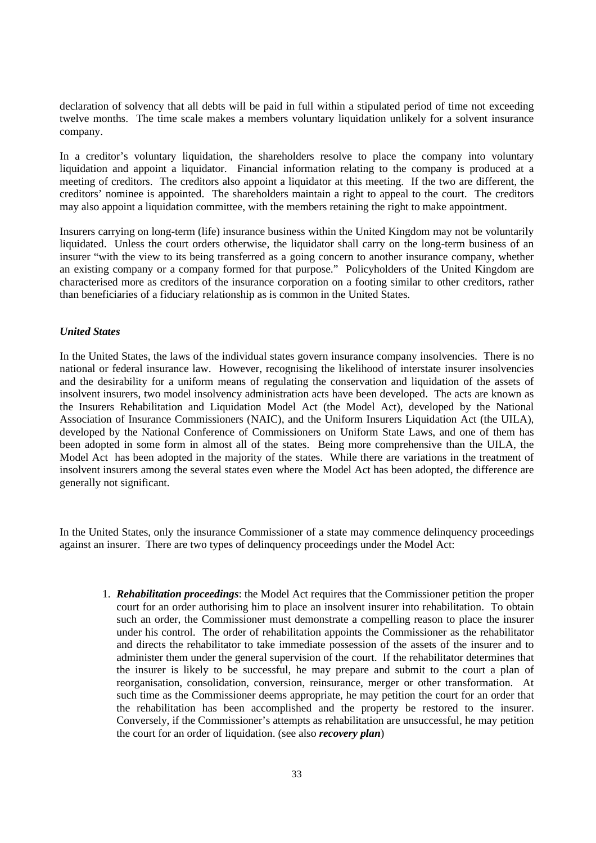declaration of solvency that all debts will be paid in full within a stipulated period of time not exceeding twelve months. The time scale makes a members voluntary liquidation unlikely for a solvent insurance company.

In a creditor's voluntary liquidation, the shareholders resolve to place the company into voluntary liquidation and appoint a liquidator. Financial information relating to the company is produced at a meeting of creditors. The creditors also appoint a liquidator at this meeting. If the two are different, the creditors' nominee is appointed. The shareholders maintain a right to appeal to the court. The creditors may also appoint a liquidation committee, with the members retaining the right to make appointment.

Insurers carrying on long-term (life) insurance business within the United Kingdom may not be voluntarily liquidated. Unless the court orders otherwise, the liquidator shall carry on the long-term business of an insurer "with the view to its being transferred as a going concern to another insurance company, whether an existing company or a company formed for that purpose." Policyholders of the United Kingdom are characterised more as creditors of the insurance corporation on a footing similar to other creditors, rather than beneficiaries of a fiduciary relationship as is common in the United States.

#### *United States*

In the United States, the laws of the individual states govern insurance company insolvencies. There is no national or federal insurance law. However, recognising the likelihood of interstate insurer insolvencies and the desirability for a uniform means of regulating the conservation and liquidation of the assets of insolvent insurers, two model insolvency administration acts have been developed. The acts are known as the Insurers Rehabilitation and Liquidation Model Act (the Model Act), developed by the National Association of Insurance Commissioners (NAIC), and the Uniform Insurers Liquidation Act (the UILA), developed by the National Conference of Commissioners on Uniform State Laws, and one of them has been adopted in some form in almost all of the states. Being more comprehensive than the UILA, the Model Act has been adopted in the majority of the states. While there are variations in the treatment of insolvent insurers among the several states even where the Model Act has been adopted, the difference are generally not significant.

In the United States, only the insurance Commissioner of a state may commence delinquency proceedings against an insurer. There are two types of delinquency proceedings under the Model Act:

1. *Rehabilitation proceedings*: the Model Act requires that the Commissioner petition the proper court for an order authorising him to place an insolvent insurer into rehabilitation. To obtain such an order, the Commissioner must demonstrate a compelling reason to place the insurer under his control. The order of rehabilitation appoints the Commissioner as the rehabilitator and directs the rehabilitator to take immediate possession of the assets of the insurer and to administer them under the general supervision of the court. If the rehabilitator determines that the insurer is likely to be successful, he may prepare and submit to the court a plan of reorganisation, consolidation, conversion, reinsurance, merger or other transformation. At such time as the Commissioner deems appropriate, he may petition the court for an order that the rehabilitation has been accomplished and the property be restored to the insurer. Conversely, if the Commissioner's attempts as rehabilitation are unsuccessful, he may petition the court for an order of liquidation. (see also *recovery plan*)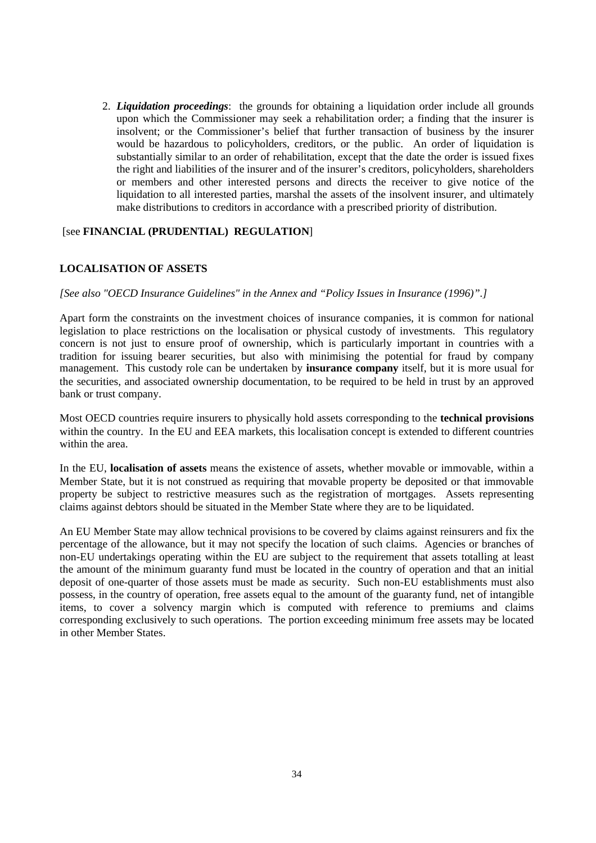2. *Liquidation proceedings*: the grounds for obtaining a liquidation order include all grounds upon which the Commissioner may seek a rehabilitation order; a finding that the insurer is insolvent; or the Commissioner's belief that further transaction of business by the insurer would be hazardous to policyholders, creditors, or the public. An order of liquidation is substantially similar to an order of rehabilitation, except that the date the order is issued fixes the right and liabilities of the insurer and of the insurer's creditors, policyholders, shareholders or members and other interested persons and directs the receiver to give notice of the liquidation to all interested parties, marshal the assets of the insolvent insurer, and ultimately make distributions to creditors in accordance with a prescribed priority of distribution.

#### [see **FINANCIAL (PRUDENTIAL) REGULATION**]

#### **LOCALISATION OF ASSETS**

#### *[See also "OECD Insurance Guidelines" in the Annex and "Policy Issues in Insurance (1996)".]*

Apart form the constraints on the investment choices of insurance companies, it is common for national legislation to place restrictions on the localisation or physical custody of investments. This regulatory concern is not just to ensure proof of ownership, which is particularly important in countries with a tradition for issuing bearer securities, but also with minimising the potential for fraud by company management. This custody role can be undertaken by **insurance company** itself, but it is more usual for the securities, and associated ownership documentation, to be required to be held in trust by an approved bank or trust company.

Most OECD countries require insurers to physically hold assets corresponding to the **technical provisions** within the country. In the EU and EEA markets, this localisation concept is extended to different countries within the area.

In the EU, **localisation of assets** means the existence of assets, whether movable or immovable, within a Member State, but it is not construed as requiring that movable property be deposited or that immovable property be subject to restrictive measures such as the registration of mortgages. Assets representing claims against debtors should be situated in the Member State where they are to be liquidated.

An EU Member State may allow technical provisions to be covered by claims against reinsurers and fix the percentage of the allowance, but it may not specify the location of such claims. Agencies or branches of non-EU undertakings operating within the EU are subject to the requirement that assets totalling at least the amount of the minimum guaranty fund must be located in the country of operation and that an initial deposit of one-quarter of those assets must be made as security. Such non-EU establishments must also possess, in the country of operation, free assets equal to the amount of the guaranty fund, net of intangible items, to cover a solvency margin which is computed with reference to premiums and claims corresponding exclusively to such operations. The portion exceeding minimum free assets may be located in other Member States.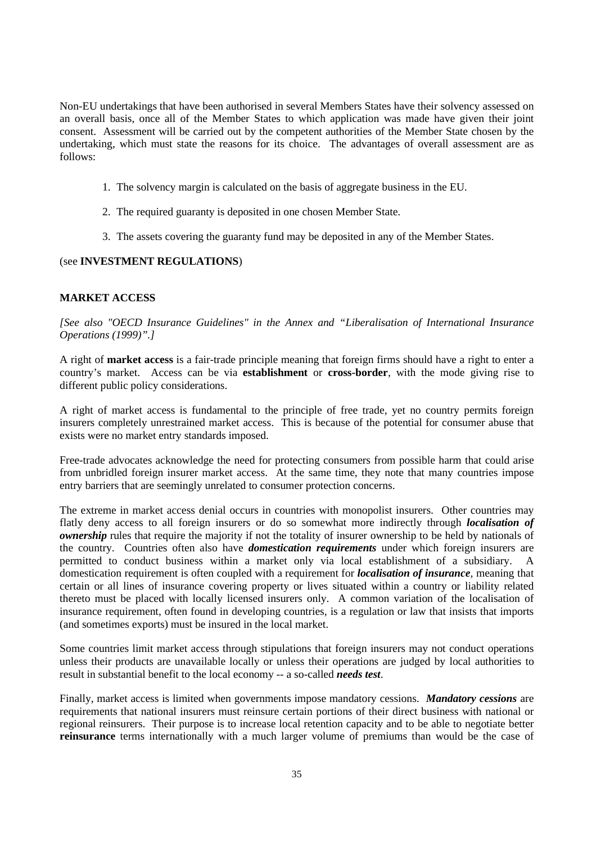Non-EU undertakings that have been authorised in several Members States have their solvency assessed on an overall basis, once all of the Member States to which application was made have given their joint consent. Assessment will be carried out by the competent authorities of the Member State chosen by the undertaking, which must state the reasons for its choice. The advantages of overall assessment are as follows:

- 1. The solvency margin is calculated on the basis of aggregate business in the EU.
- 2. The required guaranty is deposited in one chosen Member State.
- 3. The assets covering the guaranty fund may be deposited in any of the Member States.

#### (see **INVESTMENT REGULATIONS**)

#### **MARKET ACCESS**

*[See also "OECD Insurance Guidelines" in the Annex and "Liberalisation of International Insurance Operations (1999)".]*

A right of **market access** is a fair-trade principle meaning that foreign firms should have a right to enter a country's market. Access can be via **establishment** or **cross-border**, with the mode giving rise to different public policy considerations.

A right of market access is fundamental to the principle of free trade, yet no country permits foreign insurers completely unrestrained market access. This is because of the potential for consumer abuse that exists were no market entry standards imposed.

Free-trade advocates acknowledge the need for protecting consumers from possible harm that could arise from unbridled foreign insurer market access. At the same time, they note that many countries impose entry barriers that are seemingly unrelated to consumer protection concerns.

The extreme in market access denial occurs in countries with monopolist insurers. Other countries may flatly deny access to all foreign insurers or do so somewhat more indirectly through *localisation of ownership* rules that require the majority if not the totality of insurer ownership to be held by nationals of the country. Countries often also have *domestication requirements* under which foreign insurers are permitted to conduct business within a market only via local establishment of a subsidiary. A domestication requirement is often coupled with a requirement for *localisation of insurance*, meaning that certain or all lines of insurance covering property or lives situated within a country or liability related thereto must be placed with locally licensed insurers only. A common variation of the localisation of insurance requirement, often found in developing countries, is a regulation or law that insists that imports (and sometimes exports) must be insured in the local market.

Some countries limit market access through stipulations that foreign insurers may not conduct operations unless their products are unavailable locally or unless their operations are judged by local authorities to result in substantial benefit to the local economy -- a so-called *needs test*.

Finally, market access is limited when governments impose mandatory cessions. *Mandatory cessions* are requirements that national insurers must reinsure certain portions of their direct business with national or regional reinsurers. Their purpose is to increase local retention capacity and to be able to negotiate better **reinsurance** terms internationally with a much larger volume of premiums than would be the case of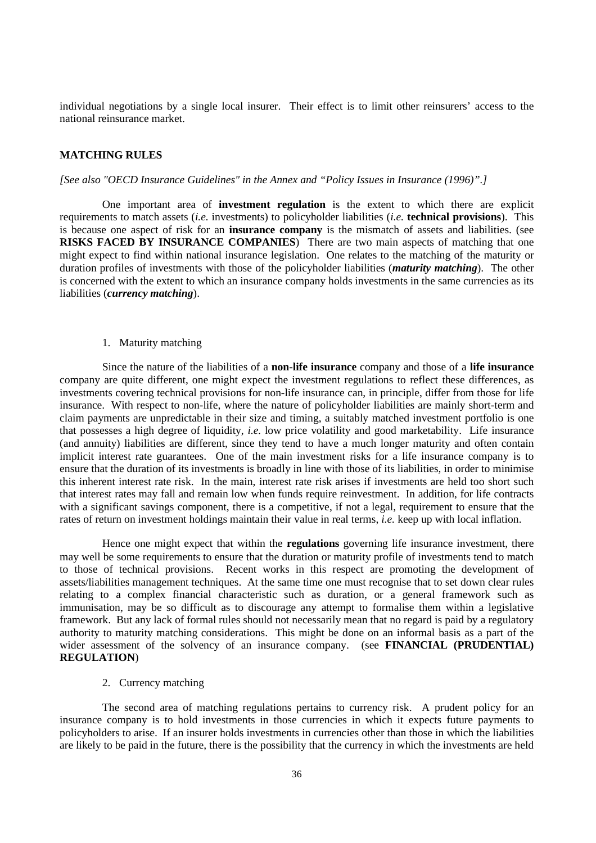individual negotiations by a single local insurer. Their effect is to limit other reinsurers' access to the national reinsurance market.

#### **MATCHING RULES**

#### *[See also "OECD Insurance Guidelines" in the Annex and "Policy Issues in Insurance (1996)".]*

One important area of **investment regulation** is the extent to which there are explicit requirements to match assets (*i.e.* investments) to policyholder liabilities (*i.e.* **technical provisions**). This is because one aspect of risk for an **insurance company** is the mismatch of assets and liabilities. (see **RISKS FACED BY INSURANCE COMPANIES**) There are two main aspects of matching that one might expect to find within national insurance legislation. One relates to the matching of the maturity or duration profiles of investments with those of the policyholder liabilities (*maturity matching*). The other is concerned with the extent to which an insurance company holds investments in the same currencies as its liabilities (*currency matching*).

#### 1. Maturity matching

Since the nature of the liabilities of a **non-life insurance** company and those of a **life insurance** company are quite different, one might expect the investment regulations to reflect these differences, as investments covering technical provisions for non-life insurance can, in principle, differ from those for life insurance. With respect to non-life, where the nature of policyholder liabilities are mainly short-term and claim payments are unpredictable in their size and timing, a suitably matched investment portfolio is one that possesses a high degree of liquidity, *i.e.* low price volatility and good marketability. Life insurance (and annuity) liabilities are different, since they tend to have a much longer maturity and often contain implicit interest rate guarantees. One of the main investment risks for a life insurance company is to ensure that the duration of its investments is broadly in line with those of its liabilities, in order to minimise this inherent interest rate risk. In the main, interest rate risk arises if investments are held too short such that interest rates may fall and remain low when funds require reinvestment. In addition, for life contracts with a significant savings component, there is a competitive, if not a legal, requirement to ensure that the rates of return on investment holdings maintain their value in real terms, *i.e.* keep up with local inflation.

Hence one might expect that within the **regulations** governing life insurance investment, there may well be some requirements to ensure that the duration or maturity profile of investments tend to match to those of technical provisions. Recent works in this respect are promoting the development of assets/liabilities management techniques. At the same time one must recognise that to set down clear rules relating to a complex financial characteristic such as duration, or a general framework such as immunisation, may be so difficult as to discourage any attempt to formalise them within a legislative framework. But any lack of formal rules should not necessarily mean that no regard is paid by a regulatory authority to maturity matching considerations. This might be done on an informal basis as a part of the wider assessment of the solvency of an insurance company. (see **FINANCIAL (PRUDENTIAL) REGULATION**)

2. Currency matching

The second area of matching regulations pertains to currency risk. A prudent policy for an insurance company is to hold investments in those currencies in which it expects future payments to policyholders to arise. If an insurer holds investments in currencies other than those in which the liabilities are likely to be paid in the future, there is the possibility that the currency in which the investments are held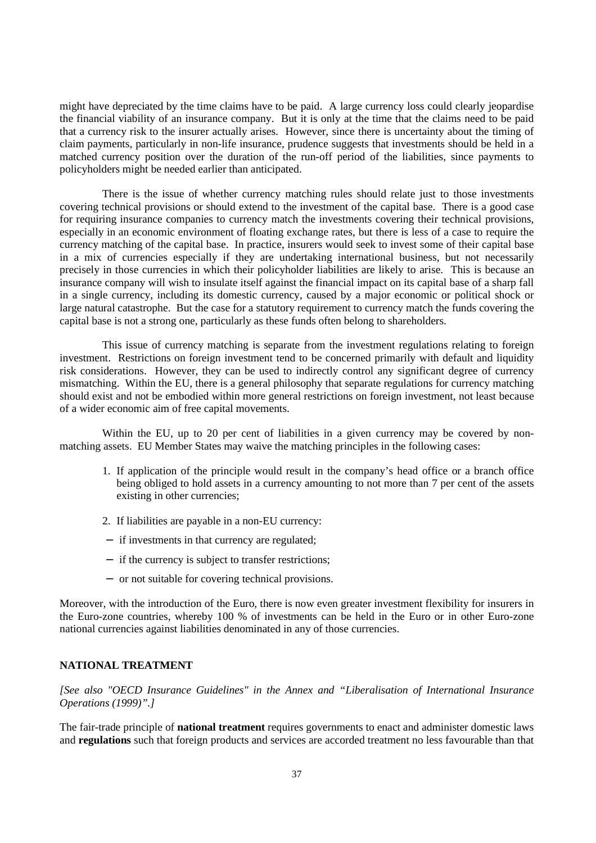might have depreciated by the time claims have to be paid. A large currency loss could clearly jeopardise the financial viability of an insurance company. But it is only at the time that the claims need to be paid that a currency risk to the insurer actually arises. However, since there is uncertainty about the timing of claim payments, particularly in non-life insurance, prudence suggests that investments should be held in a matched currency position over the duration of the run-off period of the liabilities, since payments to policyholders might be needed earlier than anticipated.

There is the issue of whether currency matching rules should relate just to those investments covering technical provisions or should extend to the investment of the capital base. There is a good case for requiring insurance companies to currency match the investments covering their technical provisions, especially in an economic environment of floating exchange rates, but there is less of a case to require the currency matching of the capital base. In practice, insurers would seek to invest some of their capital base in a mix of currencies especially if they are undertaking international business, but not necessarily precisely in those currencies in which their policyholder liabilities are likely to arise. This is because an insurance company will wish to insulate itself against the financial impact on its capital base of a sharp fall in a single currency, including its domestic currency, caused by a major economic or political shock or large natural catastrophe. But the case for a statutory requirement to currency match the funds covering the capital base is not a strong one, particularly as these funds often belong to shareholders.

This issue of currency matching is separate from the investment regulations relating to foreign investment. Restrictions on foreign investment tend to be concerned primarily with default and liquidity risk considerations. However, they can be used to indirectly control any significant degree of currency mismatching. Within the EU, there is a general philosophy that separate regulations for currency matching should exist and not be embodied within more general restrictions on foreign investment, not least because of a wider economic aim of free capital movements.

Within the EU, up to 20 per cent of liabilities in a given currency may be covered by nonmatching assets. EU Member States may waive the matching principles in the following cases:

- 1. If application of the principle would result in the company's head office or a branch office being obliged to hold assets in a currency amounting to not more than 7 per cent of the assets existing in other currencies;
- 2. If liabilities are payable in a non-EU currency:
- − if investments in that currency are regulated;
- − if the currency is subject to transfer restrictions;
- − or not suitable for covering technical provisions.

Moreover, with the introduction of the Euro, there is now even greater investment flexibility for insurers in the Euro-zone countries, whereby 100 % of investments can be held in the Euro or in other Euro-zone national currencies against liabilities denominated in any of those currencies.

# **NATIONAL TREATMENT**

*[See also "OECD Insurance Guidelines" in the Annex and "Liberalisation of International Insurance Operations (1999)".]*

The fair-trade principle of **national treatment** requires governments to enact and administer domestic laws and **regulations** such that foreign products and services are accorded treatment no less favourable than that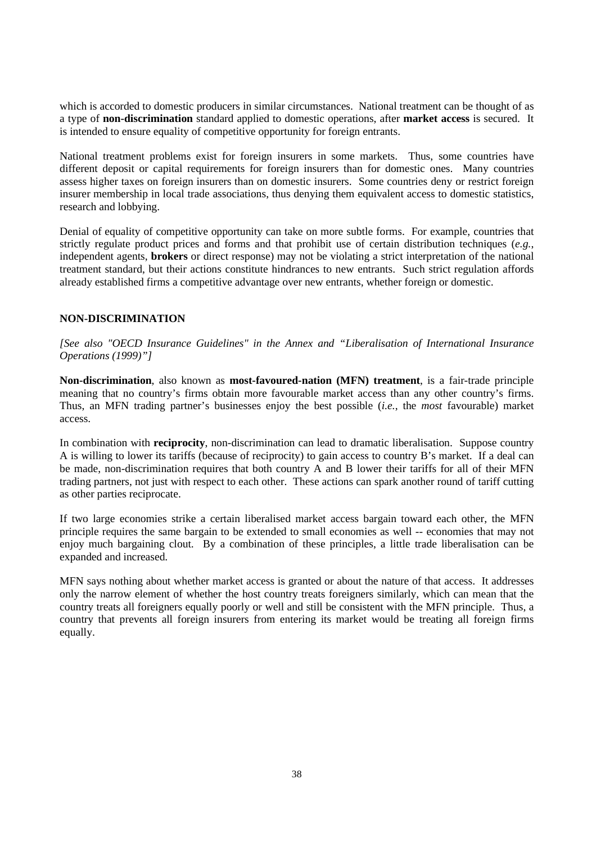which is accorded to domestic producers in similar circumstances. National treatment can be thought of as a type of **non-discrimination** standard applied to domestic operations, after **market access** is secured. It is intended to ensure equality of competitive opportunity for foreign entrants.

National treatment problems exist for foreign insurers in some markets. Thus, some countries have different deposit or capital requirements for foreign insurers than for domestic ones. Many countries assess higher taxes on foreign insurers than on domestic insurers. Some countries deny or restrict foreign insurer membership in local trade associations, thus denying them equivalent access to domestic statistics, research and lobbying.

Denial of equality of competitive opportunity can take on more subtle forms. For example, countries that strictly regulate product prices and forms and that prohibit use of certain distribution techniques (*e.g.*, independent agents, **brokers** or direct response) may not be violating a strict interpretation of the national treatment standard, but their actions constitute hindrances to new entrants. Such strict regulation affords already established firms a competitive advantage over new entrants, whether foreign or domestic.

# **NON-DISCRIMINATION**

*[See also "OECD Insurance Guidelines" in the Annex and "Liberalisation of International Insurance Operations (1999)"]*

**Non-discrimination**, also known as **most-favoured-nation (MFN) treatment**, is a fair-trade principle meaning that no country's firms obtain more favourable market access than any other country's firms. Thus, an MFN trading partner's businesses enjoy the best possible (*i.e.*, the *most* favourable) market access.

In combination with **reciprocity**, non-discrimination can lead to dramatic liberalisation. Suppose country A is willing to lower its tariffs (because of reciprocity) to gain access to country B's market. If a deal can be made, non-discrimination requires that both country A and B lower their tariffs for all of their MFN trading partners, not just with respect to each other. These actions can spark another round of tariff cutting as other parties reciprocate.

If two large economies strike a certain liberalised market access bargain toward each other, the MFN principle requires the same bargain to be extended to small economies as well -- economies that may not enjoy much bargaining clout. By a combination of these principles, a little trade liberalisation can be expanded and increased.

MFN says nothing about whether market access is granted or about the nature of that access. It addresses only the narrow element of whether the host country treats foreigners similarly, which can mean that the country treats all foreigners equally poorly or well and still be consistent with the MFN principle. Thus, a country that prevents all foreign insurers from entering its market would be treating all foreign firms equally.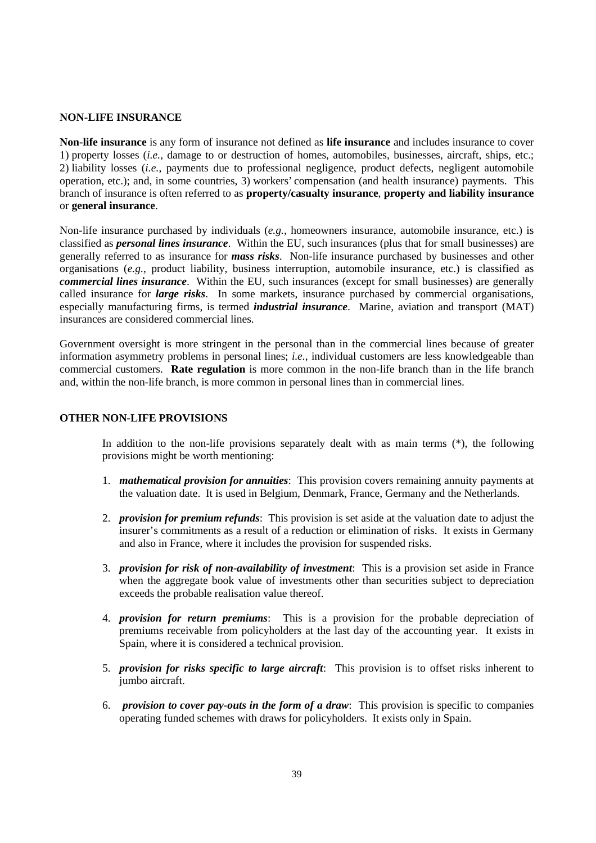#### **NON-LIFE INSURANCE**

**Non-life insurance** is any form of insurance not defined as **life insurance** and includes insurance to cover 1) property losses (*i.e.*, damage to or destruction of homes, automobiles, businesses, aircraft, ships, etc.; 2) liability losses (*i.e.*, payments due to professional negligence, product defects, negligent automobile operation, etc.); and, in some countries, 3) workers' compensation (and health insurance) payments. This branch of insurance is often referred to as **property/casualty insurance**, **property and liability insurance** or **general insurance**.

Non-life insurance purchased by individuals (*e.g.*, homeowners insurance, automobile insurance, etc.) is classified as *personal lines insurance*. Within the EU, such insurances (plus that for small businesses) are generally referred to as insurance for *mass risks*. Non-life insurance purchased by businesses and other organisations (*e.g.*, product liability, business interruption, automobile insurance, etc.) is classified as *commercial lines insurance*. Within the EU, such insurances (except for small businesses) are generally called insurance for *large risks*. In some markets, insurance purchased by commercial organisations, especially manufacturing firms, is termed *industrial insurance*. Marine, aviation and transport (MAT) insurances are considered commercial lines.

Government oversight is more stringent in the personal than in the commercial lines because of greater information asymmetry problems in personal lines; *i.e.*, individual customers are less knowledgeable than commercial customers. **Rate regulation** is more common in the non-life branch than in the life branch and, within the non-life branch, is more common in personal lines than in commercial lines.

#### **OTHER NON-LIFE PROVISIONS**

In addition to the non-life provisions separately dealt with as main terms (\*), the following provisions might be worth mentioning:

- 1. *mathematical provision for annuities*: This provision covers remaining annuity payments at the valuation date. It is used in Belgium, Denmark, France, Germany and the Netherlands.
- 2. *provision for premium refunds*: This provision is set aside at the valuation date to adjust the insurer's commitments as a result of a reduction or elimination of risks. It exists in Germany and also in France, where it includes the provision for suspended risks.
- 3. *provision for risk of non-availability of investment*: This is a provision set aside in France when the aggregate book value of investments other than securities subject to depreciation exceeds the probable realisation value thereof.
- 4. *provision for return premiums*: This is a provision for the probable depreciation of premiums receivable from policyholders at the last day of the accounting year. It exists in Spain, where it is considered a technical provision.
- 5. *provision for risks specific to large aircraft*: This provision is to offset risks inherent to jumbo aircraft.
- 6. *provision to cover pay-outs in the form of a draw*: This provision is specific to companies operating funded schemes with draws for policyholders. It exists only in Spain.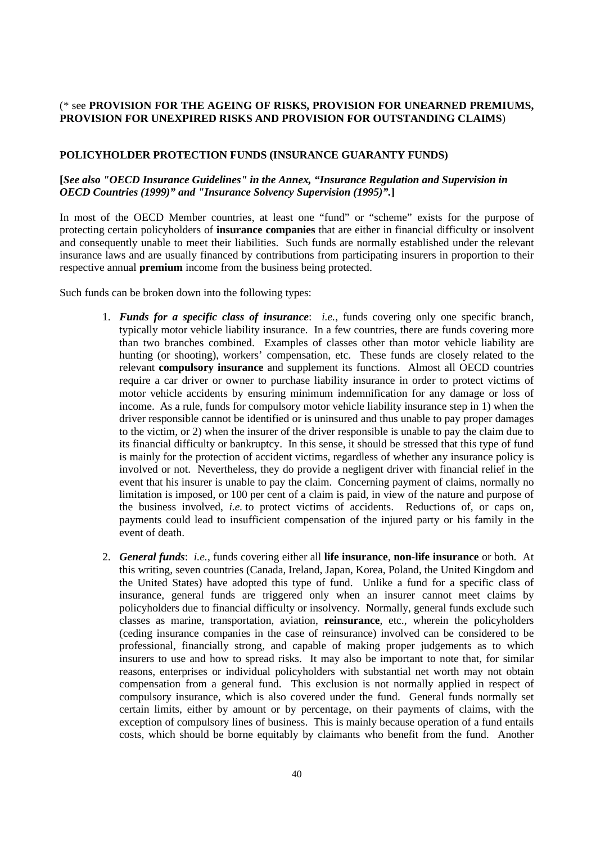# (\* see **PROVISION FOR THE AGEING OF RISKS, PROVISION FOR UNEARNED PREMIUMS, PROVISION FOR UNEXPIRED RISKS AND PROVISION FOR OUTSTANDING CLAIMS**)

#### **POLICYHOLDER PROTECTION FUNDS (INSURANCE GUARANTY FUNDS)**

# **[***See also "OECD Insurance Guidelines" in the Annex, "Insurance Regulation and Supervision in OECD Countries (1999)" and "Insurance Solvency Supervision (1995)".***]**

In most of the OECD Member countries, at least one "fund" or "scheme" exists for the purpose of protecting certain policyholders of **insurance companies** that are either in financial difficulty or insolvent and consequently unable to meet their liabilities. Such funds are normally established under the relevant insurance laws and are usually financed by contributions from participating insurers in proportion to their respective annual **premium** income from the business being protected.

Such funds can be broken down into the following types:

- 1. *Funds for a specific class of insurance*: *i.e.*, funds covering only one specific branch, typically motor vehicle liability insurance. In a few countries, there are funds covering more than two branches combined. Examples of classes other than motor vehicle liability are hunting (or shooting), workers' compensation, etc. These funds are closely related to the relevant **compulsory insurance** and supplement its functions. Almost all OECD countries require a car driver or owner to purchase liability insurance in order to protect victims of motor vehicle accidents by ensuring minimum indemnification for any damage or loss of income. As a rule, funds for compulsory motor vehicle liability insurance step in 1) when the driver responsible cannot be identified or is uninsured and thus unable to pay proper damages to the victim, or 2) when the insurer of the driver responsible is unable to pay the claim due to its financial difficulty or bankruptcy. In this sense, it should be stressed that this type of fund is mainly for the protection of accident victims, regardless of whether any insurance policy is involved or not. Nevertheless, they do provide a negligent driver with financial relief in the event that his insurer is unable to pay the claim. Concerning payment of claims, normally no limitation is imposed, or 100 per cent of a claim is paid, in view of the nature and purpose of the business involved, *i.e.* to protect victims of accidents. Reductions of, or caps on, payments could lead to insufficient compensation of the injured party or his family in the event of death.
- 2. *General funds*: *i.e.*, funds covering either all **life insurance**, **non-life insurance** or both. At this writing, seven countries (Canada, Ireland, Japan, Korea, Poland, the United Kingdom and the United States) have adopted this type of fund. Unlike a fund for a specific class of insurance, general funds are triggered only when an insurer cannot meet claims by policyholders due to financial difficulty or insolvency. Normally, general funds exclude such classes as marine, transportation, aviation, **reinsurance**, etc., wherein the policyholders (ceding insurance companies in the case of reinsurance) involved can be considered to be professional, financially strong, and capable of making proper judgements as to which insurers to use and how to spread risks. It may also be important to note that, for similar reasons, enterprises or individual policyholders with substantial net worth may not obtain compensation from a general fund. This exclusion is not normally applied in respect of compulsory insurance, which is also covered under the fund. General funds normally set certain limits, either by amount or by percentage, on their payments of claims, with the exception of compulsory lines of business. This is mainly because operation of a fund entails costs, which should be borne equitably by claimants who benefit from the fund. Another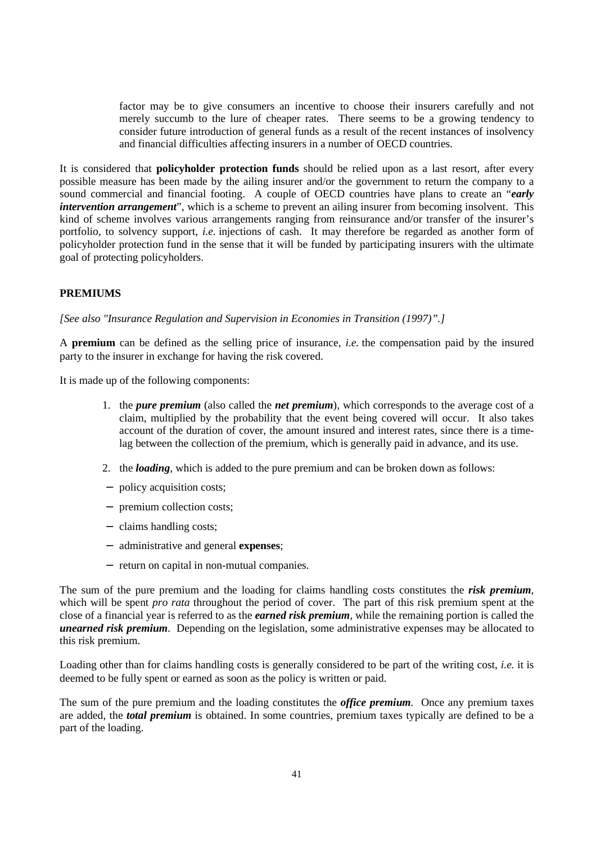factor may be to give consumers an incentive to choose their insurers carefully and not merely succumb to the lure of cheaper rates. There seems to be a growing tendency to consider future introduction of general funds as a result of the recent instances of insolvency and financial difficulties affecting insurers in a number of OECD countries.

It is considered that **policyholder protection funds** should be relied upon as a last resort, after every possible measure has been made by the ailing insurer and/or the government to return the company to a sound commercial and financial footing. A couple of OECD countries have plans to create an "*early intervention arrangement*", which is a scheme to prevent an ailing insurer from becoming insolvent. This kind of scheme involves various arrangements ranging from reinsurance and/or transfer of the insurer's portfolio, to solvency support, *i.e.* injections of cash. It may therefore be regarded as another form of policyholder protection fund in the sense that it will be funded by participating insurers with the ultimate goal of protecting policyholders.

# **PREMIUMS**

*[See also "Insurance Regulation and Supervision in Economies in Transition (1997)".]*

A **premium** can be defined as the selling price of insurance, *i.e.* the compensation paid by the insured party to the insurer in exchange for having the risk covered.

It is made up of the following components:

- 1. the *pure premium* (also called the *net premium*)*,* which corresponds to the average cost of a claim, multiplied by the probability that the event being covered will occur. It also takes account of the duration of cover, the amount insured and interest rates, since there is a timelag between the collection of the premium, which is generally paid in advance, and its use.
- 2. the *loading*, which is added to the pure premium and can be broken down as follows:
- − policy acquisition costs;
- − premium collection costs;
- − claims handling costs;
- − administrative and general **expenses**;
- − return on capital in non-mutual companies.

The sum of the pure premium and the loading for claims handling costs constitutes the *risk premium*, which will be spent *pro rata* throughout the period of cover. The part of this risk premium spent at the close of a financial year is referred to as the *earned risk premium*, while the remaining portion is called the *unearned risk premium*. Depending on the legislation, some administrative expenses may be allocated to this risk premium.

Loading other than for claims handling costs is generally considered to be part of the writing cost, *i.e.* it is deemed to be fully spent or earned as soon as the policy is written or paid.

The sum of the pure premium and the loading constitutes the *office premium.* Once any premium taxes are added, the *total premium* is obtained. In some countries, premium taxes typically are defined to be a part of the loading.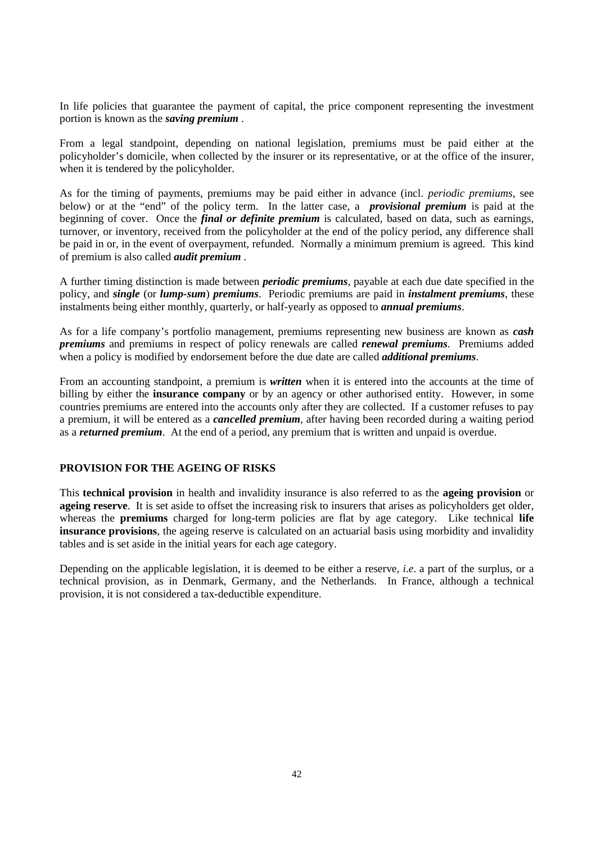In life policies that guarantee the payment of capital, the price component representing the investment portion is known as the *saving premium* .

From a legal standpoint, depending on national legislation, premiums must be paid either at the policyholder's domicile, when collected by the insurer or its representative, or at the office of the insurer, when it is tendered by the policyholder.

As for the timing of payments, premiums may be paid either in advance (incl. *periodic premiums*, see below) or at the "end" of the policy term. In the latter case, a *provisional premium* is paid at the beginning of cover. Once the *final or definite premium* is calculated, based on data, such as earnings, turnover, or inventory, received from the policyholder at the end of the policy period, any difference shall be paid in or, in the event of overpayment, refunded. Normally a minimum premium is agreed. This kind of premium is also called *audit premium* .

A further timing distinction is made between *periodic premiums*, payable at each due date specified in the policy, and *single* (or *lump-sum*) *premiums*. Periodic premiums are paid in *instalment premiums*, these instalments being either monthly, quarterly, or half-yearly as opposed to *annual premiums*.

As for a life company's portfolio management, premiums representing new business are known as *cash premiums* and premiums in respect of policy renewals are called *renewal premiums.* Premiums added when a policy is modified by endorsement before the due date are called *additional premiums*.

From an accounting standpoint, a premium is *written* when it is entered into the accounts at the time of billing by either the **insurance company** or by an agency or other authorised entity. However, in some countries premiums are entered into the accounts only after they are collected. If a customer refuses to pay a premium, it will be entered as a *cancelled premium*, after having been recorded during a waiting period as a *returned premium*. At the end of a period, any premium that is written and unpaid is overdue.

#### **PROVISION FOR THE AGEING OF RISKS**

This **technical provision** in health and invalidity insurance is also referred to as the **ageing provision** or **ageing reserve**. It is set aside to offset the increasing risk to insurers that arises as policyholders get older, whereas the **premiums** charged for long-term policies are flat by age category. Like technical **life insurance provisions**, the ageing reserve is calculated on an actuarial basis using morbidity and invalidity tables and is set aside in the initial years for each age category.

Depending on the applicable legislation, it is deemed to be either a reserve, *i.e.* a part of the surplus, or a technical provision, as in Denmark, Germany, and the Netherlands. In France, although a technical provision, it is not considered a tax-deductible expenditure.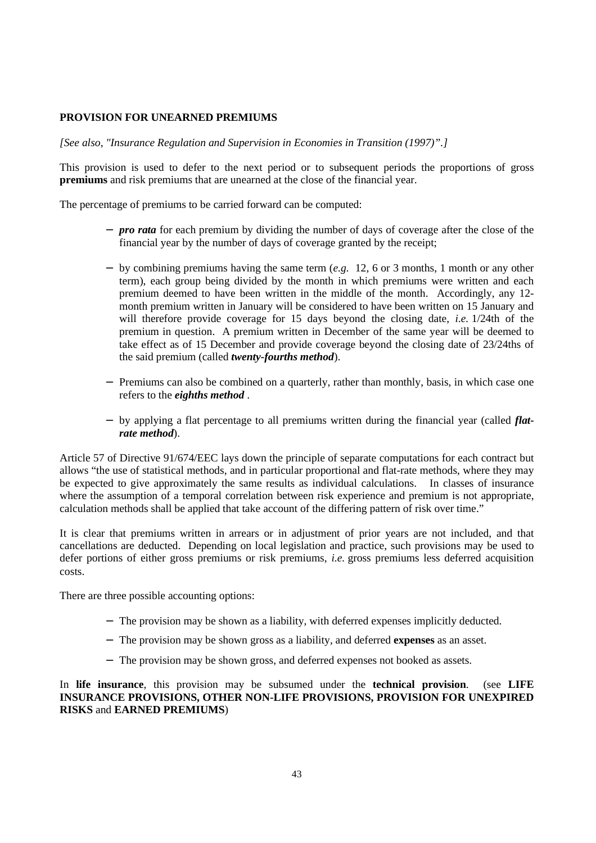# **PROVISION FOR UNEARNED PREMIUMS**

*[See also, "Insurance Regulation and Supervision in Economies in Transition (1997)".]*

This provision is used to defer to the next period or to subsequent periods the proportions of gross **premiums** and risk premiums that are unearned at the close of the financial year.

The percentage of premiums to be carried forward can be computed:

- − *pro rata* for each premium by dividing the number of days of coverage after the close of the financial year by the number of days of coverage granted by the receipt;
- − by combining premiums having the same term (*e.g.* 12, 6 or 3 months, 1 month or any other term), each group being divided by the month in which premiums were written and each premium deemed to have been written in the middle of the month. Accordingly, any 12 month premium written in January will be considered to have been written on 15 January and will therefore provide coverage for 15 days beyond the closing date, *i.e.* 1/24th of the premium in question. A premium written in December of the same year will be deemed to take effect as of 15 December and provide coverage beyond the closing date of 23/24ths of the said premium (called *twenty-fourths method*).
- − Premiums can also be combined on a quarterly, rather than monthly, basis, in which case one refers to the *eighths method* .
- − by applying a flat percentage to all premiums written during the financial year (called *flatrate method*).

Article 57 of Directive 91/674/EEC lays down the principle of separate computations for each contract but allows "the use of statistical methods, and in particular proportional and flat-rate methods, where they may be expected to give approximately the same results as individual calculations. In classes of insurance where the assumption of a temporal correlation between risk experience and premium is not appropriate, calculation methods shall be applied that take account of the differing pattern of risk over time."

It is clear that premiums written in arrears or in adjustment of prior years are not included, and that cancellations are deducted. Depending on local legislation and practice, such provisions may be used to defer portions of either gross premiums or risk premiums, *i.e.* gross premiums less deferred acquisition costs.

There are three possible accounting options:

- − The provision may be shown as a liability, with deferred expenses implicitly deducted.
- − The provision may be shown gross as a liability, and deferred **expenses** as an asset.
- − The provision may be shown gross, and deferred expenses not booked as assets.

In **life insurance**, this provision may be subsumed under the **technical provision**. (see **LIFE INSURANCE PROVISIONS, OTHER NON-LIFE PROVISIONS, PROVISION FOR UNEXPIRED RISKS** and **EARNED PREMIUMS**)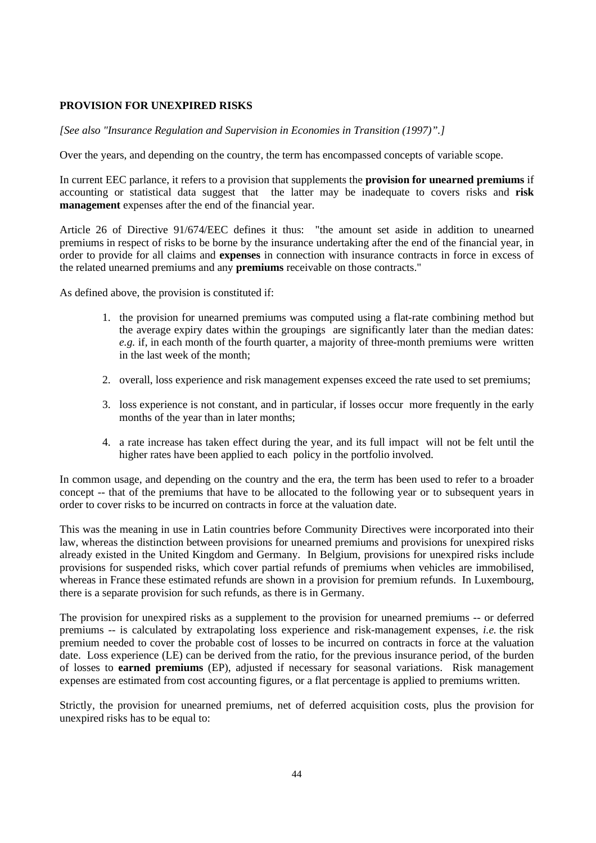# **PROVISION FOR UNEXPIRED RISKS**

*[See also "Insurance Regulation and Supervision in Economies in Transition (1997)".]*

Over the years, and depending on the country, the term has encompassed concepts of variable scope.

In current EEC parlance, it refers to a provision that supplements the **provision for unearned premiums** if accounting or statistical data suggest that the latter may be inadequate to covers risks and **risk management** expenses after the end of the financial year.

Article 26 of Directive 91/674/EEC defines it thus: "the amount set aside in addition to unearned premiums in respect of risks to be borne by the insurance undertaking after the end of the financial year, in order to provide for all claims and **expenses** in connection with insurance contracts in force in excess of the related unearned premiums and any **premiums** receivable on those contracts."

As defined above, the provision is constituted if:

- 1. the provision for unearned premiums was computed using a flat-rate combining method but the average expiry dates within the groupings are significantly later than the median dates: *e.g.* if, in each month of the fourth quarter, a majority of three-month premiums were written in the last week of the month;
- 2. overall, loss experience and risk management expenses exceed the rate used to set premiums;
- 3. loss experience is not constant, and in particular, if losses occur more frequently in the early months of the year than in later months;
- 4. a rate increase has taken effect during the year, and its full impact will not be felt until the higher rates have been applied to each policy in the portfolio involved.

In common usage, and depending on the country and the era, the term has been used to refer to a broader concept -- that of the premiums that have to be allocated to the following year or to subsequent years in order to cover risks to be incurred on contracts in force at the valuation date.

This was the meaning in use in Latin countries before Community Directives were incorporated into their law, whereas the distinction between provisions for unearned premiums and provisions for unexpired risks already existed in the United Kingdom and Germany. In Belgium, provisions for unexpired risks include provisions for suspended risks, which cover partial refunds of premiums when vehicles are immobilised, whereas in France these estimated refunds are shown in a provision for premium refunds. In Luxembourg, there is a separate provision for such refunds, as there is in Germany.

The provision for unexpired risks as a supplement to the provision for unearned premiums -- or deferred premiums -- is calculated by extrapolating loss experience and risk-management expenses, *i.e.* the risk premium needed to cover the probable cost of losses to be incurred on contracts in force at the valuation date. Loss experience (LE) can be derived from the ratio, for the previous insurance period, of the burden of losses to **earned premiums** (EP), adjusted if necessary for seasonal variations. Risk management expenses are estimated from cost accounting figures, or a flat percentage is applied to premiums written.

Strictly, the provision for unearned premiums, net of deferred acquisition costs, plus the provision for unexpired risks has to be equal to: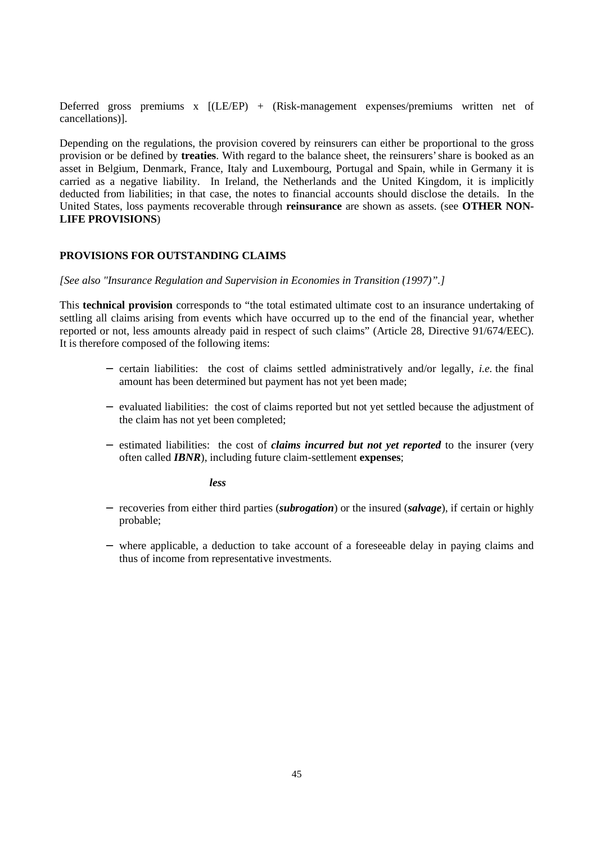Deferred gross premiums x [(LE/EP) + (Risk-management expenses/premiums written net of cancellations)].

Depending on the regulations, the provision covered by reinsurers can either be proportional to the gross provision or be defined by **treaties**. With regard to the balance sheet, the reinsurers' share is booked as an asset in Belgium, Denmark, France, Italy and Luxembourg, Portugal and Spain, while in Germany it is carried as a negative liability. In Ireland, the Netherlands and the United Kingdom, it is implicitly deducted from liabilities; in that case, the notes to financial accounts should disclose the details. In the United States, loss payments recoverable through **reinsurance** are shown as assets. (see **OTHER NON-LIFE PROVISIONS**)

#### **PROVISIONS FOR OUTSTANDING CLAIMS**

*[See also "Insurance Regulation and Supervision in Economies in Transition (1997)".]*

This **technical provision** corresponds to "the total estimated ultimate cost to an insurance undertaking of settling all claims arising from events which have occurred up to the end of the financial year, whether reported or not, less amounts already paid in respect of such claims" (Article 28, Directive 91/674/EEC). It is therefore composed of the following items:

- − certain liabilities: the cost of claims settled administratively and/or legally, *i.e.* the final amount has been determined but payment has not yet been made;
- − evaluated liabilities: the cost of claims reported but not yet settled because the adjustment of the claim has not yet been completed;
- − estimated liabilities: the cost of *claims incurred but not yet reported* to the insurer (very often called *IBNR*), including future claim-settlement **expenses**;

 *less*

- − recoveries from either third parties (*subrogation*) or the insured (*salvage*), if certain or highly probable;
- − where applicable, a deduction to take account of a foreseeable delay in paying claims and thus of income from representative investments.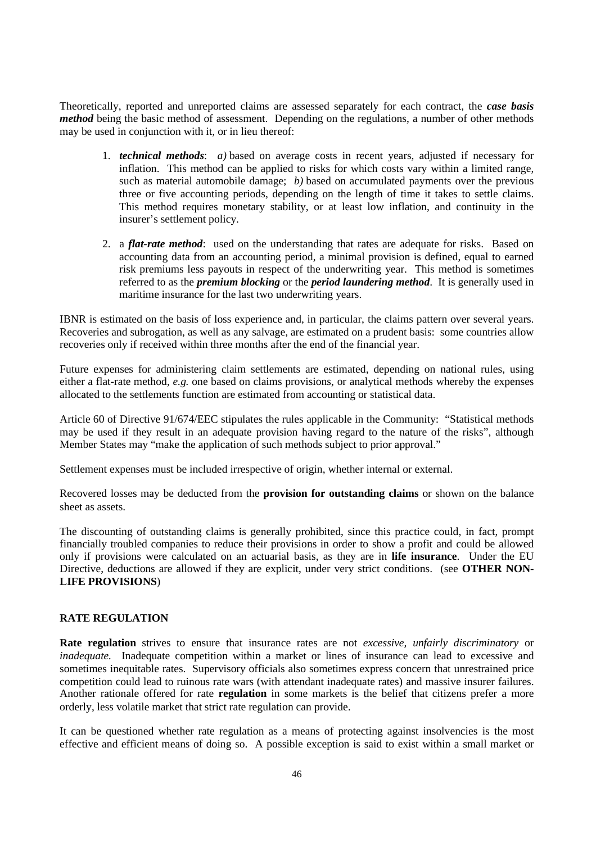Theoretically, reported and unreported claims are assessed separately for each contract, the *case basis method* being the basic method of assessment. Depending on the regulations, a number of other methods may be used in conjunction with it, or in lieu thereof:

- 1. *technical methods*: *a)* based on average costs in recent years, adjusted if necessary for inflation. This method can be applied to risks for which costs vary within a limited range, such as material automobile damage; *b*) based on accumulated payments over the previous three or five accounting periods, depending on the length of time it takes to settle claims. This method requires monetary stability, or at least low inflation, and continuity in the insurer's settlement policy.
- 2. a *flat-rate method*: used on the understanding that rates are adequate for risks. Based on accounting data from an accounting period, a minimal provision is defined, equal to earned risk premiums less payouts in respect of the underwriting year. This method is sometimes referred to as the *premium blocking* or the *period laundering method*. It is generally used in maritime insurance for the last two underwriting years.

IBNR is estimated on the basis of loss experience and, in particular, the claims pattern over several years. Recoveries and subrogation, as well as any salvage, are estimated on a prudent basis: some countries allow recoveries only if received within three months after the end of the financial year.

Future expenses for administering claim settlements are estimated, depending on national rules, using either a flat-rate method, *e.g.* one based on claims provisions, or analytical methods whereby the expenses allocated to the settlements function are estimated from accounting or statistical data.

Article 60 of Directive 91/674/EEC stipulates the rules applicable in the Community: "Statistical methods may be used if they result in an adequate provision having regard to the nature of the risks", although Member States may "make the application of such methods subject to prior approval."

Settlement expenses must be included irrespective of origin, whether internal or external.

Recovered losses may be deducted from the **provision for outstanding claims** or shown on the balance sheet as assets.

The discounting of outstanding claims is generally prohibited, since this practice could, in fact, prompt financially troubled companies to reduce their provisions in order to show a profit and could be allowed only if provisions were calculated on an actuarial basis, as they are in **life insurance**. Under the EU Directive, deductions are allowed if they are explicit, under very strict conditions. (see **OTHER NON-LIFE PROVISIONS**)

#### **RATE REGULATION**

**Rate regulation** strives to ensure that insurance rates are not *excessive, unfairly discriminatory* or *inadequate*. Inadequate competition within a market or lines of insurance can lead to excessive and sometimes inequitable rates. Supervisory officials also sometimes express concern that unrestrained price competition could lead to ruinous rate wars (with attendant inadequate rates) and massive insurer failures. Another rationale offered for rate **regulation** in some markets is the belief that citizens prefer a more orderly, less volatile market that strict rate regulation can provide.

It can be questioned whether rate regulation as a means of protecting against insolvencies is the most effective and efficient means of doing so. A possible exception is said to exist within a small market or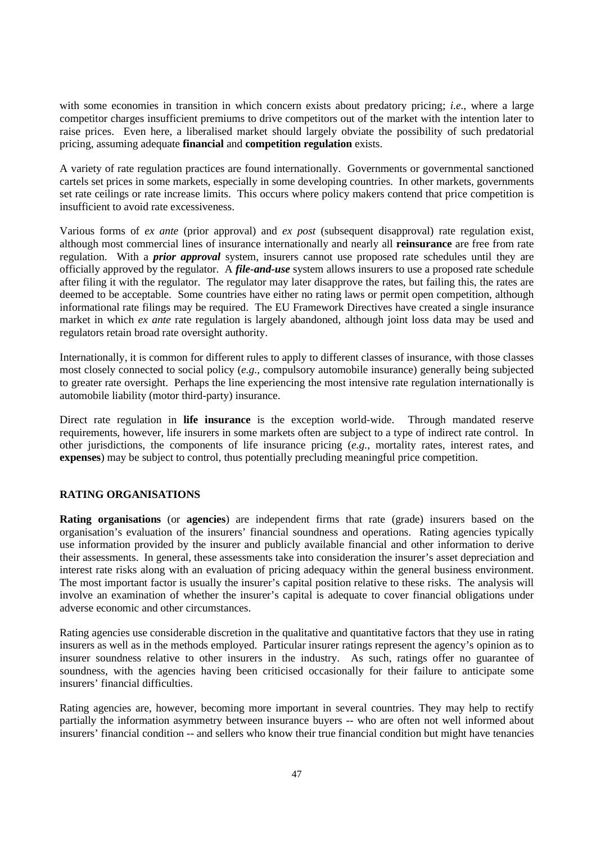with some economies in transition in which concern exists about predatory pricing; *i.e.*, where a large competitor charges insufficient premiums to drive competitors out of the market with the intention later to raise prices. Even here, a liberalised market should largely obviate the possibility of such predatorial pricing, assuming adequate **financial** and **competition regulation** exists.

A variety of rate regulation practices are found internationally. Governments or governmental sanctioned cartels set prices in some markets, especially in some developing countries. In other markets, governments set rate ceilings or rate increase limits. This occurs where policy makers contend that price competition is insufficient to avoid rate excessiveness.

Various forms of *ex ante* (prior approval) and *ex post* (subsequent disapproval) rate regulation exist, although most commercial lines of insurance internationally and nearly all **reinsurance** are free from rate regulation. With a *prior approval* system, insurers cannot use proposed rate schedules until they are officially approved by the regulator. A *file-and-use* system allows insurers to use a proposed rate schedule after filing it with the regulator. The regulator may later disapprove the rates, but failing this, the rates are deemed to be acceptable. Some countries have either no rating laws or permit open competition, although informational rate filings may be required. The EU Framework Directives have created a single insurance market in which *ex ante* rate regulation is largely abandoned, although joint loss data may be used and regulators retain broad rate oversight authority.

Internationally, it is common for different rules to apply to different classes of insurance, with those classes most closely connected to social policy (*e.g.*, compulsory automobile insurance) generally being subjected to greater rate oversight. Perhaps the line experiencing the most intensive rate regulation internationally is automobile liability (motor third-party) insurance.

Direct rate regulation in **life insurance** is the exception world-wide. Through mandated reserve requirements, however, life insurers in some markets often are subject to a type of indirect rate control. In other jurisdictions, the components of life insurance pricing (*e.g.*, mortality rates, interest rates, and **expenses**) may be subject to control, thus potentially precluding meaningful price competition.

#### **RATING ORGANISATIONS**

**Rating organisations** (or **agencies**) are independent firms that rate (grade) insurers based on the organisation's evaluation of the insurers' financial soundness and operations. Rating agencies typically use information provided by the insurer and publicly available financial and other information to derive their assessments. In general, these assessments take into consideration the insurer's asset depreciation and interest rate risks along with an evaluation of pricing adequacy within the general business environment. The most important factor is usually the insurer's capital position relative to these risks. The analysis will involve an examination of whether the insurer's capital is adequate to cover financial obligations under adverse economic and other circumstances.

Rating agencies use considerable discretion in the qualitative and quantitative factors that they use in rating insurers as well as in the methods employed. Particular insurer ratings represent the agency's opinion as to insurer soundness relative to other insurers in the industry. As such, ratings offer no guarantee of soundness, with the agencies having been criticised occasionally for their failure to anticipate some insurers' financial difficulties.

Rating agencies are, however, becoming more important in several countries. They may help to rectify partially the information asymmetry between insurance buyers -- who are often not well informed about insurers' financial condition -- and sellers who know their true financial condition but might have tenancies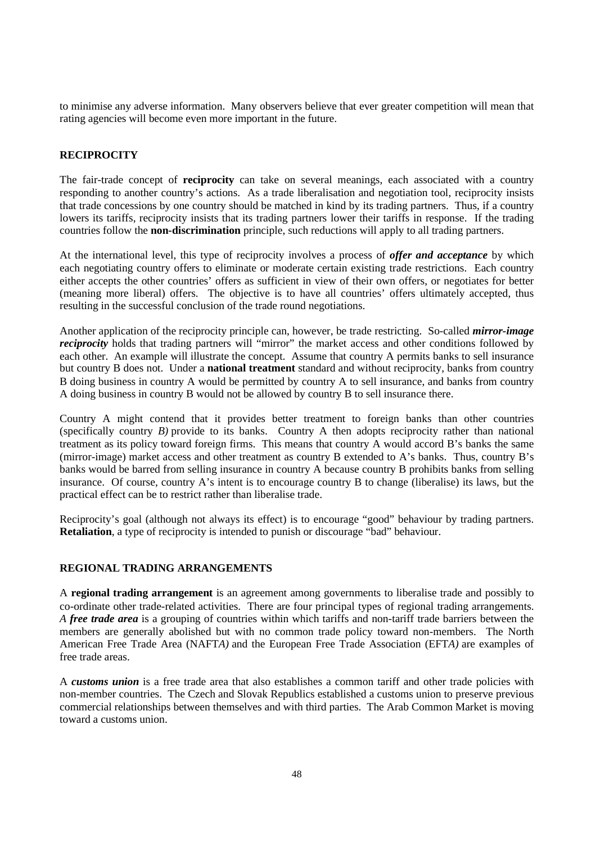to minimise any adverse information. Many observers believe that ever greater competition will mean that rating agencies will become even more important in the future.

# **RECIPROCITY**

The fair-trade concept of **reciprocity** can take on several meanings, each associated with a country responding to another country's actions. As a trade liberalisation and negotiation tool, reciprocity insists that trade concessions by one country should be matched in kind by its trading partners. Thus, if a country lowers its tariffs, reciprocity insists that its trading partners lower their tariffs in response. If the trading countries follow the **non-discrimination** principle, such reductions will apply to all trading partners.

At the international level, this type of reciprocity involves a process of *offer and acceptance* by which each negotiating country offers to eliminate or moderate certain existing trade restrictions. Each country either accepts the other countries' offers as sufficient in view of their own offers, or negotiates for better (meaning more liberal) offers. The objective is to have all countries' offers ultimately accepted, thus resulting in the successful conclusion of the trade round negotiations.

Another application of the reciprocity principle can, however, be trade restricting. So-called *mirror-image reciprocity* holds that trading partners will "mirror" the market access and other conditions followed by each other. An example will illustrate the concept. Assume that country A permits banks to sell insurance but country B does not. Under a **national treatment** standard and without reciprocity, banks from country B doing business in country A would be permitted by country A to sell insurance, and banks from country A doing business in country B would not be allowed by country B to sell insurance there.

Country A might contend that it provides better treatment to foreign banks than other countries (specifically country *B)* provide to its banks. Country A then adopts reciprocity rather than national treatment as its policy toward foreign firms. This means that country A would accord B's banks the same (mirror-image) market access and other treatment as country B extended to A's banks. Thus, country B's banks would be barred from selling insurance in country A because country B prohibits banks from selling insurance. Of course, country A's intent is to encourage country B to change (liberalise) its laws, but the practical effect can be to restrict rather than liberalise trade.

Reciprocity's goal (although not always its effect) is to encourage "good" behaviour by trading partners. **Retaliation**, a type of reciprocity is intended to punish or discourage "bad" behaviour.

#### **REGIONAL TRADING ARRANGEMENTS**

A **regional trading arrangement** is an agreement among governments to liberalise trade and possibly to co-ordinate other trade-related activities. There are four principal types of regional trading arrangements. *A free trade area* is a grouping of countries within which tariffs and non-tariff trade barriers between the members are generally abolished but with no common trade policy toward non-members. The North American Free Trade Area (NAFT*A)* and the European Free Trade Association (EFT*A)* are examples of free trade areas.

A *customs union* is a free trade area that also establishes a common tariff and other trade policies with non-member countries. The Czech and Slovak Republics established a customs union to preserve previous commercial relationships between themselves and with third parties. The Arab Common Market is moving toward a customs union.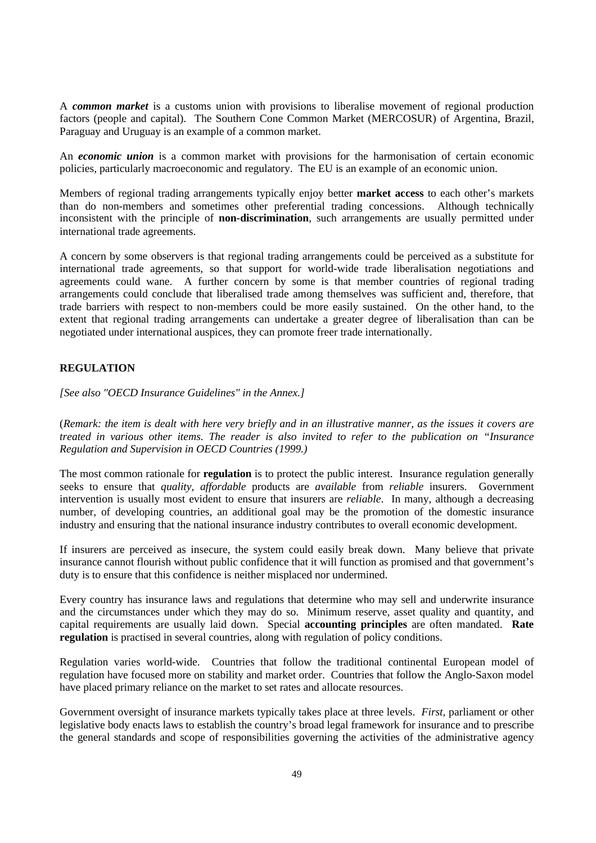A *common market* is a customs union with provisions to liberalise movement of regional production factors (people and capital). The Southern Cone Common Market (MERCOSUR) of Argentina, Brazil, Paraguay and Uruguay is an example of a common market.

An *economic union* is a common market with provisions for the harmonisation of certain economic policies, particularly macroeconomic and regulatory. The EU is an example of an economic union.

Members of regional trading arrangements typically enjoy better **market access** to each other's markets than do non-members and sometimes other preferential trading concessions. Although technically inconsistent with the principle of **non-discrimination**, such arrangements are usually permitted under international trade agreements.

A concern by some observers is that regional trading arrangements could be perceived as a substitute for international trade agreements, so that support for world-wide trade liberalisation negotiations and agreements could wane. A further concern by some is that member countries of regional trading arrangements could conclude that liberalised trade among themselves was sufficient and, therefore, that trade barriers with respect to non-members could be more easily sustained. On the other hand, to the extent that regional trading arrangements can undertake a greater degree of liberalisation than can be negotiated under international auspices, they can promote freer trade internationally.

### **REGULATION**

*[See also "OECD Insurance Guidelines" in the Annex.]*

(*Remark: the item is dealt with here very briefly and in an illustrative manner, as the issues it covers are treated in various other items. The reader is also invited to refer to the publication on "Insurance Regulation and Supervision in OECD Countries (1999.)*

The most common rationale for **regulation** is to protect the public interest. Insurance regulation generally seeks to ensure that *quality, affordable* products are *available* from *reliable* insurers. Government intervention is usually most evident to ensure that insurers are *reliable*. In many, although a decreasing number, of developing countries, an additional goal may be the promotion of the domestic insurance industry and ensuring that the national insurance industry contributes to overall economic development.

If insurers are perceived as insecure, the system could easily break down. Many believe that private insurance cannot flourish without public confidence that it will function as promised and that government's duty is to ensure that this confidence is neither misplaced nor undermined.

Every country has insurance laws and regulations that determine who may sell and underwrite insurance and the circumstances under which they may do so. Minimum reserve, asset quality and quantity, and capital requirements are usually laid down. Special **accounting principles** are often mandated. **Rate regulation** is practised in several countries, along with regulation of policy conditions.

Regulation varies world-wide. Countries that follow the traditional continental European model of regulation have focused more on stability and market order. Countries that follow the Anglo-Saxon model have placed primary reliance on the market to set rates and allocate resources.

Government oversight of insurance markets typically takes place at three levels. *First*, parliament or other legislative body enacts laws to establish the country's broad legal framework for insurance and to prescribe the general standards and scope of responsibilities governing the activities of the administrative agency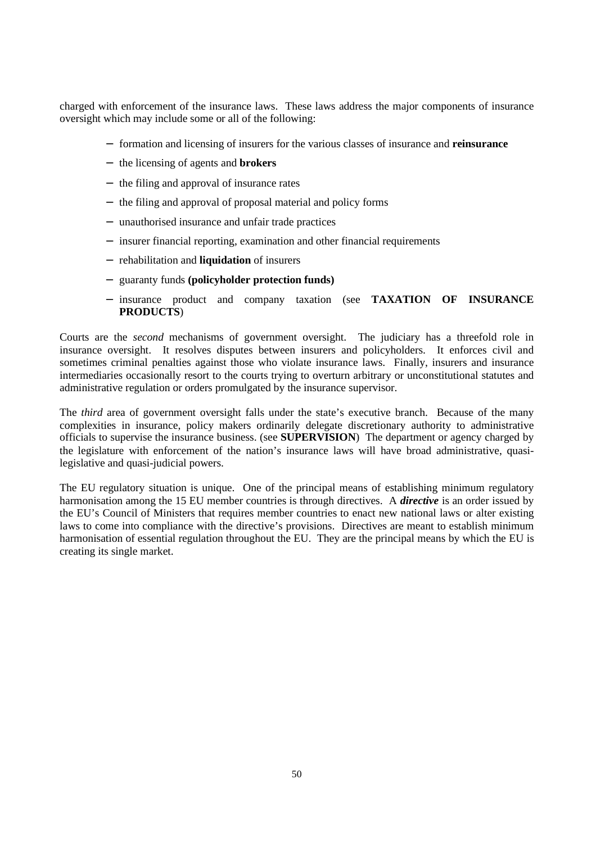charged with enforcement of the insurance laws. These laws address the major components of insurance oversight which may include some or all of the following:

- − formation and licensing of insurers for the various classes of insurance and **reinsurance**
- − the licensing of agents and **brokers**
- − the filing and approval of insurance rates
- − the filing and approval of proposal material and policy forms
- − unauthorised insurance and unfair trade practices
- − insurer financial reporting, examination and other financial requirements
- − rehabilitation and **liquidation** of insurers
- − guaranty funds **(policyholder protection funds)**
- − insurance product and company taxation (see **TAXATION OF INSURANCE PRODUCTS**)

Courts are the *second* mechanisms of government oversight. The judiciary has a threefold role in insurance oversight. It resolves disputes between insurers and policyholders. It enforces civil and sometimes criminal penalties against those who violate insurance laws. Finally, insurers and insurance intermediaries occasionally resort to the courts trying to overturn arbitrary or unconstitutional statutes and administrative regulation or orders promulgated by the insurance supervisor.

The *third* area of government oversight falls under the state's executive branch. Because of the many complexities in insurance, policy makers ordinarily delegate discretionary authority to administrative officials to supervise the insurance business. (see **SUPERVISION**) The department or agency charged by the legislature with enforcement of the nation's insurance laws will have broad administrative, quasilegislative and quasi-judicial powers.

The EU regulatory situation is unique. One of the principal means of establishing minimum regulatory harmonisation among the 15 EU member countries is through directives. A *directive* is an order issued by the EU's Council of Ministers that requires member countries to enact new national laws or alter existing laws to come into compliance with the directive's provisions. Directives are meant to establish minimum harmonisation of essential regulation throughout the EU. They are the principal means by which the EU is creating its single market.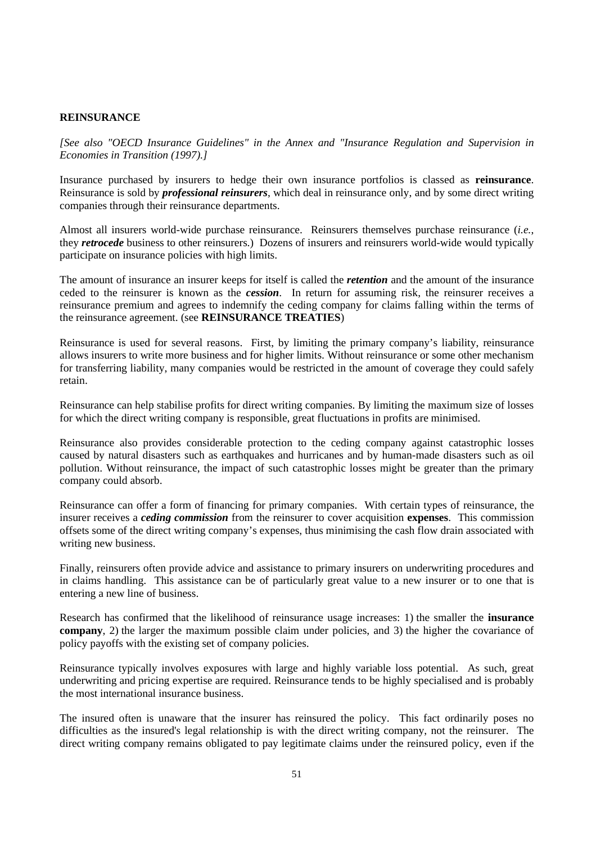#### **REINSURANCE**

*[See also "OECD Insurance Guidelines" in the Annex and "Insurance Regulation and Supervision in Economies in Transition (1997).]*

Insurance purchased by insurers to hedge their own insurance portfolios is classed as **reinsurance**. Reinsurance is sold by *professional reinsurers*, which deal in reinsurance only, and by some direct writing companies through their reinsurance departments.

Almost all insurers world-wide purchase reinsurance. Reinsurers themselves purchase reinsurance (*i.e.*, they *retrocede* business to other reinsurers.) Dozens of insurers and reinsurers world-wide would typically participate on insurance policies with high limits.

The amount of insurance an insurer keeps for itself is called the *retention* and the amount of the insurance ceded to the reinsurer is known as the *cession*. In return for assuming risk, the reinsurer receives a reinsurance premium and agrees to indemnify the ceding company for claims falling within the terms of the reinsurance agreement. (see **REINSURANCE TREATIES**)

Reinsurance is used for several reasons. First, by limiting the primary company's liability, reinsurance allows insurers to write more business and for higher limits. Without reinsurance or some other mechanism for transferring liability, many companies would be restricted in the amount of coverage they could safely retain.

Reinsurance can help stabilise profits for direct writing companies. By limiting the maximum size of losses for which the direct writing company is responsible, great fluctuations in profits are minimised.

Reinsurance also provides considerable protection to the ceding company against catastrophic losses caused by natural disasters such as earthquakes and hurricanes and by human-made disasters such as oil pollution. Without reinsurance, the impact of such catastrophic losses might be greater than the primary company could absorb.

Reinsurance can offer a form of financing for primary companies. With certain types of reinsurance, the insurer receives a *ceding commission* from the reinsurer to cover acquisition **expenses**. This commission offsets some of the direct writing company's expenses, thus minimising the cash flow drain associated with writing new business.

Finally, reinsurers often provide advice and assistance to primary insurers on underwriting procedures and in claims handling. This assistance can be of particularly great value to a new insurer or to one that is entering a new line of business.

Research has confirmed that the likelihood of reinsurance usage increases: 1) the smaller the **insurance company**, 2) the larger the maximum possible claim under policies, and 3) the higher the covariance of policy payoffs with the existing set of company policies.

Reinsurance typically involves exposures with large and highly variable loss potential. As such, great underwriting and pricing expertise are required. Reinsurance tends to be highly specialised and is probably the most international insurance business.

The insured often is unaware that the insurer has reinsured the policy. This fact ordinarily poses no difficulties as the insured's legal relationship is with the direct writing company, not the reinsurer. The direct writing company remains obligated to pay legitimate claims under the reinsured policy, even if the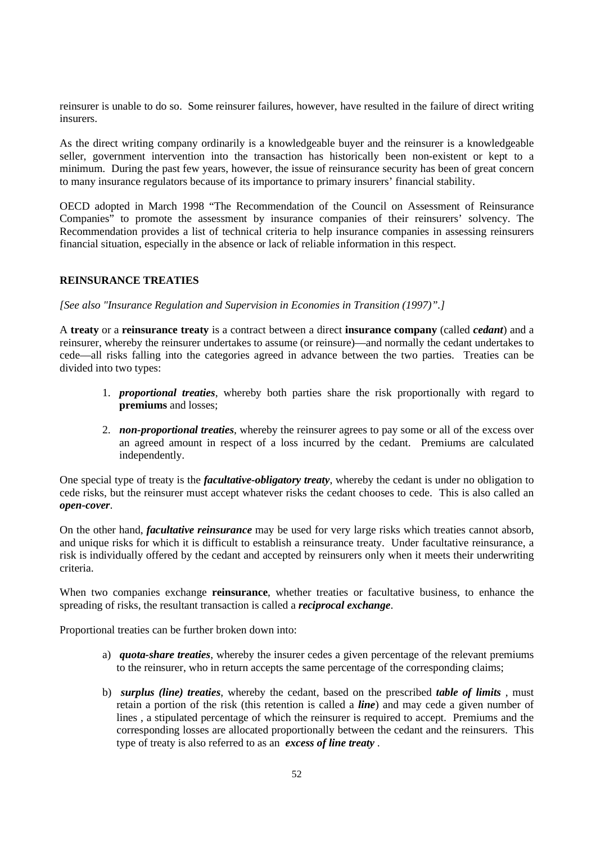reinsurer is unable to do so. Some reinsurer failures, however, have resulted in the failure of direct writing insurers.

As the direct writing company ordinarily is a knowledgeable buyer and the reinsurer is a knowledgeable seller, government intervention into the transaction has historically been non-existent or kept to a minimum. During the past few years, however, the issue of reinsurance security has been of great concern to many insurance regulators because of its importance to primary insurers' financial stability.

OECD adopted in March 1998 "The Recommendation of the Council on Assessment of Reinsurance Companies" to promote the assessment by insurance companies of their reinsurers' solvency. The Recommendation provides a list of technical criteria to help insurance companies in assessing reinsurers financial situation, especially in the absence or lack of reliable information in this respect.

# **REINSURANCE TREATIES**

*[See also "Insurance Regulation and Supervision in Economies in Transition (1997)".]*

A **treaty** or a **reinsurance treaty** is a contract between a direct **insurance company** (called *cedant*) and a reinsurer, whereby the reinsurer undertakes to assume (or reinsure)—and normally the cedant undertakes to cede—all risks falling into the categories agreed in advance between the two parties. Treaties can be divided into two types:

- 1. *proportional treaties*, whereby both parties share the risk proportionally with regard to **premiums** and losses;
- 2. *non-proportional treaties*, whereby the reinsurer agrees to pay some or all of the excess over an agreed amount in respect of a loss incurred by the cedant. Premiums are calculated independently.

One special type of treaty is the *facultative-obligatory treaty*, whereby the cedant is under no obligation to cede risks, but the reinsurer must accept whatever risks the cedant chooses to cede. This is also called an *open-cover*.

On the other hand, *facultative reinsurance* may be used for very large risks which treaties cannot absorb, and unique risks for which it is difficult to establish a reinsurance treaty. Under facultative reinsurance, a risk is individually offered by the cedant and accepted by reinsurers only when it meets their underwriting criteria.

When two companies exchange **reinsurance**, whether treaties or facultative business, to enhance the spreading of risks, the resultant transaction is called a *reciprocal exchange*.

Proportional treaties can be further broken down into:

- a) *quota-share treaties*, whereby the insurer cedes a given percentage of the relevant premiums to the reinsurer, who in return accepts the same percentage of the corresponding claims;
- b) *surplus (line) treaties*, whereby the cedant, based on the prescribed *table of limits* , must retain a portion of the risk (this retention is called a *line*) and may cede a given number of lines , a stipulated percentage of which the reinsurer is required to accept. Premiums and the corresponding losses are allocated proportionally between the cedant and the reinsurers. This type of treaty is also referred to as an *excess of line treaty* .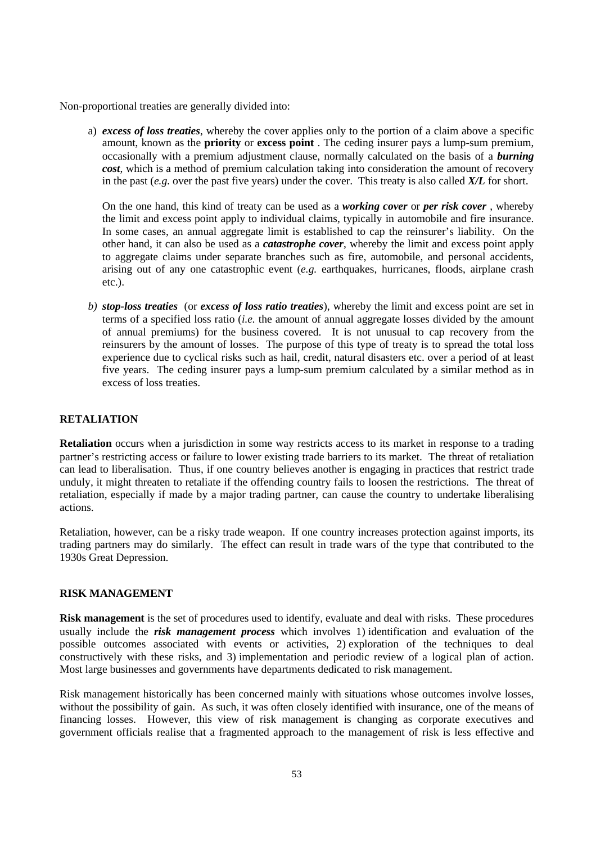Non-proportional treaties are generally divided into:

a) *excess of loss treaties*, whereby the cover applies only to the portion of a claim above a specific amount, known as the **priority** or **excess point** . The ceding insurer pays a lump-sum premium, occasionally with a premium adjustment clause, normally calculated on the basis of a *burning cost*, which is a method of premium calculation taking into consideration the amount of recovery in the past (*e.g.* over the past five years) under the cover. This treaty is also called *X/L* for short.

On the one hand, this kind of treaty can be used as a *working cover* or *per risk cover* , whereby the limit and excess point apply to individual claims, typically in automobile and fire insurance. In some cases, an annual aggregate limit is established to cap the reinsurer's liability. On the other hand, it can also be used as a *catastrophe cover*, whereby the limit and excess point apply to aggregate claims under separate branches such as fire, automobile, and personal accidents, arising out of any one catastrophic event (*e.g.* earthquakes, hurricanes, floods, airplane crash etc.).

*b) stop-loss treaties* (or *excess of loss ratio treaties*), whereby the limit and excess point are set in terms of a specified loss ratio (*i.e.* the amount of annual aggregate losses divided by the amount of annual premiums) for the business covered. It is not unusual to cap recovery from the reinsurers by the amount of losses. The purpose of this type of treaty is to spread the total loss experience due to cyclical risks such as hail, credit, natural disasters etc. over a period of at least five years. The ceding insurer pays a lump-sum premium calculated by a similar method as in excess of loss treaties.

#### **RETALIATION**

**Retaliation** occurs when a jurisdiction in some way restricts access to its market in response to a trading partner's restricting access or failure to lower existing trade barriers to its market. The threat of retaliation can lead to liberalisation. Thus, if one country believes another is engaging in practices that restrict trade unduly, it might threaten to retaliate if the offending country fails to loosen the restrictions. The threat of retaliation, especially if made by a major trading partner, can cause the country to undertake liberalising actions.

Retaliation, however, can be a risky trade weapon. If one country increases protection against imports, its trading partners may do similarly. The effect can result in trade wars of the type that contributed to the 1930s Great Depression.

#### **RISK MANAGEMENT**

**Risk management** is the set of procedures used to identify, evaluate and deal with risks. These procedures usually include the *risk management process* which involves 1) identification and evaluation of the possible outcomes associated with events or activities, 2) exploration of the techniques to deal constructively with these risks, and 3) implementation and periodic review of a logical plan of action. Most large businesses and governments have departments dedicated to risk management.

Risk management historically has been concerned mainly with situations whose outcomes involve losses, without the possibility of gain. As such, it was often closely identified with insurance, one of the means of financing losses. However, this view of risk management is changing as corporate executives and government officials realise that a fragmented approach to the management of risk is less effective and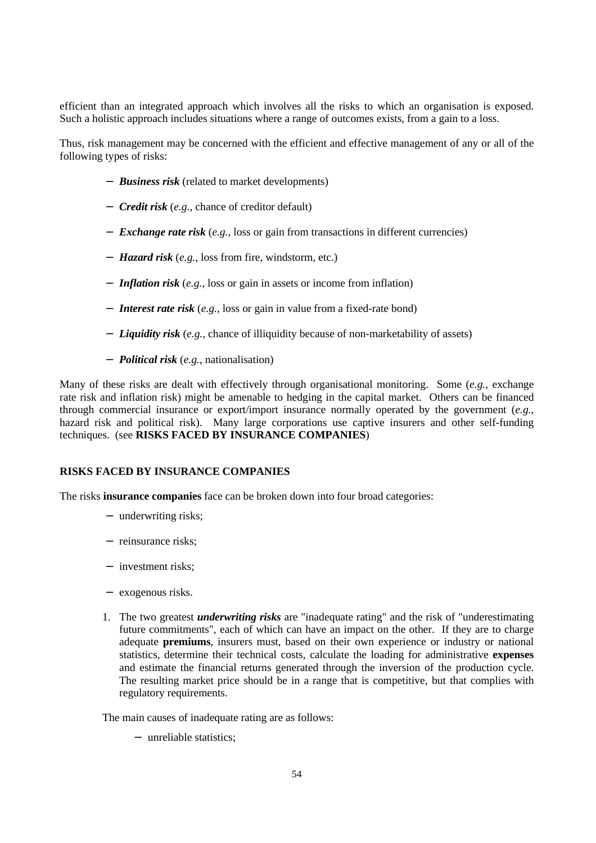efficient than an integrated approach which involves all the risks to which an organisation is exposed. Such a holistic approach includes situations where a range of outcomes exists, from a gain to a loss.

Thus, risk management may be concerned with the efficient and effective management of any or all of the following types of risks:

- − *Business risk* (related to market developments)
- − *Credit risk* (*e.g.*, chance of creditor default)
- − *Exchange rate risk* (*e.g.*, loss or gain from transactions in different currencies)
- − *Hazard risk* (*e.g.*, loss from fire, windstorm, etc.)
- − *Inflation risk* (*e.g.*, loss or gain in assets or income from inflation)
- − *Interest rate risk* (*e.g.*, loss or gain in value from a fixed-rate bond)
- − *Liquidity risk* (*e.g.*, chance of illiquidity because of non-marketability of assets)
- − *Political risk* (*e.g.*, nationalisation)

Many of these risks are dealt with effectively through organisational monitoring. Some (*e.g.*, exchange rate risk and inflation risk) might be amenable to hedging in the capital market. Others can be financed through commercial insurance or export/import insurance normally operated by the government (*e.g.*, hazard risk and political risk). Many large corporations use captive insurers and other self-funding techniques. (see **RISKS FACED BY INSURANCE COMPANIES**)

## **RISKS FACED BY INSURANCE COMPANIES**

The risks **insurance companies** face can be broken down into four broad categories:

- − underwriting risks;
- − reinsurance risks;
- − investment risks;
- − exogenous risks.
- 1. The two greatest *underwriting risks* are "inadequate rating" and the risk of "underestimating future commitments", each of which can have an impact on the other. If they are to charge adequate **premiums**, insurers must, based on their own experience or industry or national statistics, determine their technical costs, calculate the loading for administrative **expenses** and estimate the financial returns generated through the inversion of the production cycle. The resulting market price should be in a range that is competitive, but that complies with regulatory requirements.

The main causes of inadequate rating are as follows:

− unreliable statistics;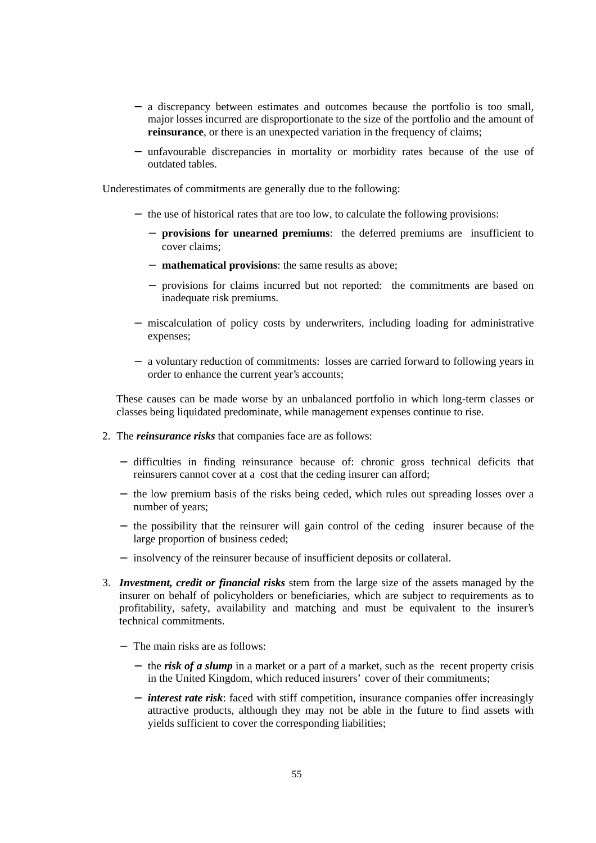- − a discrepancy between estimates and outcomes because the portfolio is too small, major losses incurred are disproportionate to the size of the portfolio and the amount of **reinsurance**, or there is an unexpected variation in the frequency of claims;
- − unfavourable discrepancies in mortality or morbidity rates because of the use of outdated tables.

Underestimates of commitments are generally due to the following:

- − the use of historical rates that are too low, to calculate the following provisions:
	- − **provisions for unearned premiums**: the deferred premiums are insufficient to cover claims;
	- − **mathematical provisions**: the same results as above;
	- − provisions for claims incurred but not reported: the commitments are based on inadequate risk premiums.
- − miscalculation of policy costs by underwriters, including loading for administrative expenses;
- − a voluntary reduction of commitments: losses are carried forward to following years in order to enhance the current year's accounts;

These causes can be made worse by an unbalanced portfolio in which long-term classes or classes being liquidated predominate, while management expenses continue to rise.

- 2. The *reinsurance risks* that companies face are as follows:
	- − difficulties in finding reinsurance because of: chronic gross technical deficits that reinsurers cannot cover at a cost that the ceding insurer can afford;
	- − the low premium basis of the risks being ceded, which rules out spreading losses over a number of years;
	- − the possibility that the reinsurer will gain control of the ceding insurer because of the large proportion of business ceded;
	- − insolvency of the reinsurer because of insufficient deposits or collateral.
- 3. *Investment, credit or financial risks* stem from the large size of the assets managed by the insurer on behalf of policyholders or beneficiaries, which are subject to requirements as to profitability, safety, availability and matching and must be equivalent to the insurer's technical commitments.
	- − The main risks are as follows:
		- − the *risk of a slump* in a market or a part of a market, such as the recent property crisis in the United Kingdom, which reduced insurers' cover of their commitments;
		- − *interest rate risk*: faced with stiff competition, insurance companies offer increasingly attractive products, although they may not be able in the future to find assets with yields sufficient to cover the corresponding liabilities;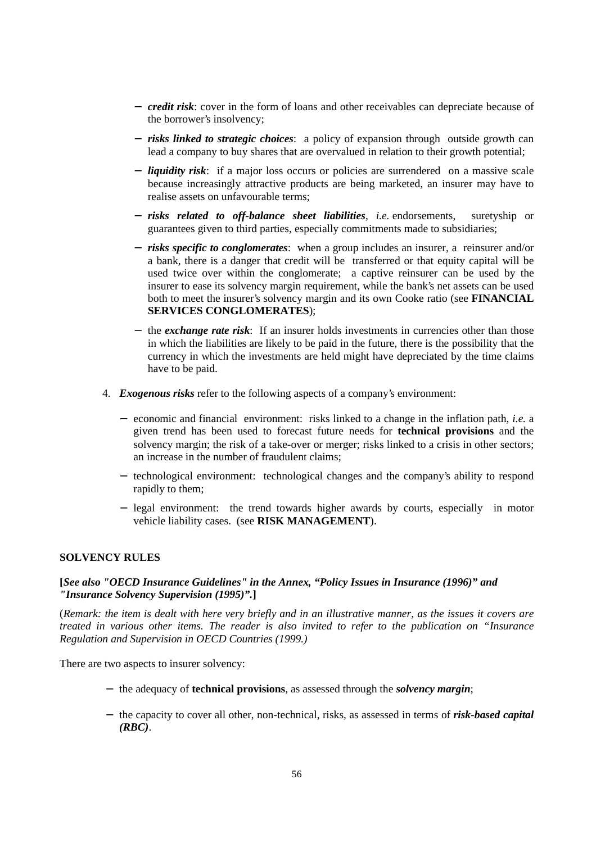- − *credit risk*: cover in the form of loans and other receivables can depreciate because of the borrower's insolvency;
- − *risks linked to strategic choices*: a policy of expansion through outside growth can lead a company to buy shares that are overvalued in relation to their growth potential;
- − *liquidity risk*: if a major loss occurs or policies are surrendered on a massive scale because increasingly attractive products are being marketed, an insurer may have to realise assets on unfavourable terms;
- − *risks related to off-balance sheet liabilities*, *i.e.* endorsements, suretyship or guarantees given to third parties, especially commitments made to subsidiaries;
- − *risks specific to conglomerates*: when a group includes an insurer, a reinsurer and/or a bank, there is a danger that credit will be transferred or that equity capital will be used twice over within the conglomerate; a captive reinsurer can be used by the insurer to ease its solvency margin requirement, while the bank's net assets can be used both to meet the insurer's solvency margin and its own Cooke ratio (see **FINANCIAL SERVICES CONGLOMERATES**);
- − the *exchange rate risk*: If an insurer holds investments in currencies other than those in which the liabilities are likely to be paid in the future, there is the possibility that the currency in which the investments are held might have depreciated by the time claims have to be paid.
- 4. *Exogenous risks* refer to the following aspects of a company's environment:
	- − economic and financial environment: risks linked to a change in the inflation path, *i.e.* a given trend has been used to forecast future needs for **technical provisions** and the solvency margin; the risk of a take-over or merger; risks linked to a crisis in other sectors; an increase in the number of fraudulent claims;
	- − technological environment: technological changes and the company's ability to respond rapidly to them;
	- − legal environment: the trend towards higher awards by courts, especially in motor vehicle liability cases. (see **RISK MANAGEMENT**).

#### **SOLVENCY RULES**

#### **[***See also "OECD Insurance Guidelines" in the Annex, "Policy Issues in Insurance (1996)" and "Insurance Solvency Supervision (1995)".***]**

(*Remark: the item is dealt with here very briefly and in an illustrative manner, as the issues it covers are treated in various other items. The reader is also invited to refer to the publication on "Insurance Regulation and Supervision in OECD Countries (1999.)*

There are two aspects to insurer solvency:

- − the adequacy of **technical provisions**, as assessed through the *solvency margin*;
- − the capacity to cover all other, non-technical, risks, as assessed in terms of *risk-based capital (RBC)*.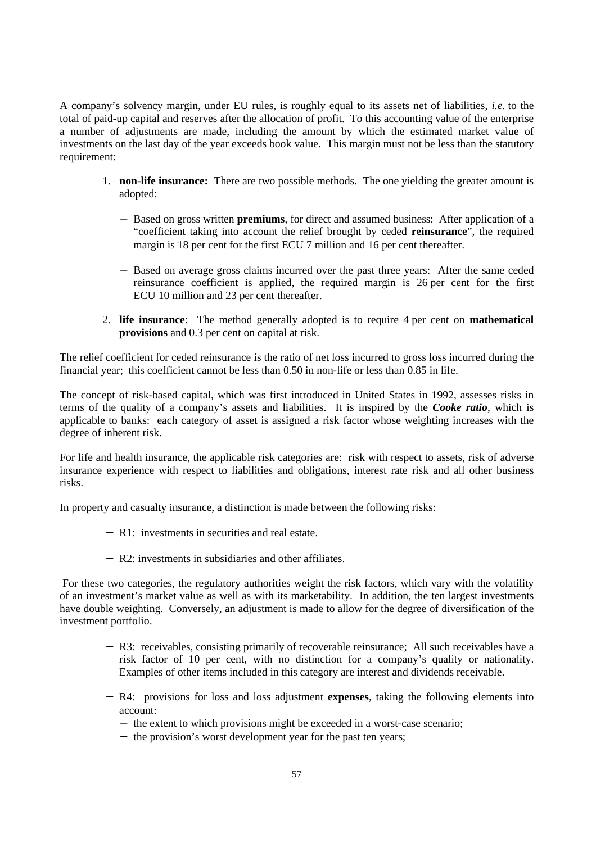A company's solvency margin, under EU rules, is roughly equal to its assets net of liabilities, *i.e.* to the total of paid-up capital and reserves after the allocation of profit. To this accounting value of the enterprise a number of adjustments are made, including the amount by which the estimated market value of investments on the last day of the year exceeds book value. This margin must not be less than the statutory requirement:

- 1. **non-life insurance:** There are two possible methods. The one yielding the greater amount is adopted:
	- − Based on gross written **premiums**, for direct and assumed business: After application of a "coefficient taking into account the relief brought by ceded **reinsurance**", the required margin is 18 per cent for the first ECU 7 million and 16 per cent thereafter.
	- − Based on average gross claims incurred over the past three years: After the same ceded reinsurance coefficient is applied, the required margin is 26 per cent for the first ECU 10 million and 23 per cent thereafter.
- 2. **life insurance**: The method generally adopted is to require 4 per cent on **mathematical provisions** and 0.3 per cent on capital at risk.

The relief coefficient for ceded reinsurance is the ratio of net loss incurred to gross loss incurred during the financial year; this coefficient cannot be less than 0.50 in non-life or less than 0.85 in life.

The concept of risk-based capital, which was first introduced in United States in 1992, assesses risks in terms of the quality of a company's assets and liabilities. It is inspired by the *Cooke ratio*, which is applicable to banks: each category of asset is assigned a risk factor whose weighting increases with the degree of inherent risk.

For life and health insurance, the applicable risk categories are: risk with respect to assets, risk of adverse insurance experience with respect to liabilities and obligations, interest rate risk and all other business risks.

In property and casualty insurance, a distinction is made between the following risks:

- − R1: investments in securities and real estate.
- − R2: investments in subsidiaries and other affiliates.

 For these two categories, the regulatory authorities weight the risk factors, which vary with the volatility of an investment's market value as well as with its marketability. In addition, the ten largest investments have double weighting. Conversely, an adjustment is made to allow for the degree of diversification of the investment portfolio.

- − R3: receivables, consisting primarily of recoverable reinsurance; All such receivables have a risk factor of 10 per cent, with no distinction for a company's quality or nationality. Examples of other items included in this category are interest and dividends receivable.
- − R4: provisions for loss and loss adjustment **expenses**, taking the following elements into account:
	- − the extent to which provisions might be exceeded in a worst-case scenario;
	- − the provision's worst development year for the past ten years;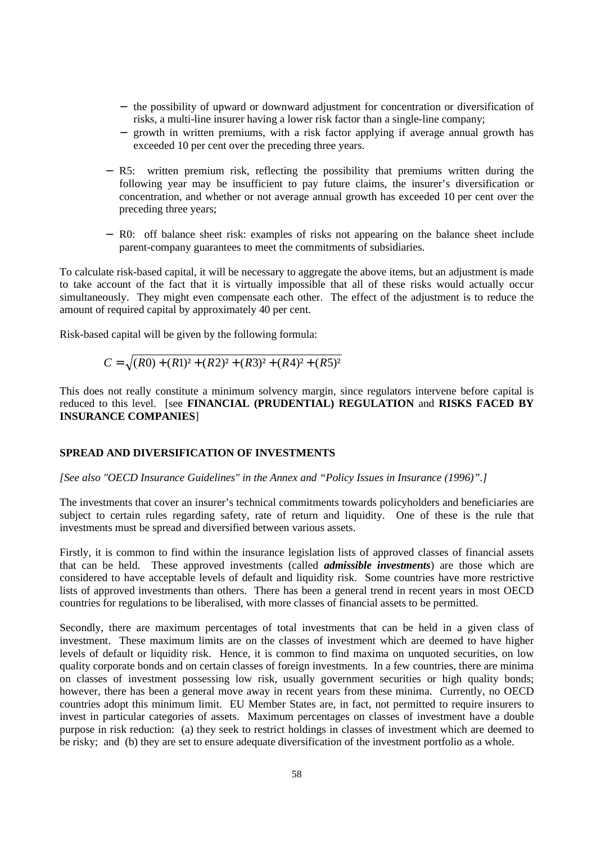- − the possibility of upward or downward adjustment for concentration or diversification of risks, a multi-line insurer having a lower risk factor than a single-line company;
- − growth in written premiums, with a risk factor applying if average annual growth has exceeded 10 per cent over the preceding three years.
- − R5: written premium risk, reflecting the possibility that premiums written during the following year may be insufficient to pay future claims, the insurer's diversification or concentration, and whether or not average annual growth has exceeded 10 per cent over the preceding three years;
- − R0: off balance sheet risk: examples of risks not appearing on the balance sheet include parent-company guarantees to meet the commitments of subsidiaries.

To calculate risk-based capital, it will be necessary to aggregate the above items, but an adjustment is made to take account of the fact that it is virtually impossible that all of these risks would actually occur simultaneously. They might even compensate each other. The effect of the adjustment is to reduce the amount of required capital by approximately 40 per cent.

Risk-based capital will be given by the following formula:

$$
C = \sqrt{(R0) + (R1)^2 + (R2)^2 + (R3)^2 + (R4)^2 + (R5)^2}
$$

This does not really constitute a minimum solvency margin, since regulators intervene before capital is reduced to this level. [see **FINANCIAL (PRUDENTIAL) REGULATION** and **RISKS FACED BY INSURANCE COMPANIES**]

#### **SPREAD AND DIVERSIFICATION OF INVESTMENTS**

#### *[See also "OECD Insurance Guidelines" in the Annex and "Policy Issues in Insurance (1996)".]*

The investments that cover an insurer's technical commitments towards policyholders and beneficiaries are subject to certain rules regarding safety, rate of return and liquidity. One of these is the rule that investments must be spread and diversified between various assets.

Firstly, it is common to find within the insurance legislation lists of approved classes of financial assets that can be held. These approved investments (called *admissible investments*) are those which are considered to have acceptable levels of default and liquidity risk. Some countries have more restrictive lists of approved investments than others. There has been a general trend in recent years in most OECD countries for regulations to be liberalised, with more classes of financial assets to be permitted.

Secondly, there are maximum percentages of total investments that can be held in a given class of investment. These maximum limits are on the classes of investment which are deemed to have higher levels of default or liquidity risk. Hence, it is common to find maxima on unquoted securities, on low quality corporate bonds and on certain classes of foreign investments. In a few countries, there are minima on classes of investment possessing low risk, usually government securities or high quality bonds; however, there has been a general move away in recent years from these minima. Currently, no OECD countries adopt this minimum limit. EU Member States are, in fact, not permitted to require insurers to invest in particular categories of assets. Maximum percentages on classes of investment have a double purpose in risk reduction: (a) they seek to restrict holdings in classes of investment which are deemed to be risky; and (b) they are set to ensure adequate diversification of the investment portfolio as a whole.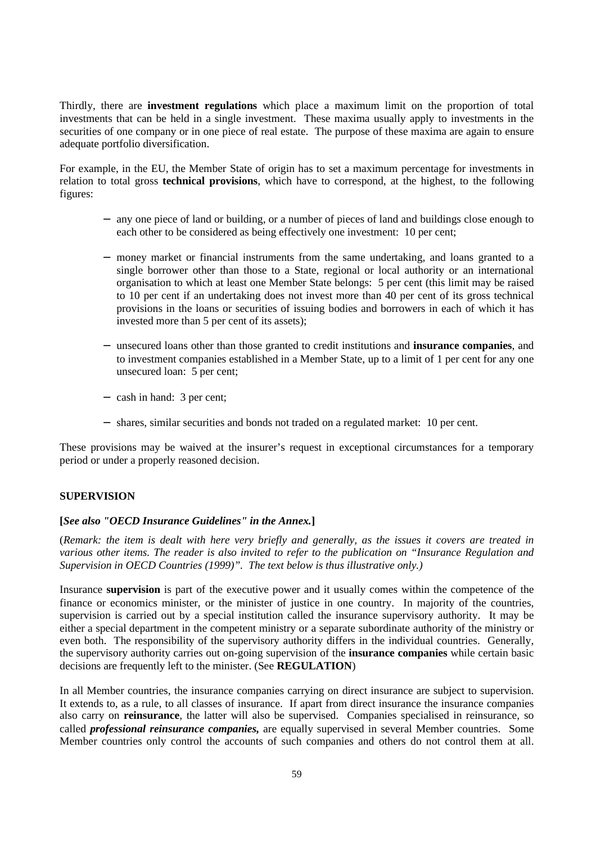Thirdly, there are **investment regulations** which place a maximum limit on the proportion of total investments that can be held in a single investment. These maxima usually apply to investments in the securities of one company or in one piece of real estate. The purpose of these maxima are again to ensure adequate portfolio diversification.

For example, in the EU, the Member State of origin has to set a maximum percentage for investments in relation to total gross **technical provisions**, which have to correspond, at the highest, to the following figures:

- − any one piece of land or building, or a number of pieces of land and buildings close enough to each other to be considered as being effectively one investment: 10 per cent;
- − money market or financial instruments from the same undertaking, and loans granted to a single borrower other than those to a State, regional or local authority or an international organisation to which at least one Member State belongs: 5 per cent (this limit may be raised to 10 per cent if an undertaking does not invest more than 40 per cent of its gross technical provisions in the loans or securities of issuing bodies and borrowers in each of which it has invested more than 5 per cent of its assets);
- − unsecured loans other than those granted to credit institutions and **insurance companies**, and to investment companies established in a Member State, up to a limit of 1 per cent for any one unsecured loan: 5 per cent;
- − cash in hand: 3 per cent;
- − shares, similar securities and bonds not traded on a regulated market: 10 per cent.

These provisions may be waived at the insurer's request in exceptional circumstances for a temporary period or under a properly reasoned decision.

#### **SUPERVISION**

# **[***See also "OECD Insurance Guidelines" in the Annex.***]**

(*Remark: the item is dealt with here very briefly and generally, as the issues it covers are treated in various other items. The reader is also invited to refer to the publication on "Insurance Regulation and Supervision in OECD Countries (1999)". The text below is thus illustrative only.)*

Insurance **supervision** is part of the executive power and it usually comes within the competence of the finance or economics minister, or the minister of justice in one country. In majority of the countries, supervision is carried out by a special institution called the insurance supervisory authority. It may be either a special department in the competent ministry or a separate subordinate authority of the ministry or even both. The responsibility of the supervisory authority differs in the individual countries. Generally, the supervisory authority carries out on-going supervision of the **insurance companies** while certain basic decisions are frequently left to the minister. (See **REGULATION**)

In all Member countries, the insurance companies carrying on direct insurance are subject to supervision. It extends to, as a rule, to all classes of insurance. If apart from direct insurance the insurance companies also carry on **reinsurance**, the latter will also be supervised. Companies specialised in reinsurance, so called *professional reinsurance companies,* are equally supervised in several Member countries. Some Member countries only control the accounts of such companies and others do not control them at all.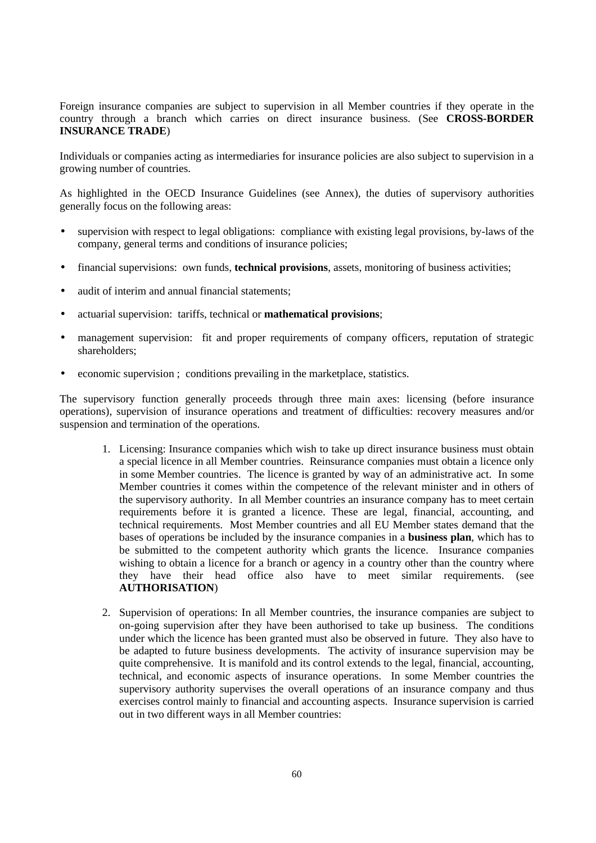Foreign insurance companies are subject to supervision in all Member countries if they operate in the country through a branch which carries on direct insurance business. (See **CROSS-BORDER INSURANCE TRADE**)

Individuals or companies acting as intermediaries for insurance policies are also subject to supervision in a growing number of countries.

As highlighted in the OECD Insurance Guidelines (see Annex), the duties of supervisory authorities generally focus on the following areas:

- supervision with respect to legal obligations: compliance with existing legal provisions, by-laws of the company, general terms and conditions of insurance policies;
- financial supervisions: own funds, **technical provisions**, assets, monitoring of business activities;
- audit of interim and annual financial statements:
- actuarial supervision: tariffs, technical or **mathematical provisions**;
- management supervision: fit and proper requirements of company officers, reputation of strategic shareholders;
- economic supervision ; conditions prevailing in the marketplace, statistics.

The supervisory function generally proceeds through three main axes: licensing (before insurance operations), supervision of insurance operations and treatment of difficulties: recovery measures and/or suspension and termination of the operations.

- 1. Licensing: Insurance companies which wish to take up direct insurance business must obtain a special licence in all Member countries. Reinsurance companies must obtain a licence only in some Member countries. The licence is granted by way of an administrative act. In some Member countries it comes within the competence of the relevant minister and in others of the supervisory authority. In all Member countries an insurance company has to meet certain requirements before it is granted a licence. These are legal, financial, accounting, and technical requirements. Most Member countries and all EU Member states demand that the bases of operations be included by the insurance companies in a **business plan**, which has to be submitted to the competent authority which grants the licence. Insurance companies wishing to obtain a licence for a branch or agency in a country other than the country where they have their head office also have to meet similar requirements. (see **AUTHORISATION**)
- 2. Supervision of operations: In all Member countries, the insurance companies are subject to on-going supervision after they have been authorised to take up business. The conditions under which the licence has been granted must also be observed in future. They also have to be adapted to future business developments. The activity of insurance supervision may be quite comprehensive. It is manifold and its control extends to the legal, financial, accounting, technical, and economic aspects of insurance operations. In some Member countries the supervisory authority supervises the overall operations of an insurance company and thus exercises control mainly to financial and accounting aspects. Insurance supervision is carried out in two different ways in all Member countries: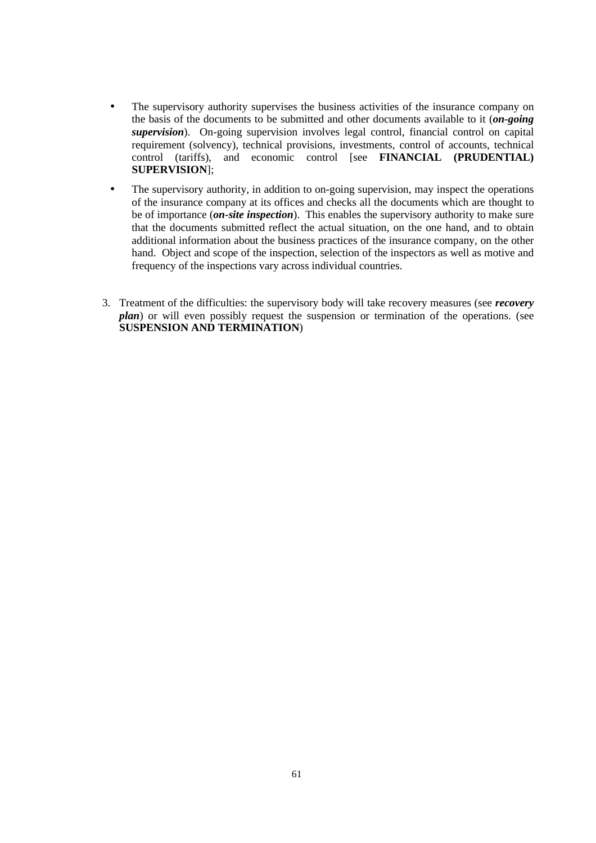- The supervisory authority supervises the business activities of the insurance company on the basis of the documents to be submitted and other documents available to it (*on-going supervision*). On-going supervision involves legal control, financial control on capital requirement (solvency), technical provisions, investments, control of accounts, technical control (tariffs), and economic control [see **FINANCIAL (PRUDENTIAL) SUPERVISION**];
- The supervisory authority, in addition to on-going supervision, may inspect the operations of the insurance company at its offices and checks all the documents which are thought to be of importance (*on-site inspection*). This enables the supervisory authority to make sure that the documents submitted reflect the actual situation, on the one hand, and to obtain additional information about the business practices of the insurance company, on the other hand. Object and scope of the inspection, selection of the inspectors as well as motive and frequency of the inspections vary across individual countries.
- 3. Treatment of the difficulties: the supervisory body will take recovery measures (see *recovery plan*) or will even possibly request the suspension or termination of the operations. (see **SUSPENSION AND TERMINATION**)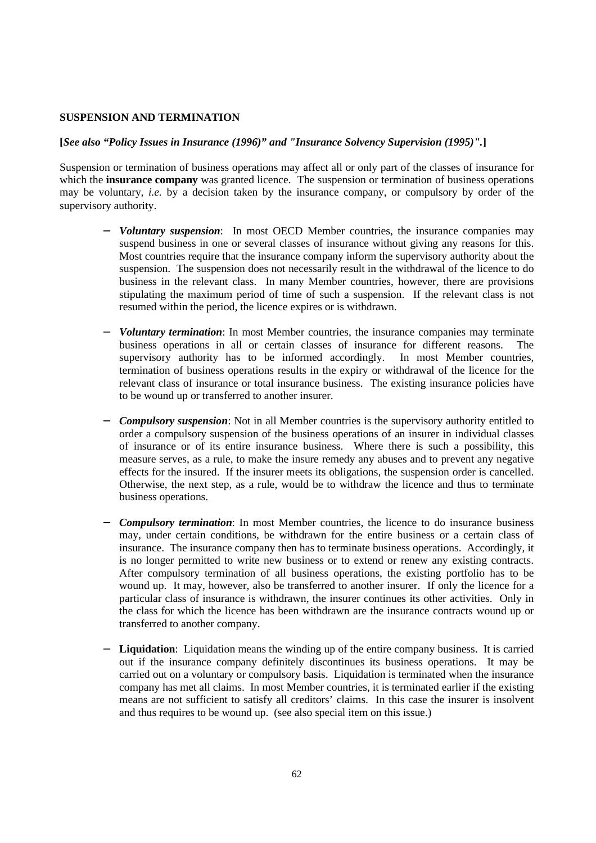#### **SUSPENSION AND TERMINATION**

#### **[***See also "Policy Issues in Insurance (1996)" and "Insurance Solvency Supervision (1995)".***]**

Suspension or termination of business operations may affect all or only part of the classes of insurance for which the **insurance company** was granted licence. The suspension or termination of business operations may be voluntary, *i.e.* by a decision taken by the insurance company, or compulsory by order of the supervisory authority.

- − *Voluntary suspension*: In most OECD Member countries, the insurance companies may suspend business in one or several classes of insurance without giving any reasons for this. Most countries require that the insurance company inform the supervisory authority about the suspension. The suspension does not necessarily result in the withdrawal of the licence to do business in the relevant class. In many Member countries, however, there are provisions stipulating the maximum period of time of such a suspension. If the relevant class is not resumed within the period, the licence expires or is withdrawn.
- *Voluntary termination*: In most Member countries, the insurance companies may terminate business operations in all or certain classes of insurance for different reasons. The supervisory authority has to be informed accordingly. In most Member countries, termination of business operations results in the expiry or withdrawal of the licence for the relevant class of insurance or total insurance business. The existing insurance policies have to be wound up or transferred to another insurer.
- − *Compulsory suspension*: Not in all Member countries is the supervisory authority entitled to order a compulsory suspension of the business operations of an insurer in individual classes of insurance or of its entire insurance business. Where there is such a possibility, this measure serves, as a rule, to make the insure remedy any abuses and to prevent any negative effects for the insured. If the insurer meets its obligations, the suspension order is cancelled. Otherwise, the next step, as a rule, would be to withdraw the licence and thus to terminate business operations.
- *Compulsory termination*: In most Member countries, the licence to do insurance business may, under certain conditions, be withdrawn for the entire business or a certain class of insurance. The insurance company then has to terminate business operations. Accordingly, it is no longer permitted to write new business or to extend or renew any existing contracts. After compulsory termination of all business operations, the existing portfolio has to be wound up. It may, however, also be transferred to another insurer. If only the licence for a particular class of insurance is withdrawn, the insurer continues its other activities. Only in the class for which the licence has been withdrawn are the insurance contracts wound up or transferred to another company.
- **Liquidation**: Liquidation means the winding up of the entire company business. It is carried out if the insurance company definitely discontinues its business operations. It may be carried out on a voluntary or compulsory basis. Liquidation is terminated when the insurance company has met all claims. In most Member countries, it is terminated earlier if the existing means are not sufficient to satisfy all creditors' claims. In this case the insurer is insolvent and thus requires to be wound up. (see also special item on this issue.)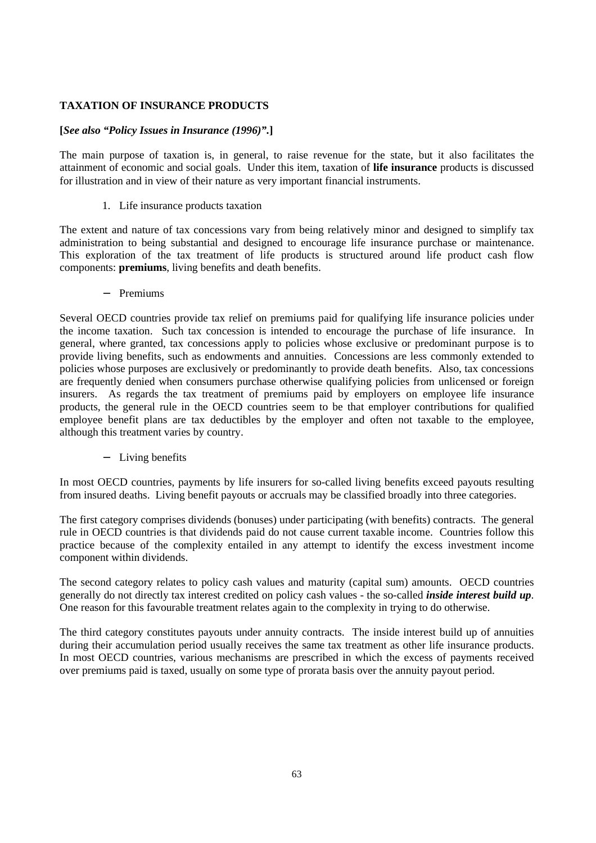# **TAXATION OF INSURANCE PRODUCTS**

# **[***See also "Policy Issues in Insurance (1996)".***]**

The main purpose of taxation is, in general, to raise revenue for the state, but it also facilitates the attainment of economic and social goals. Under this item, taxation of **life insurance** products is discussed for illustration and in view of their nature as very important financial instruments.

# 1. Life insurance products taxation

The extent and nature of tax concessions vary from being relatively minor and designed to simplify tax administration to being substantial and designed to encourage life insurance purchase or maintenance. This exploration of the tax treatment of life products is structured around life product cash flow components: **premiums**, living benefits and death benefits.

− Premiums

Several OECD countries provide tax relief on premiums paid for qualifying life insurance policies under the income taxation. Such tax concession is intended to encourage the purchase of life insurance. In general, where granted, tax concessions apply to policies whose exclusive or predominant purpose is to provide living benefits, such as endowments and annuities. Concessions are less commonly extended to policies whose purposes are exclusively or predominantly to provide death benefits. Also, tax concessions are frequently denied when consumers purchase otherwise qualifying policies from unlicensed or foreign insurers. As regards the tax treatment of premiums paid by employers on employee life insurance products, the general rule in the OECD countries seem to be that employer contributions for qualified employee benefit plans are tax deductibles by the employer and often not taxable to the employee, although this treatment varies by country.

− Living benefits

In most OECD countries, payments by life insurers for so-called living benefits exceed payouts resulting from insured deaths. Living benefit payouts or accruals may be classified broadly into three categories.

The first category comprises dividends (bonuses) under participating (with benefits) contracts. The general rule in OECD countries is that dividends paid do not cause current taxable income. Countries follow this practice because of the complexity entailed in any attempt to identify the excess investment income component within dividends.

The second category relates to policy cash values and maturity (capital sum) amounts. OECD countries generally do not directly tax interest credited on policy cash values - the so-called *inside interest build up*. One reason for this favourable treatment relates again to the complexity in trying to do otherwise.

The third category constitutes payouts under annuity contracts. The inside interest build up of annuities during their accumulation period usually receives the same tax treatment as other life insurance products. In most OECD countries, various mechanisms are prescribed in which the excess of payments received over premiums paid is taxed, usually on some type of prorata basis over the annuity payout period.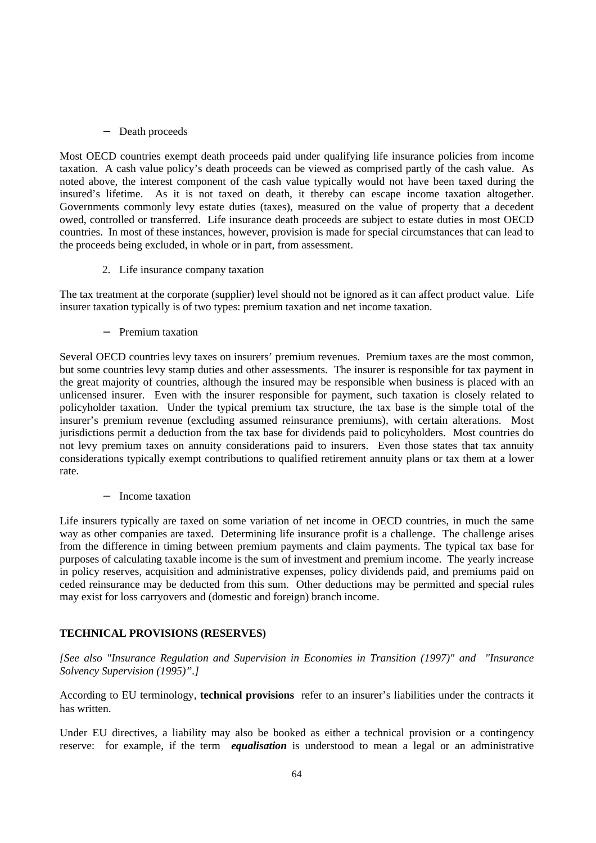# − Death proceeds

Most OECD countries exempt death proceeds paid under qualifying life insurance policies from income taxation. A cash value policy's death proceeds can be viewed as comprised partly of the cash value. As noted above, the interest component of the cash value typically would not have been taxed during the insured's lifetime. As it is not taxed on death, it thereby can escape income taxation altogether. Governments commonly levy estate duties (taxes), measured on the value of property that a decedent owed, controlled or transferred. Life insurance death proceeds are subject to estate duties in most OECD countries. In most of these instances, however, provision is made for special circumstances that can lead to the proceeds being excluded, in whole or in part, from assessment.

2. Life insurance company taxation

The tax treatment at the corporate (supplier) level should not be ignored as it can affect product value. Life insurer taxation typically is of two types: premium taxation and net income taxation.

− Premium taxation

Several OECD countries levy taxes on insurers' premium revenues. Premium taxes are the most common, but some countries levy stamp duties and other assessments. The insurer is responsible for tax payment in the great majority of countries, although the insured may be responsible when business is placed with an unlicensed insurer. Even with the insurer responsible for payment, such taxation is closely related to policyholder taxation. Under the typical premium tax structure, the tax base is the simple total of the insurer's premium revenue (excluding assumed reinsurance premiums), with certain alterations. Most jurisdictions permit a deduction from the tax base for dividends paid to policyholders. Most countries do not levy premium taxes on annuity considerations paid to insurers. Even those states that tax annuity considerations typically exempt contributions to qualified retirement annuity plans or tax them at a lower rate.

− Income taxation

Life insurers typically are taxed on some variation of net income in OECD countries, in much the same way as other companies are taxed. Determining life insurance profit is a challenge. The challenge arises from the difference in timing between premium payments and claim payments. The typical tax base for purposes of calculating taxable income is the sum of investment and premium income. The yearly increase in policy reserves, acquisition and administrative expenses, policy dividends paid, and premiums paid on ceded reinsurance may be deducted from this sum. Other deductions may be permitted and special rules may exist for loss carryovers and (domestic and foreign) branch income.

# **TECHNICAL PROVISIONS (RESERVES)**

*[See also "Insurance Regulation and Supervision in Economies in Transition (1997)" and "Insurance Solvency Supervision (1995)".]*

According to EU terminology, **technical provisions** refer to an insurer's liabilities under the contracts it has written.

Under EU directives, a liability may also be booked as either a technical provision or a contingency reserve: for example, if the term *equalisation* is understood to mean a legal or an administrative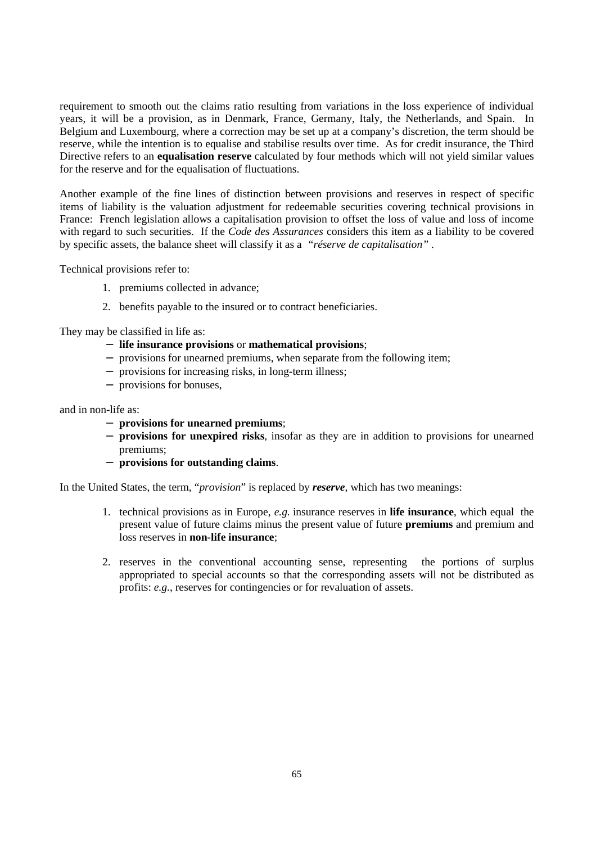requirement to smooth out the claims ratio resulting from variations in the loss experience of individual years, it will be a provision, as in Denmark, France, Germany, Italy, the Netherlands, and Spain. In Belgium and Luxembourg, where a correction may be set up at a company's discretion, the term should be reserve, while the intention is to equalise and stabilise results over time. As for credit insurance, the Third Directive refers to an **equalisation reserve** calculated by four methods which will not yield similar values for the reserve and for the equalisation of fluctuations.

Another example of the fine lines of distinction between provisions and reserves in respect of specific items of liability is the valuation adjustment for redeemable securities covering technical provisions in France: French legislation allows a capitalisation provision to offset the loss of value and loss of income with regard to such securities. If the *Code des Assurances* considers this item as a liability to be covered by specific assets, the balance sheet will classify it as a *"réserve de capitalisation"* .

Technical provisions refer to:

- 1. premiums collected in advance;
- 2. benefits payable to the insured or to contract beneficiaries.

They may be classified in life as:

- − **life insurance provisions** or **mathematical provisions**;
- − provisions for unearned premiums, when separate from the following item;
- − provisions for increasing risks, in long-term illness;
- − provisions for bonuses,

and in non-life as:

- − **provisions for unearned premiums**;
- − **provisions for unexpired risks**, insofar as they are in addition to provisions for unearned premiums;
- − **provisions for outstanding claims**.

In the United States, the term, "*provision*" is replaced by *reserve*, which has two meanings:

- 1. technical provisions as in Europe, *e.g.* insurance reserves in **life insurance**, which equal the present value of future claims minus the present value of future **premiums** and premium and loss reserves in **non-life insurance**;
- 2. reserves in the conventional accounting sense, representing the portions of surplus appropriated to special accounts so that the corresponding assets will not be distributed as profits: *e.g.*, reserves for contingencies or for revaluation of assets.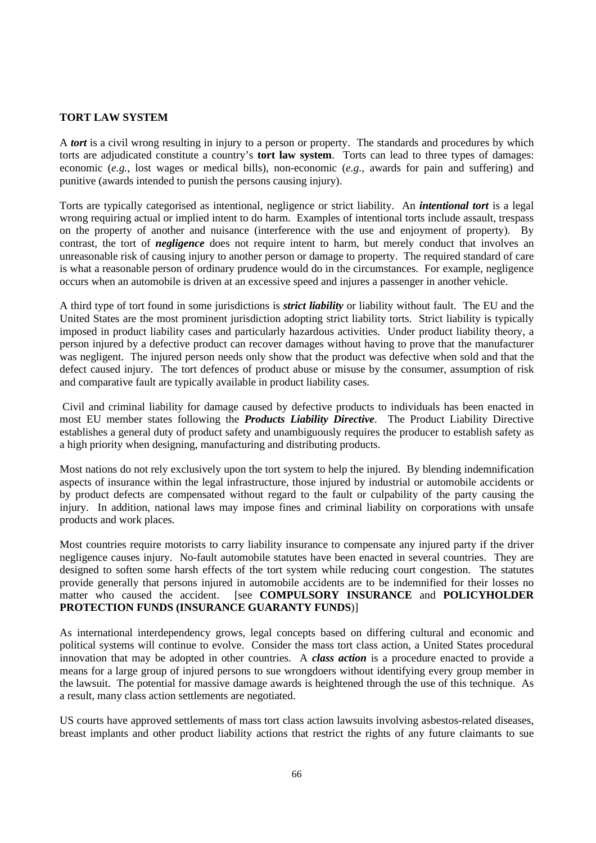#### **TORT LAW SYSTEM**

A *tort* is a civil wrong resulting in injury to a person or property. The standards and procedures by which torts are adjudicated constitute a country's **tort law system**. Torts can lead to three types of damages: economic (*e.g.*, lost wages or medical bills), non-economic (*e.g.*, awards for pain and suffering) and punitive (awards intended to punish the persons causing injury).

Torts are typically categorised as intentional, negligence or strict liability. An *intentional tort* is a legal wrong requiring actual or implied intent to do harm. Examples of intentional torts include assault, trespass on the property of another and nuisance (interference with the use and enjoyment of property). By contrast, the tort of *negligence* does not require intent to harm, but merely conduct that involves an unreasonable risk of causing injury to another person or damage to property. The required standard of care is what a reasonable person of ordinary prudence would do in the circumstances. For example, negligence occurs when an automobile is driven at an excessive speed and injures a passenger in another vehicle.

A third type of tort found in some jurisdictions is *strict liability* or liability without fault. The EU and the United States are the most prominent jurisdiction adopting strict liability torts. Strict liability is typically imposed in product liability cases and particularly hazardous activities. Under product liability theory, a person injured by a defective product can recover damages without having to prove that the manufacturer was negligent. The injured person needs only show that the product was defective when sold and that the defect caused injury. The tort defences of product abuse or misuse by the consumer, assumption of risk and comparative fault are typically available in product liability cases.

 Civil and criminal liability for damage caused by defective products to individuals has been enacted in most EU member states following the *Products Liability Directive*. The Product Liability Directive establishes a general duty of product safety and unambiguously requires the producer to establish safety as a high priority when designing, manufacturing and distributing products.

Most nations do not rely exclusively upon the tort system to help the injured. By blending indemnification aspects of insurance within the legal infrastructure, those injured by industrial or automobile accidents or by product defects are compensated without regard to the fault or culpability of the party causing the injury. In addition, national laws may impose fines and criminal liability on corporations with unsafe products and work places.

Most countries require motorists to carry liability insurance to compensate any injured party if the driver negligence causes injury. No-fault automobile statutes have been enacted in several countries. They are designed to soften some harsh effects of the tort system while reducing court congestion. The statutes provide generally that persons injured in automobile accidents are to be indemnified for their losses no matter who caused the accident. [see **COMPULSORY INSURANCE** and **POLICYHOLDER PROTECTION FUNDS (INSURANCE GUARANTY FUNDS**)]

As international interdependency grows, legal concepts based on differing cultural and economic and political systems will continue to evolve. Consider the mass tort class action, a United States procedural innovation that may be adopted in other countries. A *class action* is a procedure enacted to provide a means for a large group of injured persons to sue wrongdoers without identifying every group member in the lawsuit. The potential for massive damage awards is heightened through the use of this technique. As a result, many class action settlements are negotiated.

US courts have approved settlements of mass tort class action lawsuits involving asbestos-related diseases, breast implants and other product liability actions that restrict the rights of any future claimants to sue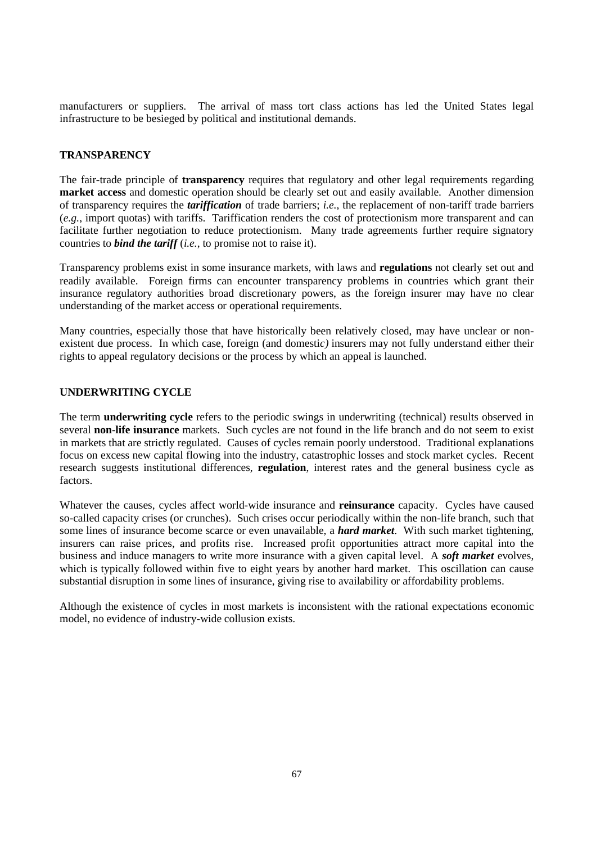manufacturers or suppliers. The arrival of mass tort class actions has led the United States legal infrastructure to be besieged by political and institutional demands.

#### **TRANSPARENCY**

The fair-trade principle of **transparency** requires that regulatory and other legal requirements regarding **market access** and domestic operation should be clearly set out and easily available. Another dimension of transparency requires the *tariffication* of trade barriers; *i.e.*, the replacement of non-tariff trade barriers (*e.g.*, import quotas) with tariffs. Tariffication renders the cost of protectionism more transparent and can facilitate further negotiation to reduce protectionism. Many trade agreements further require signatory countries to *bind the tariff* (*i.e.*, to promise not to raise it).

Transparency problems exist in some insurance markets, with laws and **regulations** not clearly set out and readily available. Foreign firms can encounter transparency problems in countries which grant their insurance regulatory authorities broad discretionary powers, as the foreign insurer may have no clear understanding of the market access or operational requirements.

Many countries, especially those that have historically been relatively closed, may have unclear or nonexistent due process. In which case, foreign (and domesti*c)* insurers may not fully understand either their rights to appeal regulatory decisions or the process by which an appeal is launched.

#### **UNDERWRITING CYCLE**

The term **underwriting cycle** refers to the periodic swings in underwriting (technical) results observed in several **non-life insurance** markets. Such cycles are not found in the life branch and do not seem to exist in markets that are strictly regulated. Causes of cycles remain poorly understood. Traditional explanations focus on excess new capital flowing into the industry, catastrophic losses and stock market cycles. Recent research suggests institutional differences, **regulation**, interest rates and the general business cycle as factors.

Whatever the causes, cycles affect world-wide insurance and **reinsurance** capacity. Cycles have caused so-called capacity crises (or crunches). Such crises occur periodically within the non-life branch, such that some lines of insurance become scarce or even unavailable, a *hard market*. With such market tightening, insurers can raise prices, and profits rise. Increased profit opportunities attract more capital into the business and induce managers to write more insurance with a given capital level. A *soft market* evolves, which is typically followed within five to eight years by another hard market. This oscillation can cause substantial disruption in some lines of insurance, giving rise to availability or affordability problems.

Although the existence of cycles in most markets is inconsistent with the rational expectations economic model, no evidence of industry-wide collusion exists.